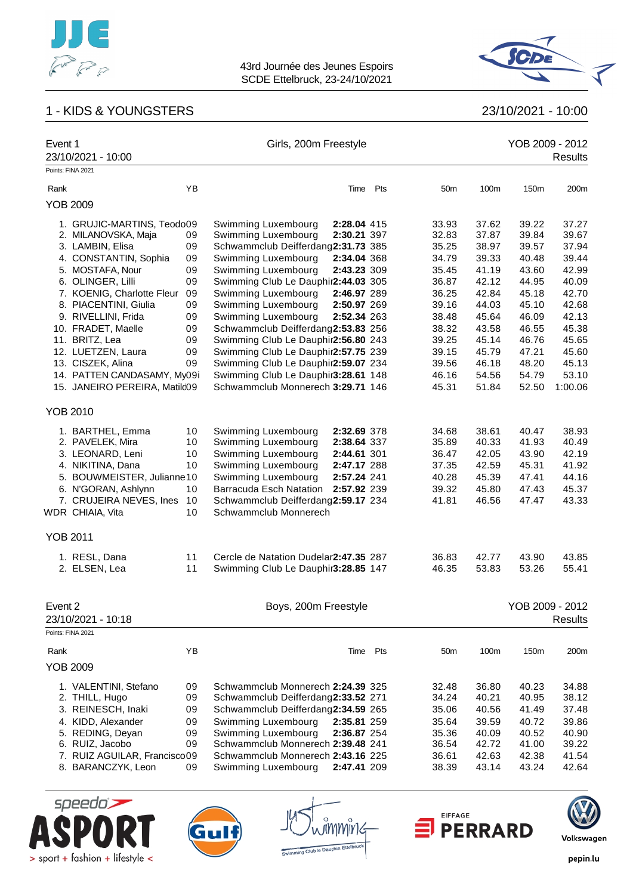

# 1 - KIDS & YOUNGSTERS 23/10/2021 - 10:00



| Event 1           | 23/10/2021 - 10:00                                |    | Girls, 200m Freestyle                      |                            |     |                |                | YOB 2009 - 2012 | Results        |
|-------------------|---------------------------------------------------|----|--------------------------------------------|----------------------------|-----|----------------|----------------|-----------------|----------------|
| Points: FINA 2021 |                                                   |    |                                            |                            |     |                |                |                 |                |
| Rank              |                                                   | YB |                                            | Time                       | Pts | 50m            | 100m           | 150m            | 200m           |
| <b>YOB 2009</b>   |                                                   |    |                                            |                            |     |                |                |                 |                |
|                   | 1. GRUJIC-MARTINS, Teodo09<br>2. MILANOVSKA, Maja | 09 | Swimming Luxembourg<br>Swimming Luxembourg | 2:28.04 415<br>2:30.21 397 |     | 33.93<br>32.83 | 37.62<br>37.87 | 39.22<br>39.84  | 37.27<br>39.67 |
|                   | 3. LAMBIN, Elisa                                  | 09 | Schwammclub Deifferdang2:31.73 385         |                            |     | 35.25          | 38.97          | 39.57           | 37.94          |
|                   | 4. CONSTANTIN, Sophia                             | 09 | Swimming Luxembourg                        | 2:34.04 368                |     | 34.79          | 39.33          | 40.48           | 39.44          |
|                   | 5. MOSTAFA, Nour                                  | 09 | Swimming Luxembourg                        | 2:43.23 309                |     | 35.45          | 41.19          | 43.60           | 42.99          |
|                   | 6. OLINGER, Lilli                                 | 09 | Swimming Club Le Dauphir2:44.03 305        |                            |     | 36.87          | 42.12          | 44.95           | 40.09          |
|                   | 7. KOENIG, Charlotte Fleur                        | 09 | Swimming Luxembourg                        | 2:46.97 289                |     | 36.25          | 42.84          | 45.18           | 42.70          |
|                   | 8. PIACENTINI, Giulia                             | 09 | Swimming Luxembourg                        | 2:50.97 269                |     | 39.16          | 44.03          | 45.10           | 42.68          |
|                   | 9. RIVELLINI, Frida                               | 09 | Swimming Luxembourg                        | 2:52.34 263                |     | 38.48          | 45.64          | 46.09           | 42.13          |
|                   | 10. FRADET, Maelle                                | 09 | Schwammclub Deifferdang2:53.83 256         |                            |     | 38.32          | 43.58          | 46.55           | 45.38          |
|                   | 11. BRITZ, Lea                                    | 09 | Swimming Club Le Dauphir2:56.80 243        |                            |     | 39.25          | 45.14          | 46.76           | 45.65          |
|                   | 12. LUETZEN, Laura                                | 09 | Swimming Club Le Dauphir2:57.75 239        |                            |     | 39.15          | 45.79          | 47.21           | 45.60          |
|                   | 13. CISZEK, Alina                                 | 09 | Swimming Club Le Dauphir2:59.07 234        |                            |     | 39.56          | 46.18          | 48.20           | 45.13          |
|                   | 14. PATTEN CANDASAMY, My09i                       |    | Swimming Club Le Dauphir3:28.61 148        |                            |     | 46.16          | 54.56          | 54.79           | 53.10          |
|                   | 15. JANEIRO PEREIRA, Matilc09                     |    | Schwammclub Monnerech 3:29.71 146          |                            |     | 45.31          | 51.84          | 52.50           | 1:00.06        |
| <b>YOB 2010</b>   |                                                   |    |                                            |                            |     |                |                |                 |                |
|                   | 1. BARTHEL, Emma                                  | 10 | Swimming Luxembourg                        | 2:32.69 378                |     | 34.68          | 38.61          | 40.47           | 38.93          |
|                   | 2. PAVELEK, Mira                                  | 10 | Swimming Luxembourg                        | 2:38.64 337                |     | 35.89          | 40.33          | 41.93           | 40.49          |
|                   | 3. LEONARD, Leni                                  | 10 | Swimming Luxembourg                        | 2:44.61 301                |     | 36.47          | 42.05          | 43.90           | 42.19          |
|                   | 4. NIKITINA, Dana                                 | 10 | Swimming Luxembourg                        | 2:47.17 288                |     | 37.35          | 42.59          | 45.31           | 41.92          |
|                   | 5. BOUWMEISTER, Julianne10                        |    | Swimming Luxembourg                        | 2:57.24 241                |     | 40.28          | 45.39          | 47.41           | 44.16          |
|                   | 6. N'GORAN, Ashlynn                               | 10 | Barracuda Esch Natation                    | 2:57.92 239                |     | 39.32          | 45.80          | 47.43           | 45.37          |
|                   | 7. CRUJEIRA NEVES, Ines                           | 10 | Schwammclub Deifferdang2:59.17 234         |                            |     | 41.81          | 46.56          | 47.47           | 43.33          |
|                   | WDR CHIAIA, Vita                                  | 10 | Schwammclub Monnerech                      |                            |     |                |                |                 |                |
| <b>YOB 2011</b>   |                                                   |    |                                            |                            |     |                |                |                 |                |
|                   | 1. RESL, Dana                                     | 11 | Cercle de Natation Dudelar2:47.35 287      |                            |     | 36.83          | 42.77          | 43.90           | 43.85          |
|                   | 2. ELSEN, Lea                                     | 11 | Swimming Club Le Dauphir3:28.85 147        |                            |     | 46.35          | 53.83          | 53.26           | 55.41          |
|                   |                                                   |    |                                            |                            |     |                |                |                 |                |
| Event 2           |                                                   |    | Boys, 200m Freestyle                       |                            |     |                |                | YOB 2009 - 2012 |                |
|                   | 23/10/2021 - 10:18                                |    |                                            |                            |     |                |                |                 | <b>Results</b> |
| Points: FINA 2021 |                                                   |    |                                            |                            |     |                |                |                 |                |
| Rank              |                                                   | YB |                                            | Time                       | Pts | 50m            | 100m           | 150m            | 200m           |
| <b>YOB 2009</b>   |                                                   |    |                                            |                            |     |                |                |                 |                |
|                   | 1. VALENTINI, Stefano                             | 09 | Schwammclub Monnerech 2:24.39 325          |                            |     | 32.48          | 36.80          | 40.23           | 34.88          |
|                   | 2. THILL, Hugo                                    | 09 | Schwammclub Deifferdang2:33.52 271         |                            |     | 34.24          | 40.21          | 40.95           | 38.12          |
|                   | 3. REINESCH, Inaki                                | 09 | Schwammclub Deifferdang2:34.59 265         |                            |     | 35.06          | 40.56          | 41.49           | 37.48          |
|                   | 4. KIDD, Alexander                                | 09 | Swimming Luxembourg                        | 2:35.81 259                |     | 35.64          | 39.59          | 40.72           | 39.86          |
|                   | 5. REDING, Deyan                                  | 09 | Swimming Luxembourg                        | 2:36.87 254                |     | 35.36          | 40.09          | 40.52           | 40.90          |
|                   | 6. RUIZ, Jacobo                                   | 09 | Schwammclub Monnerech 2:39.48 241          |                            |     | 36.54          | 42.72          | 41.00           | 39.22          |
|                   | 7. RUIZ AGUILAR, Francisco09                      |    | Schwammclub Monnerech 2:43.16 225          |                            |     | 36.61          | 42.63          | 42.38           | 41.54          |
|                   | 8. BARANCZYK, Leon                                | 09 | Swimming Luxembourg                        | 2:47.41 209                |     | 38.39          | 43.14          | 43.24           | 42.64          |
|                   |                                                   |    |                                            |                            |     |                |                |                 |                |





กิททางเิ to David



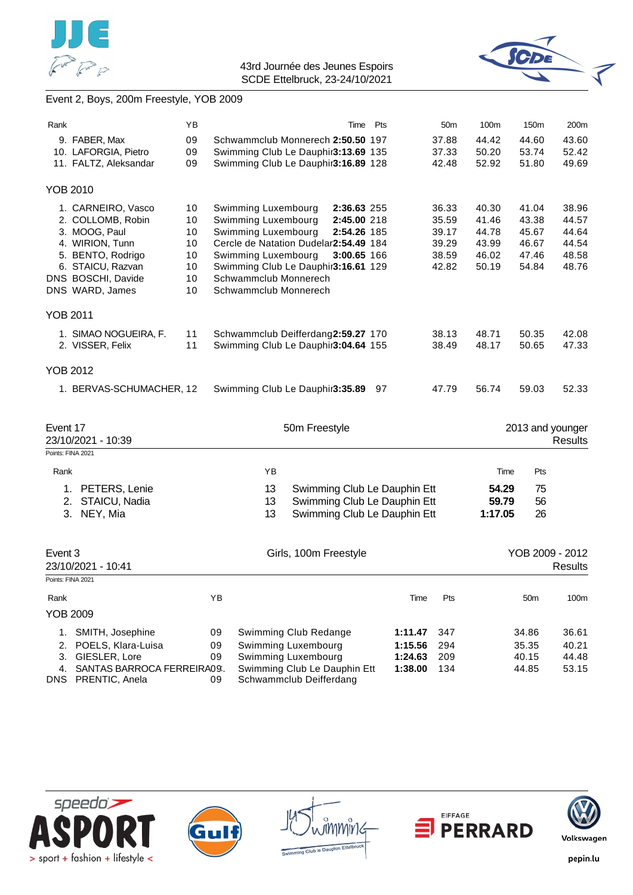



# Event 2, Boys, 200m Freestyle, YOB 2009

| Rank              |                                               | YB       | Time                                                                       | Pts                | 50 <sub>m</sub> | 100m           | 150m             | 200m           |
|-------------------|-----------------------------------------------|----------|----------------------------------------------------------------------------|--------------------|-----------------|----------------|------------------|----------------|
|                   | 9. FABER, Max                                 | 09       | Schwammclub Monnerech 2:50.50 197                                          |                    | 37.88           | 44.42          | 44.60            | 43.60<br>52.42 |
|                   | 10. LAFORGIA, Pietro<br>11. FALTZ, Aleksandar | 09<br>09 | Swimming Club Le Dauphir3:13.69 135<br>Swimming Club Le Dauphir3:16.89 128 |                    | 37.33<br>42.48  | 50.20<br>52.92 | 53.74<br>51.80   | 49.69          |
|                   |                                               |          |                                                                            |                    |                 |                |                  |                |
| <b>YOB 2010</b>   |                                               |          |                                                                            |                    |                 |                |                  |                |
|                   | 1. CARNEIRO, Vasco                            | 10       | Swimming Luxembourg<br>2:36.63 255                                         |                    | 36.33           | 40.30          | 41.04            | 38.96          |
|                   | 2. COLLOMB, Robin                             | 10       | Swimming Luxembourg<br>2:45.00 218                                         |                    | 35.59           | 41.46          | 43.38            | 44.57          |
|                   | 3. MOOG, Paul                                 | 10       | Swimming Luxembourg<br>2:54.26 185                                         |                    | 39.17           | 44.78          | 45.67            | 44.64          |
|                   | 4. WIRION, Tunn                               | 10       | Cercle de Natation Dudelar2:54.49 184                                      |                    | 39.29           | 43.99          | 46.67            | 44.54          |
|                   | 5. BENTO, Rodrigo                             | 10       | Swimming Luxembourg<br>3:00.65 166                                         |                    | 38.59           | 46.02          | 47.46            | 48.58          |
|                   | 6. STAICU, Razvan                             | 10       | Swimming Club Le Dauphir3:16.61 129                                        |                    | 42.82           | 50.19          | 54.84            | 48.76          |
|                   | DNS BOSCHI, Davide                            | 10       | Schwammclub Monnerech                                                      |                    |                 |                |                  |                |
|                   | DNS WARD, James                               | 10       | Schwammclub Monnerech                                                      |                    |                 |                |                  |                |
| <b>YOB 2011</b>   |                                               |          |                                                                            |                    |                 |                |                  |                |
|                   | 1. SIMAO NOGUEIRA, F.                         | 11       | Schwammclub Deifferdang2:59.27 170                                         |                    | 38.13           | 48.71          | 50.35            | 42.08          |
|                   | 2. VISSER, Felix                              | 11       | Swimming Club Le Dauphir3:04.64 155                                        |                    | 38.49           | 48.17          | 50.65            | 47.33          |
|                   |                                               |          |                                                                            |                    |                 |                |                  |                |
| <b>YOB 2012</b>   |                                               |          |                                                                            |                    |                 |                |                  |                |
|                   | 1. BERVAS-SCHUMACHER, 12                      |          | Swimming Club Le Dauphir3:35.89                                            | 97                 | 47.79           | 56.74          | 59.03            | 52.33          |
|                   |                                               |          |                                                                            |                    |                 |                |                  |                |
| Event 17          |                                               |          | 50m Freestyle                                                              |                    |                 |                | 2013 and younger |                |
|                   | 23/10/2021 - 10:39                            |          |                                                                            |                    |                 |                |                  | <b>Results</b> |
|                   | Points: FINA 2021                             |          |                                                                            |                    |                 |                |                  |                |
| Rank              |                                               |          | YB                                                                         |                    |                 | Time           | Pts              |                |
|                   | 1. PETERS, Lenie                              |          | 13<br>Swimming Club Le Dauphin Ett                                         |                    |                 | 54.29          | 75               |                |
|                   | STAICU, Nadia<br>2.                           |          | Swimming Club Le Dauphin Ett<br>13                                         |                    |                 | 59.79          | 56               |                |
|                   | NEY, Mia<br>3.                                |          | Swimming Club Le Dauphin Ett<br>13                                         |                    |                 | 1:17.05        | 26               |                |
|                   |                                               |          |                                                                            |                    |                 |                |                  |                |
| Event 3           |                                               |          | Girls, 100m Freestyle                                                      |                    |                 |                | YOB 2009 - 2012  |                |
|                   | 23/10/2021 - 10:41                            |          |                                                                            |                    |                 |                |                  | <b>Results</b> |
| Points: FINA 2021 |                                               |          |                                                                            |                    |                 |                |                  |                |
|                   |                                               | YB       |                                                                            |                    | Pts             |                | 50m              | 100m           |
| Rank              |                                               |          |                                                                            | Time               |                 |                |                  |                |
|                   |                                               |          |                                                                            |                    |                 |                |                  |                |
|                   | <b>YOB 2009</b>                               |          |                                                                            |                    |                 |                |                  |                |
|                   | 1. SMITH, Josephine                           | 09       | Swimming Club Redange                                                      | 1:11.47            | 347             |                | 34.86            | 36.61          |
| 2.                | POELS, Klara-Luisa                            | 09       | Swimming Luxembourg                                                        | 1:15.56            | 294             |                | 35.35            | 40.21          |
| 3.<br>4.          | GIESLER, Lore<br>SANTAS BARROCA FERREIRA09.   | 09       | Swimming Luxembourg<br>Swimming Club Le Dauphin Ett                        | 1:24.63<br>1:38.00 | 209<br>134      |                | 40.15<br>44.85   | 44.48<br>53.15 |









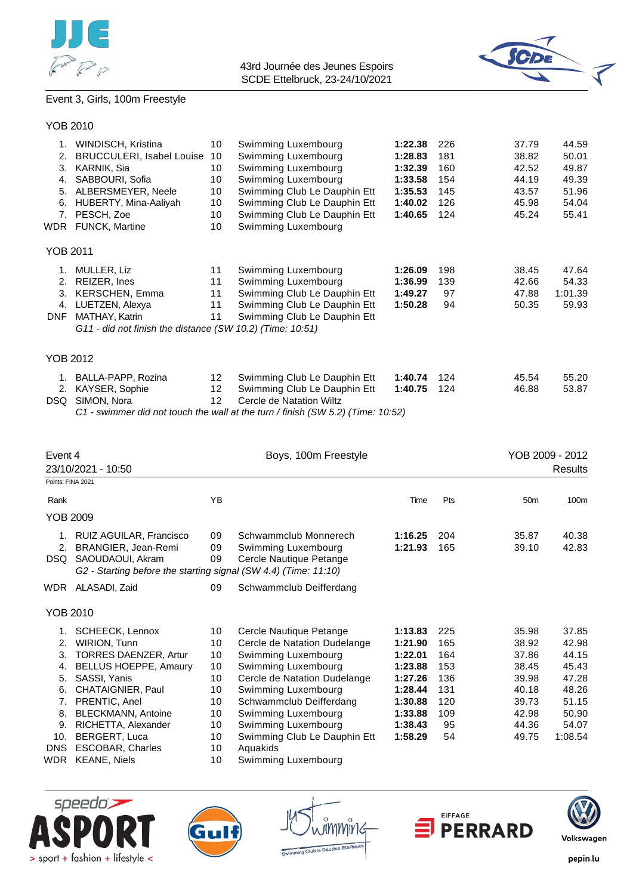



# Event 3, Girls, 100m Freestyle

| 1.              | WINDISCH, Kristina                                        | 10 | Swimming Luxembourg          | 1:22.38 | 226 | 37.79 | 44.59   |
|-----------------|-----------------------------------------------------------|----|------------------------------|---------|-----|-------|---------|
| 2.              | <b>BRUCCULERI, Isabel Louise</b>                          | 10 | Swimming Luxembourg          | 1:28.83 | 181 | 38.82 | 50.01   |
| 3.              | KARNIK, Sia                                               | 10 | Swimming Luxembourg          | 1:32.39 | 160 | 42.52 | 49.87   |
| 4.              | SABBOURI, Sofia                                           | 10 | Swimming Luxembourg          | 1:33.58 | 154 | 44.19 | 49.39   |
| 5.              | ALBERSMEYER, Neele                                        | 10 | Swimming Club Le Dauphin Ett | 1:35.53 | 145 | 43.57 | 51.96   |
| 6.              | HUBERTY, Mina-Aaliyah                                     | 10 | Swimming Club Le Dauphin Ett | 1:40.02 | 126 | 45.98 | 54.04   |
| 7.              | PESCH, Zoe                                                | 10 | Swimming Club Le Dauphin Ett | 1:40.65 | 124 | 45.24 | 55.41   |
|                 | WDR FUNCK, Martine                                        | 10 | Swimming Luxembourg          |         |     |       |         |
| <b>YOB 2011</b> |                                                           |    |                              |         |     |       |         |
| 1.              | MULLER, Liz                                               | 11 | Swimming Luxembourg          | 1:26.09 | 198 | 38.45 | 47.64   |
| 2.              | REIZER, Ines                                              | 11 | Swimming Luxembourg          | 1:36.99 | 139 | 42.66 | 54.33   |
| 3.              | <b>KERSCHEN, Emma</b>                                     | 11 | Swimming Club Le Dauphin Ett | 1:49.27 | 97  | 47.88 | 1:01.39 |
| 4.              | LUETZEN, Alexya                                           | 11 | Swimming Club Le Dauphin Ett | 1:50.28 | 94  | 50.35 | 59.93   |
| <b>DNF</b>      | MATHAY, Katrin                                            | 11 | Swimming Club Le Dauphin Ett |         |     |       |         |
|                 | G11 - did not finish the distance (SW 10.2) (Time: 10:51) |    |                              |         |     |       |         |
| <b>YOB 2012</b> |                                                           |    |                              |         |     |       |         |
|                 |                                                           |    |                              |         |     |       |         |
| 1.              | BALLA-PAPP, Rozina                                        | 12 | Swimming Club Le Dauphin Ett | 1:40.74 | 124 | 45.54 | 55.20   |
|                 | 2. KAYSER, Sophie                                         | 12 | Swimming Club Le Dauphin Ett | 1:40.75 | 124 | 46.88 | 53.87   |

DSQ SIMON, Nora 12 Cercle de Natation Wiltz

*C1 - swimmer did not touch the wall at the turn / finish (SW 5.2) (Time: 10:52)*

| Event 4<br>23/10/2021 - 10:50                                           |                                                                                                                                                                                                                                                              |                                                                | Boys, 100m Freestyle                                                                                                                                                                                                                                                              |                                                                                                            |                                                                  |                                                                                        | YOB 2009 - 2012<br><b>Results</b>                                                        |
|-------------------------------------------------------------------------|--------------------------------------------------------------------------------------------------------------------------------------------------------------------------------------------------------------------------------------------------------------|----------------------------------------------------------------|-----------------------------------------------------------------------------------------------------------------------------------------------------------------------------------------------------------------------------------------------------------------------------------|------------------------------------------------------------------------------------------------------------|------------------------------------------------------------------|----------------------------------------------------------------------------------------|------------------------------------------------------------------------------------------|
| Points: FINA 2021                                                       |                                                                                                                                                                                                                                                              |                                                                |                                                                                                                                                                                                                                                                                   |                                                                                                            |                                                                  |                                                                                        |                                                                                          |
| Rank                                                                    |                                                                                                                                                                                                                                                              | ΥB                                                             |                                                                                                                                                                                                                                                                                   | Time                                                                                                       | Pts                                                              | 50 <sub>m</sub>                                                                        | 100m                                                                                     |
| YOB 2009                                                                |                                                                                                                                                                                                                                                              |                                                                |                                                                                                                                                                                                                                                                                   |                                                                                                            |                                                                  |                                                                                        |                                                                                          |
| 2.<br>DSQ.                                                              | 1. RUIZ AGUILAR, Francisco<br>BRANGIER, Jean-Remi<br>SAOUDAOUI, Akram<br>G2 - Starting before the starting signal (SW 4.4) (Time: 11:10)                                                                                                                     | 09<br>09<br>09                                                 | Schwammclub Monnerech<br>Swimming Luxembourg<br>Cercle Nautique Petange                                                                                                                                                                                                           | 1:16.25<br>1:21.93                                                                                         | 204<br>165                                                       | 35.87<br>39.10                                                                         | 40.38<br>42.83                                                                           |
|                                                                         | WDR ALASADI, Zaid                                                                                                                                                                                                                                            | 09                                                             | Schwammclub Deifferdang                                                                                                                                                                                                                                                           |                                                                                                            |                                                                  |                                                                                        |                                                                                          |
| YOB 2010                                                                |                                                                                                                                                                                                                                                              |                                                                |                                                                                                                                                                                                                                                                                   |                                                                                                            |                                                                  |                                                                                        |                                                                                          |
| 1.<br>2.<br>3.<br>4.<br>5.<br>6.<br>7.<br>8.<br>9.<br>10.<br><b>DNS</b> | SCHEECK, Lennox<br><b>WIRION, Tunn</b><br><b>TORRES DAENZER, Artur</b><br><b>BELLUS HOEPPE, Amaury</b><br>SASSI, Yanis<br>CHATAIGNIER, Paul<br>PRENTIC, Anel<br><b>BLECKMANN, Antoine</b><br>RICHETTA, Alexander<br>BERGERT, Luca<br><b>ESCOBAR, Charles</b> | 10<br>10<br>10<br>10<br>10<br>10<br>10<br>10<br>10<br>10<br>10 | Cercle Nautique Petange<br>Cercle de Natation Dudelange<br>Swimming Luxembourg<br>Swimming Luxembourg<br>Cercle de Natation Dudelange<br>Swimming Luxembourg<br>Schwammclub Deifferdang<br>Swimming Luxembourg<br>Swimming Luxembourg<br>Swimming Club Le Dauphin Ett<br>Aquakids | 1:13.83<br>1:21.90<br>1:22.01<br>1:23.88<br>1:27.26<br>1:28.44<br>1:30.88<br>1:33.88<br>1:38.43<br>1:58.29 | 225<br>165<br>164<br>153<br>136<br>131<br>120<br>109<br>95<br>54 | 35.98<br>38.92<br>37.86<br>38.45<br>39.98<br>40.18<br>39.73<br>42.98<br>44.36<br>49.75 | 37.85<br>42.98<br>44.15<br>45.43<br>47.28<br>48.26<br>51.15<br>50.90<br>54.07<br>1:08.54 |
| WDR                                                                     | <b>KEANE, Niels</b>                                                                                                                                                                                                                                          | 10                                                             | Swimming Luxembourg                                                                                                                                                                                                                                                               |                                                                                                            |                                                                  |                                                                                        |                                                                                          |







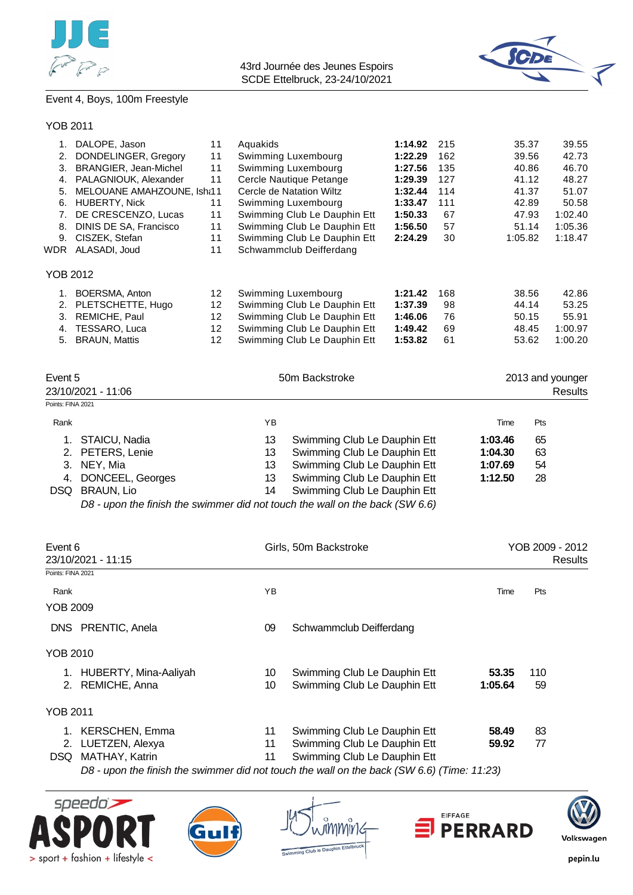



# Event 4, Boys, 100m Freestyle

YOB 2011

| 1.  | DALOPE, Jason              | 11              | Aquakids                     | 1:14.92 | 215 | 35.37   | 39.55   |
|-----|----------------------------|-----------------|------------------------------|---------|-----|---------|---------|
| 2.  | DONDELINGER, Gregory       | 11              | Swimming Luxembourg          | 1:22.29 | 162 | 39.56   | 42.73   |
| 3.  | BRANGIER, Jean-Michel      | 11              | Swimming Luxembourg          | 1:27.56 | 135 | 40.86   | 46.70   |
| 4.  | PALAGNIOUK, Alexander      | 11              | Cercle Nautique Petange      | 1:29.39 | 127 | 41.12   | 48.27   |
| 5.  | MELOUANE AMAHZOUNE, Isha11 |                 | Cercle de Natation Wiltz     | 1:32.44 | 114 | 41.37   | 51.07   |
| 6.  | <b>HUBERTY, Nick</b>       | 11              | Swimming Luxembourg          | 1:33.47 | 111 | 42.89   | 50.58   |
| 7.  | DE CRESCENZO, Lucas        | 11              | Swimming Club Le Dauphin Ett | 1:50.33 | 67  | 47.93   | 1:02.40 |
| 8.  | DINIS DE SA, Francisco     | 11              | Swimming Club Le Dauphin Ett | 1:56.50 | 57  | 51.14   | 1:05.36 |
| 9.  | CISZEK, Stefan             | 11              | Swimming Club Le Dauphin Ett | 2:24.29 | 30  | 1:05.82 | 1:18.47 |
| WDR | ALASADI, Joud              | 11              | Schwammclub Deifferdang      |         |     |         |         |
|     | YOB 2012                   |                 |                              |         |     |         |         |
|     | BOERSMA, Anton             | 12              | Swimming Luxembourg          | 1:21.42 | 168 | 38.56   | 42.86   |
| 2.  | PLETSCHETTE, Hugo          | 12              | Swimming Club Le Dauphin Ett | 1:37.39 | 98  | 44.14   | 53.25   |
| 3.  | REMICHE, Paul              | 12              | Swimming Club Le Dauphin Ett | 1:46.06 | 76  | 50.15   | 55.91   |
| 4.  | TESSARO, Luca              | 12              | Swimming Club Le Dauphin Ett | 1:49.42 | 69  | 48.45   | 1:00.97 |
| 5.  | <b>BRAUN, Mattis</b>       | 12 <sup>2</sup> | Swimming Club Le Dauphin Ett | 1:53.82 | 61  | 53.62   | 1:00.20 |
|     |                            |                 |                              |         |     |         |         |

| Event 5<br>23/10/2021 - 11:06 |                     |    | 50m Backstroke               | 2013 and younger<br>Results |     |  |
|-------------------------------|---------------------|----|------------------------------|-----------------------------|-----|--|
| Points: FINA 2021             |                     |    |                              |                             |     |  |
| Rank                          |                     | YΒ |                              | Time                        | Pts |  |
|                               | STAICU, Nadia       | 13 | Swimming Club Le Dauphin Ett | 1:03.46                     | 65  |  |
|                               | 2. PETERS, Lenie    | 13 | Swimming Club Le Dauphin Ett | 1:04.30                     | 63  |  |
|                               | 3. NEY, Mia         | 13 | Swimming Club Le Dauphin Ett | 1:07.69                     | 54  |  |
|                               | 4. DONCEEL, Georges | 13 | Swimming Club Le Dauphin Ett | 1:12.50                     | 28  |  |
|                               | DSQ BRAUN, Lio      | 14 | Swimming Club Le Dauphin Ett |                             |     |  |

*D8 - upon the finish the swimmer did not touch the wall on the back (SW 6.6)*

| Event 6<br>23/10/2021 - 11:15 |                       |    | Girls, 50m Backstroke                                                                      | YOB 2009 - 2012<br>Results |     |  |
|-------------------------------|-----------------------|----|--------------------------------------------------------------------------------------------|----------------------------|-----|--|
| Points: FINA 2021             |                       |    |                                                                                            |                            |     |  |
| Rank                          |                       | YB |                                                                                            | Time                       | Pts |  |
| YOB 2009                      |                       |    |                                                                                            |                            |     |  |
| DNS.                          | PRENTIC, Anela        | 09 | Schwammclub Deifferdang                                                                    |                            |     |  |
| YOB 2010                      |                       |    |                                                                                            |                            |     |  |
| 1.                            | HUBERTY, Mina-Aaliyah | 10 | Swimming Club Le Dauphin Ett                                                               | 53.35                      | 110 |  |
| 2.                            | REMICHE, Anna         | 10 | Swimming Club Le Dauphin Ett                                                               | 1:05.64                    | 59  |  |
| YOB 2011                      |                       |    |                                                                                            |                            |     |  |
| 1.                            | <b>KERSCHEN, Emma</b> | 11 | Swimming Club Le Dauphin Ett                                                               | 58.49                      | 83  |  |
| 2.                            | LUETZEN, Alexya       | 11 | Swimming Club Le Dauphin Ett                                                               | 59.92                      | 77  |  |
| DSQ.                          | MATHAY, Katrin        | 11 | Swimming Club Le Dauphin Ett                                                               |                            |     |  |
|                               |                       |    | D8 - upon the finish the swimmer did not touch the wall on the back (SW 6.6) (Time: 11:23) |                            |     |  |









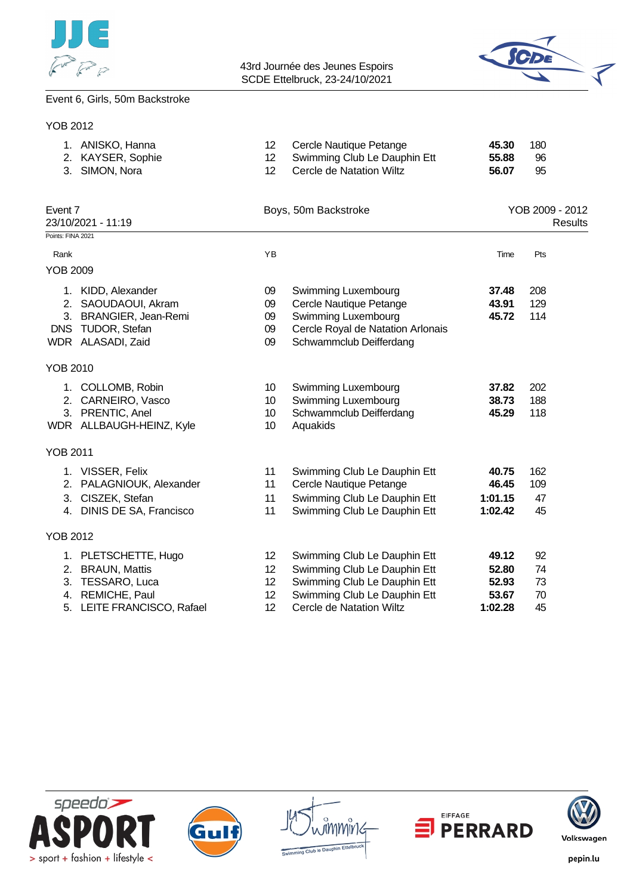



#### Event 6, Girls, 50m Backstroke

| <b>YOB 2012</b>   |                                                                                                               |                                   |                                                                                                                                       |                                      |                                   |
|-------------------|---------------------------------------------------------------------------------------------------------------|-----------------------------------|---------------------------------------------------------------------------------------------------------------------------------------|--------------------------------------|-----------------------------------|
|                   | 1. ANISKO, Hanna<br>2. KAYSER, Sophie<br>3. SIMON, Nora                                                       | 12<br>12 <sup>2</sup><br>12       | Cercle Nautique Petange<br>Swimming Club Le Dauphin Ett<br>Cercle de Natation Wiltz                                                   | 45.30<br>55.88<br>56.07              | 180<br>96<br>95                   |
| Event 7           | 23/10/2021 - 11:19                                                                                            |                                   | Boys, 50m Backstroke                                                                                                                  |                                      | YOB 2009 - 2012<br><b>Results</b> |
| Points: FINA 2021 |                                                                                                               |                                   |                                                                                                                                       |                                      |                                   |
| Rank              |                                                                                                               | YB                                |                                                                                                                                       | Time                                 | Pts                               |
| <b>YOB 2009</b>   |                                                                                                               |                                   |                                                                                                                                       |                                      |                                   |
|                   | 1. KIDD, Alexander<br>2. SAOUDAOUI, Akram<br>3. BRANGIER, Jean-Remi<br>DNS TUDOR, Stefan<br>WDR ALASADI, Zaid | 09<br>09<br>09<br>09<br>09        | Swimming Luxembourg<br>Cercle Nautique Petange<br>Swimming Luxembourg<br>Cercle Royal de Natation Arlonais<br>Schwammclub Deifferdang | 37.48<br>43.91<br>45.72              | 208<br>129<br>114                 |
| <b>YOB 2010</b>   |                                                                                                               |                                   |                                                                                                                                       |                                      |                                   |
|                   | 1. COLLOMB, Robin<br>2. CARNEIRO, Vasco<br>3. PRENTIC, Anel<br>WDR ALLBAUGH-HEINZ, Kyle                       | 10<br>10<br>10 <sup>°</sup><br>10 | Swimming Luxembourg<br>Swimming Luxembourg<br>Schwammclub Deifferdang<br>Aquakids                                                     | 37.82<br>38.73<br>45.29              | 202<br>188<br>118                 |
| <b>YOB 2011</b>   |                                                                                                               |                                   |                                                                                                                                       |                                      |                                   |
|                   | 1. VISSER, Felix<br>2. PALAGNIOUK, Alexander<br>3. CISZEK, Stefan<br>4. DINIS DE SA, Francisco                | 11<br>11<br>11<br>11              | Swimming Club Le Dauphin Ett<br>Cercle Nautique Petange<br>Swimming Club Le Dauphin Ett<br>Swimming Club Le Dauphin Ett               | 40.75<br>46.45<br>1:01.15<br>1:02.42 | 162<br>109<br>47<br>45            |
| <b>YOB 2012</b>   |                                                                                                               |                                   |                                                                                                                                       |                                      |                                   |
|                   | 1. PLETSCHETTE, Hugo<br>2. BRAUN, Mattis<br>3. TESSARO, Luca<br>4. REMICHE, Paul                              | 12<br>12<br>12<br>12              | Swimming Club Le Dauphin Ett<br>Swimming Club Le Dauphin Ett<br>Swimming Club Le Dauphin Ett<br>Swimming Club Le Dauphin Ett          | 49.12<br>52.80<br>52.93<br>53.67     | 92<br>74<br>73<br>70              |
|                   | 5. LEITE FRANCISCO, Rafael                                                                                    | 12                                | <b>Cercle de Natation Wiltz</b>                                                                                                       | 1:02.28                              | 45                                |









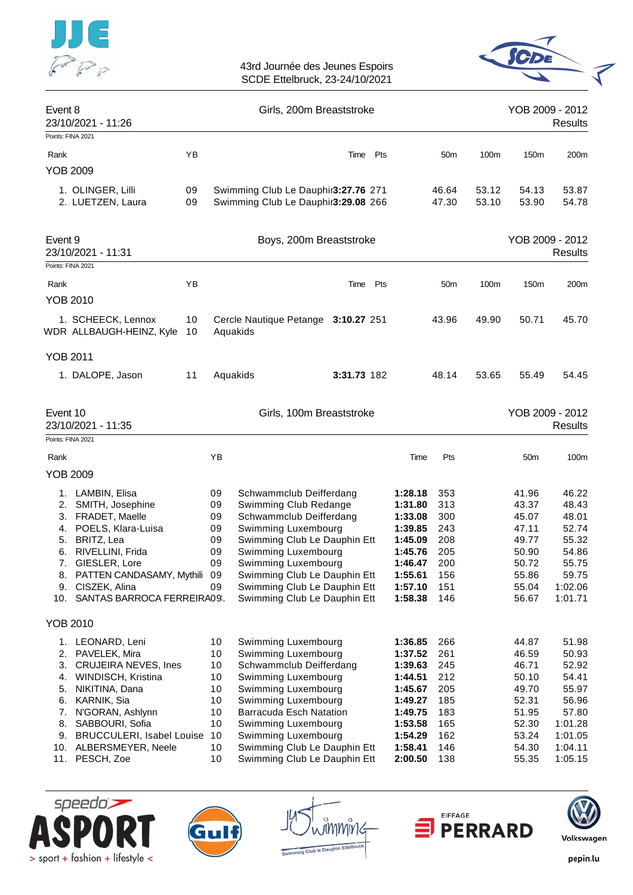



| Event 8                    | 23/10/2021 - 11:26                                                                                    |          |                            | Girls, 200m Breaststroke                                                                                            |             |                                                     |                                 |                | YOB 2009 - 2012                           | Results                                   |
|----------------------------|-------------------------------------------------------------------------------------------------------|----------|----------------------------|---------------------------------------------------------------------------------------------------------------------|-------------|-----------------------------------------------------|---------------------------------|----------------|-------------------------------------------|-------------------------------------------|
| Points: FINA 2021          |                                                                                                       |          |                            |                                                                                                                     |             |                                                     |                                 |                |                                           |                                           |
| Rank                       |                                                                                                       | YB       |                            |                                                                                                                     | Time Pts    |                                                     | 50 <sub>m</sub>                 | 100m           | 150m                                      | 200m                                      |
| <b>YOB 2009</b>            |                                                                                                       |          |                            |                                                                                                                     |             |                                                     |                                 |                |                                           |                                           |
|                            | 1. OLINGER, Lilli<br>2. LUETZEN, Laura                                                                | 09<br>09 |                            | Swimming Club Le Dauphir3:27.76 271<br>Swimming Club Le Dauphir3:29.08 266                                          |             |                                                     | 46.64<br>47.30                  | 53.12<br>53.10 | 54.13<br>53.90                            | 53.87<br>54.78                            |
| Event 9                    | 23/10/2021 - 11:31                                                                                    |          |                            | Boys, 200m Breaststroke                                                                                             |             |                                                     |                                 |                | YOB 2009 - 2012                           | <b>Results</b>                            |
| Points: FINA 2021          |                                                                                                       |          |                            |                                                                                                                     |             |                                                     |                                 |                |                                           |                                           |
| Rank<br><b>YOB 2010</b>    |                                                                                                       | ΥB       |                            |                                                                                                                     | Time Pts    |                                                     | 50 <sub>m</sub>                 | 100m           | 150m                                      | 200m                                      |
|                            | 1. SCHEECK, Lennox<br>WDR ALLBAUGH-HEINZ, Kyle                                                        | 10<br>10 |                            | Cercle Nautique Petange<br>Aquakids                                                                                 | 3:10.27 251 |                                                     | 43.96                           | 49.90          | 50.71                                     | 45.70                                     |
| <b>YOB 2011</b>            |                                                                                                       |          |                            |                                                                                                                     |             |                                                     |                                 |                |                                           |                                           |
|                            | 1. DALOPE, Jason                                                                                      | 11       |                            | Aquakids                                                                                                            | 3:31.73 182 |                                                     | 48.14                           | 53.65          | 55.49                                     | 54.45                                     |
| Event 10                   | 23/10/2021 - 11:35                                                                                    |          |                            | Girls, 100m Breaststroke                                                                                            |             |                                                     |                                 |                | YOB 2009 - 2012                           | <b>Results</b>                            |
| Points: FINA 2021          |                                                                                                       |          |                            |                                                                                                                     |             |                                                     |                                 |                |                                           |                                           |
| Rank                       |                                                                                                       |          | ΥB                         |                                                                                                                     |             | Time                                                | Pts                             |                | 50 <sub>m</sub>                           | 100m                                      |
| <b>YOB 2009</b>            |                                                                                                       |          |                            |                                                                                                                     |             |                                                     |                                 |                |                                           |                                           |
| 1.<br>2.<br>3.<br>4.       | LAMBIN, Elisa<br>SMITH, Josephine<br>FRADET, Maelle<br>POELS, Klara-Luisa                             |          | 09<br>09<br>09<br>09       | Schwammclub Deifferdang<br>Swimming Club Redange<br>Schwammclub Deifferdang<br>Swimming Luxembourg                  |             | 1:28.18<br>1:31.80<br>1:33.08<br>1:39.85            | 353<br>313<br>300<br>243        |                | 41.96<br>43.37<br>45.07<br>47.11          | 46.22<br>48.43<br>48.01<br>52.74          |
| 5.                         | BRITZ, Lea                                                                                            |          | 09                         | Swimming Club Le Dauphin Ett                                                                                        |             | 1:45.09                                             | 208                             |                | 49.77                                     | 55.32                                     |
| 6.                         | RIVELLINI, Frida                                                                                      |          | 09                         | Swimming Luxembourg                                                                                                 |             | 1:45.76                                             | 205                             |                | 50.90                                     | 54.86                                     |
| 7.<br>8.<br>9.<br>10.      | GIESLER, Lore<br>PATTEN CANDASAMY, Mythili 09<br>CISZEK, Alina<br>SANTAS BARROCA FERREIRA09.          |          | 09<br>09                   | Swimming Luxembourg<br>Swimming Club Le Dauphin Ett<br>Swimming Club Le Dauphin Ett<br>Swimming Club Le Dauphin Ett |             | 1:46.47<br>1:55.61<br>1:57.10<br>1:58.38            | 200<br>156<br>151<br>146        |                | 50.72<br>55.86<br>55.04<br>56.67          | 55.75<br>59.75<br>1:02.06<br>1:01.71      |
| <b>YOB 2010</b>            |                                                                                                       |          |                            |                                                                                                                     |             |                                                     |                                 |                |                                           |                                           |
| 1.<br>2.<br>3.<br>4.<br>5. | LEONARD, Leni<br>PAVELEK, Mira<br><b>CRUJEIRA NEVES, Ines</b><br>WINDISCH, Kristina<br>NIKITINA, Dana |          | 10<br>10<br>10<br>10<br>10 | Swimming Luxembourg<br>Swimming Luxembourg<br>Schwammclub Deifferdang<br>Swimming Luxembourg<br>Swimming Luxembourg |             | 1:36.85<br>1:37.52<br>1:39.63<br>1:44.51<br>1:45.67 | 266<br>261<br>245<br>212<br>205 |                | 44.87<br>46.59<br>46.71<br>50.10<br>49.70 | 51.98<br>50.93<br>52.92<br>54.41<br>55.97 |
| 6.                         | KARNIK, Sia<br>7. N'GORAN, Ashlynn<br>8. SABBOURI, Sofia                                              |          | 10<br>10<br>10             | Swimming Luxembourg<br>Barracuda Esch Natation<br>Swimming Luxembourg                                               |             | 1:49.27<br>1:49.75<br>1:53.58                       | 185<br>183<br>165               |                | 52.31<br>51.95<br>52.30                   | 56.96<br>57.80<br>1:01.28                 |
|                            | 9. BRUCCULERI, Isabel Louise<br>10. ALBERSMEYER, Neele<br>11. PESCH, Zoe                              |          | 10<br>10<br>10             | Swimming Luxembourg<br>Swimming Club Le Dauphin Ett<br>Swimming Club Le Dauphin Ett                                 |             | 1:54.29<br>1:58.41<br>2:00.50                       | 162<br>146<br>138               |                | 53.24<br>54.30<br>55.35                   | 1:01.05<br>1:04.11<br>1:05.15             |





a<br>Mmiric ing Club le Dauphin Et



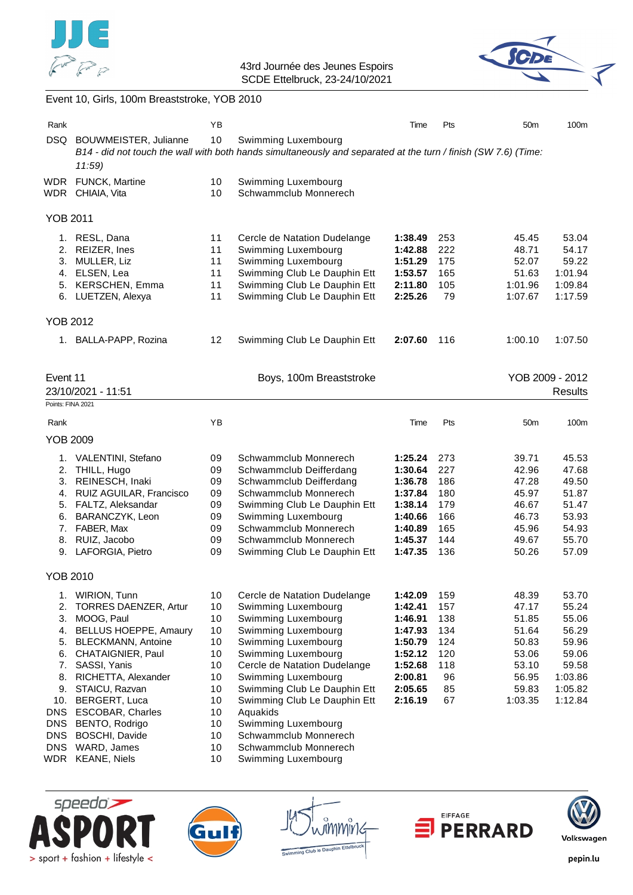



# Event 10, Girls, 100m Breaststroke, YOB 2010

| Rank                                                                                                              |                                                                                                                                                                                                                                                                                                                      | ΥB                                                                                     |                                                                                                                                                                                                                                                                                                                                                                                    | Time                                                                                                       | Pts                                                             | 50 <sub>m</sub>                                                                          | 100m                                                                                         |
|-------------------------------------------------------------------------------------------------------------------|----------------------------------------------------------------------------------------------------------------------------------------------------------------------------------------------------------------------------------------------------------------------------------------------------------------------|----------------------------------------------------------------------------------------|------------------------------------------------------------------------------------------------------------------------------------------------------------------------------------------------------------------------------------------------------------------------------------------------------------------------------------------------------------------------------------|------------------------------------------------------------------------------------------------------------|-----------------------------------------------------------------|------------------------------------------------------------------------------------------|----------------------------------------------------------------------------------------------|
|                                                                                                                   | DSQ BOUWMEISTER, Julianne<br>11:59                                                                                                                                                                                                                                                                                   | 10                                                                                     | Swimming Luxembourg<br>B14 - did not touch the wall with both hands simultaneously and separated at the turn / finish (SW 7.6) (Time:                                                                                                                                                                                                                                              |                                                                                                            |                                                                 |                                                                                          |                                                                                              |
|                                                                                                                   | WDR FUNCK, Martine<br>WDR CHIAIA, Vita                                                                                                                                                                                                                                                                               | 10<br>10                                                                               | Swimming Luxembourg<br>Schwammclub Monnerech                                                                                                                                                                                                                                                                                                                                       |                                                                                                            |                                                                 |                                                                                          |                                                                                              |
| <b>YOB 2011</b>                                                                                                   |                                                                                                                                                                                                                                                                                                                      |                                                                                        |                                                                                                                                                                                                                                                                                                                                                                                    |                                                                                                            |                                                                 |                                                                                          |                                                                                              |
|                                                                                                                   | 1. RESL, Dana<br>2. REIZER, Ines<br>3. MULLER, Liz<br>4. ELSEN, Lea<br>5. KERSCHEN, Emma<br>6. LUETZEN, Alexya                                                                                                                                                                                                       | 11<br>11<br>11<br>11<br>11<br>11                                                       | Cercle de Natation Dudelange<br>Swimming Luxembourg<br>Swimming Luxembourg<br>Swimming Club Le Dauphin Ett<br>Swimming Club Le Dauphin Ett<br>Swimming Club Le Dauphin Ett                                                                                                                                                                                                         | 1:38.49<br>1:42.88<br>1:51.29<br>1:53.57<br>2:11.80<br>2:25.26                                             | 253<br>222<br>175<br>165<br>105<br>79                           | 45.45<br>48.71<br>52.07<br>51.63<br>1:01.96<br>1:07.67                                   | 53.04<br>54.17<br>59.22<br>1:01.94<br>1:09.84<br>1:17.59                                     |
| <b>YOB 2012</b>                                                                                                   |                                                                                                                                                                                                                                                                                                                      |                                                                                        |                                                                                                                                                                                                                                                                                                                                                                                    |                                                                                                            |                                                                 |                                                                                          |                                                                                              |
|                                                                                                                   | 1. BALLA-PAPP, Rozina                                                                                                                                                                                                                                                                                                | 12                                                                                     | Swimming Club Le Dauphin Ett                                                                                                                                                                                                                                                                                                                                                       | 2:07.60                                                                                                    | 116                                                             | 1:00.10                                                                                  | 1:07.50                                                                                      |
| Event 11<br>Points: FINA 2021                                                                                     | 23/10/2021 - 11:51                                                                                                                                                                                                                                                                                                   |                                                                                        | Boys, 100m Breaststroke                                                                                                                                                                                                                                                                                                                                                            |                                                                                                            |                                                                 |                                                                                          | YOB 2009 - 2012<br>Results                                                                   |
| Rank<br><b>YOB 2009</b>                                                                                           |                                                                                                                                                                                                                                                                                                                      | ΥB                                                                                     |                                                                                                                                                                                                                                                                                                                                                                                    | Time                                                                                                       | Pts                                                             | 50 <sub>m</sub>                                                                          | 100m                                                                                         |
| 2.                                                                                                                | 1. VALENTINI, Stefano<br>THILL, Hugo<br>3. REINESCH, Inaki<br>4. RUIZ AGUILAR, Francisco<br>5. FALTZ, Aleksandar<br>6. BARANCZYK, Leon<br>7. FABER, Max<br>8. RUIZ, Jacobo<br>9. LAFORGIA, Pietro                                                                                                                    | 09<br>09<br>09<br>09<br>09<br>09<br>09<br>09<br>09                                     | Schwammclub Monnerech<br>Schwammclub Deifferdang<br>Schwammclub Deifferdang<br>Schwammclub Monnerech<br>Swimming Club Le Dauphin Ett<br>Swimming Luxembourg<br>Schwammclub Monnerech<br>Schwammclub Monnerech<br>Swimming Club Le Dauphin Ett                                                                                                                                      | 1:25.24<br>1:30.64<br>1:36.78<br>1:37.84<br>1:38.14<br>1:40.66<br>1:40.89<br>1:45.37<br>1:47.35            | 273<br>227<br>186<br>180<br>179<br>166<br>165<br>144<br>136     | 39.71<br>42.96<br>47.28<br>45.97<br>46.67<br>46.73<br>45.96<br>49.67<br>50.26            | 45.53<br>47.68<br>49.50<br>51.87<br>51.47<br>53.93<br>54.93<br>55.70<br>57.09                |
| <b>YOB 2010</b>                                                                                                   |                                                                                                                                                                                                                                                                                                                      |                                                                                        |                                                                                                                                                                                                                                                                                                                                                                                    |                                                                                                            |                                                                 |                                                                                          |                                                                                              |
| 1.<br>2.<br>3.<br>4.<br>5.<br>6.<br>7.<br>8.<br>9.<br>10.<br>DNS<br><b>DNS</b><br><b>DNS</b><br><b>DNS</b><br>WDR | WIRION, Tunn<br>TORRES DAENZER, Artur<br>MOOG, Paul<br><b>BELLUS HOEPPE, Amaury</b><br><b>BLECKMANN, Antoine</b><br>CHATAIGNIER, Paul<br>SASSI, Yanis<br>RICHETTA, Alexander<br>STAICU, Razvan<br>BERGERT, Luca<br><b>ESCOBAR, Charles</b><br>BENTO, Rodrigo<br>BOSCHI, Davide<br>WARD, James<br><b>KEANE, Niels</b> | 10<br>10<br>10<br>10<br>10<br>10<br>10<br>10<br>10<br>10<br>10<br>10<br>10<br>10<br>10 | Cercle de Natation Dudelange<br>Swimming Luxembourg<br>Swimming Luxembourg<br>Swimming Luxembourg<br>Swimming Luxembourg<br>Swimming Luxembourg<br>Cercle de Natation Dudelange<br>Swimming Luxembourg<br>Swimming Club Le Dauphin Ett<br>Swimming Club Le Dauphin Ett<br>Aquakids<br>Swimming Luxembourg<br>Schwammclub Monnerech<br>Schwammclub Monnerech<br>Swimming Luxembourg | 1:42.09<br>1:42.41<br>1:46.91<br>1:47.93<br>1:50.79<br>1:52.12<br>1:52.68<br>2:00.81<br>2:05.65<br>2:16.19 | 159<br>157<br>138<br>134<br>124<br>120<br>118<br>96<br>85<br>67 | 48.39<br>47.17<br>51.85<br>51.64<br>50.83<br>53.06<br>53.10<br>56.95<br>59.83<br>1:03.35 | 53.70<br>55.24<br>55.06<br>56.29<br>59.96<br>59.06<br>59.58<br>1:03.86<br>1:05.82<br>1:12.84 |





กิททางิน b to Daupt



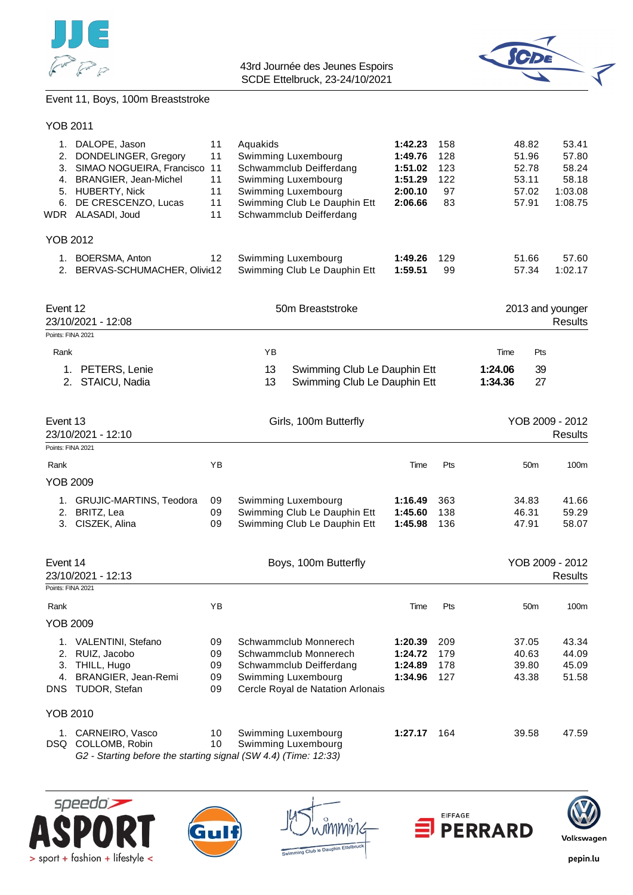



# Event 11, Boys, 100m Breaststroke

speedo)

> sport + fashion + lifestyle <

Gul

| 1.<br>2.<br>3.<br>4.<br>6. | DALOPE, Jason<br>DONDELINGER, Gregory<br>SIMAO NOGUEIRA, Francisco<br>BRANGIER, Jean-Michel<br>5. HUBERTY, Nick<br>DE CRESCENZO, Lucas<br>WDR ALASADI, Joud | 11<br>11<br>11<br>11<br>11<br>11<br>11 | Aquakids | 1:42.23<br>158<br>Swimming Luxembourg<br>1:49.76<br>128<br>Schwammclub Deifferdang<br>123<br>1:51.02<br>Swimming Luxembourg<br>1:51.29<br>122<br>Swimming Luxembourg<br>2:00.10<br>Swimming Club Le Dauphin Ett<br>2:06.66<br>Schwammclub Deifferdang |                    |            |                    | 48.82<br>51.96<br>52.78<br>53.11<br>57.02<br>57.91 | 53.41<br>57.80<br>58.24<br>58.18<br>1:03.08<br>1:08.75 |
|----------------------------|-------------------------------------------------------------------------------------------------------------------------------------------------------------|----------------------------------------|----------|-------------------------------------------------------------------------------------------------------------------------------------------------------------------------------------------------------------------------------------------------------|--------------------|------------|--------------------|----------------------------------------------------|--------------------------------------------------------|
| <b>YOB 2012</b>            |                                                                                                                                                             |                                        |          |                                                                                                                                                                                                                                                       |                    |            |                    |                                                    |                                                        |
| 1.<br>2.                   | <b>BOERSMA, Anton</b><br>BERVAS-SCHUMACHER, Olivit12                                                                                                        | 12                                     |          | Swimming Luxembourg<br>Swimming Club Le Dauphin Ett                                                                                                                                                                                                   | 1:49.26<br>1:59.51 | 129<br>99  |                    | 51.66<br>57.34                                     | 57.60<br>1:02.17                                       |
| Event 12                   | 23/10/2021 - 12:08                                                                                                                                          |                                        |          | 50m Breaststroke                                                                                                                                                                                                                                      |                    |            |                    |                                                    | 2013 and younger<br><b>Results</b>                     |
| Points: FINA 2021          |                                                                                                                                                             |                                        |          |                                                                                                                                                                                                                                                       |                    |            |                    |                                                    |                                                        |
| Rank                       |                                                                                                                                                             |                                        | YB       |                                                                                                                                                                                                                                                       |                    |            | Time               | Pts                                                |                                                        |
|                            | 1. PETERS, Lenie<br>2. STAICU, Nadia                                                                                                                        |                                        | 13<br>13 | Swimming Club Le Dauphin Ett<br>Swimming Club Le Dauphin Ett                                                                                                                                                                                          |                    |            | 1:24.06<br>1:34.36 | 39<br>27                                           |                                                        |
| Event 13                   | 23/10/2021 - 12:10                                                                                                                                          |                                        |          | Girls, 100m Butterfly                                                                                                                                                                                                                                 |                    |            |                    |                                                    | YOB 2009 - 2012<br>Results                             |
| Points: FINA 2021          |                                                                                                                                                             |                                        |          |                                                                                                                                                                                                                                                       |                    |            |                    |                                                    |                                                        |
| Rank<br><b>YOB 2009</b>    |                                                                                                                                                             | YB                                     |          |                                                                                                                                                                                                                                                       | Time               | Pts        |                    | 50 <sub>m</sub>                                    | 100m                                                   |
|                            |                                                                                                                                                             |                                        |          |                                                                                                                                                                                                                                                       |                    |            |                    |                                                    |                                                        |
| 1.<br>2.                   | <b>GRUJIC-MARTINS, Teodora</b><br>BRITZ, Lea                                                                                                                | 09<br>09                               |          | Swimming Luxembourg<br>Swimming Club Le Dauphin Ett                                                                                                                                                                                                   | 1:16.49<br>1:45.60 | 363<br>138 |                    | 34.83<br>46.31                                     | 41.66<br>59.29                                         |
| 3.                         | CISZEK, Alina                                                                                                                                               | 09                                     |          | Swimming Club Le Dauphin Ett                                                                                                                                                                                                                          | 1:45.98            | 136        |                    | 47.91                                              | 58.07                                                  |
| Event 14                   | 23/10/2021 - 12:13                                                                                                                                          |                                        |          | Boys, 100m Butterfly                                                                                                                                                                                                                                  |                    |            |                    |                                                    | YOB 2009 - 2012<br>Results                             |
| Points: FINA 2021          |                                                                                                                                                             |                                        |          |                                                                                                                                                                                                                                                       |                    |            |                    |                                                    |                                                        |
| Rank                       |                                                                                                                                                             | ΥB                                     |          |                                                                                                                                                                                                                                                       | Time               | Pts        |                    | 50 <sub>m</sub>                                    | 100m                                                   |
| YOB 2009                   |                                                                                                                                                             |                                        |          |                                                                                                                                                                                                                                                       |                    |            |                    |                                                    |                                                        |
|                            | 1. VALENTINI, Stefano                                                                                                                                       | 09                                     |          | Schwammclub Monnerech                                                                                                                                                                                                                                 | 1:20.39            | 209        |                    | 37.05                                              | 43.34                                                  |
| 2.                         | RUIZ, Jacobo                                                                                                                                                | 09                                     |          | Schwammclub Monnerech                                                                                                                                                                                                                                 | 1:24.72            | 179        |                    | 40.63                                              | 44.09                                                  |
| 3.                         | THILL, Hugo                                                                                                                                                 | 09                                     |          | Schwammclub Deifferdang                                                                                                                                                                                                                               | 1:24.89            | 178        |                    | 39.80                                              | 45.09                                                  |
| 4.                         | BRANGIER, Jean-Remi<br>DNS TUDOR, Stefan                                                                                                                    | 09<br>09                               |          | Swimming Luxembourg<br>Cercle Royal de Natation Arlonais                                                                                                                                                                                              | 1:34.96            | 127        |                    | 43.38                                              | 51.58                                                  |
| <b>YOB 2010</b>            |                                                                                                                                                             |                                        |          |                                                                                                                                                                                                                                                       |                    |            |                    |                                                    |                                                        |
|                            | 1. CARNEIRO, Vasco<br>DSQ COLLOMB, Robin<br>G2 - Starting before the starting signal (SW 4.4) (Time: 12:33)                                                 | 10<br>10                               |          | Swimming Luxembourg<br>Swimming Luxembourg                                                                                                                                                                                                            | 1:27.17 164        |            |                    | 39.58                                              | 47.59                                                  |

mmmir

to Davo



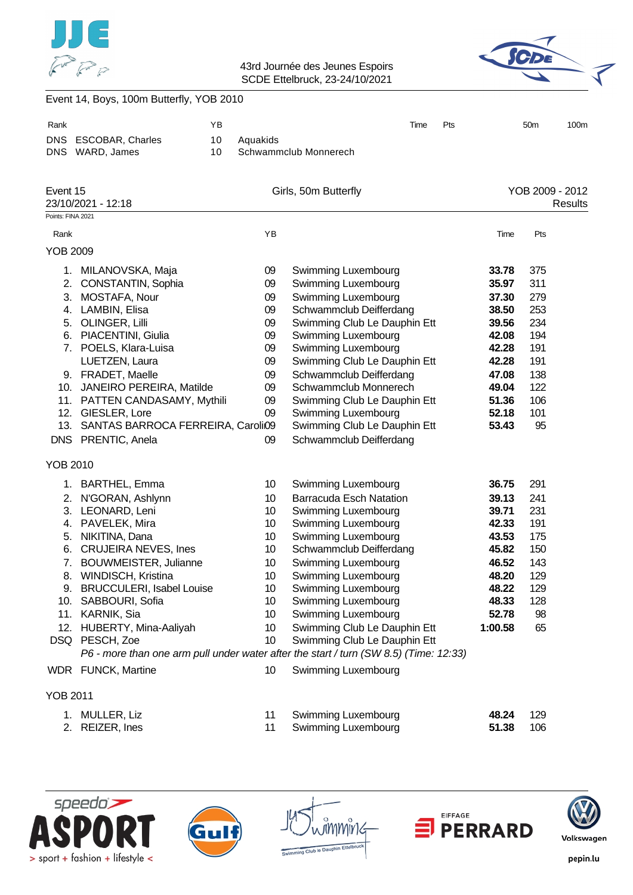



|                   | Event 14, Boys, 100m Butterfly, YOB 2010                                                                                                                                                                                                                                                                                                |          |                                                                                                                                                   |                                                                                                                                                                                                                                                                                                                                                                                                                                                                        |     |                                                                                                            |                                                                                |                            |
|-------------------|-----------------------------------------------------------------------------------------------------------------------------------------------------------------------------------------------------------------------------------------------------------------------------------------------------------------------------------------|----------|---------------------------------------------------------------------------------------------------------------------------------------------------|------------------------------------------------------------------------------------------------------------------------------------------------------------------------------------------------------------------------------------------------------------------------------------------------------------------------------------------------------------------------------------------------------------------------------------------------------------------------|-----|------------------------------------------------------------------------------------------------------------|--------------------------------------------------------------------------------|----------------------------|
| Rank              |                                                                                                                                                                                                                                                                                                                                         | ΥB       |                                                                                                                                                   | Time                                                                                                                                                                                                                                                                                                                                                                                                                                                                   | Pts |                                                                                                            | 50 <sub>m</sub>                                                                | 100m                       |
|                   | DNS ESCOBAR, Charles<br>DNS WARD, James                                                                                                                                                                                                                                                                                                 | 10<br>10 | Aquakids                                                                                                                                          | Schwammclub Monnerech                                                                                                                                                                                                                                                                                                                                                                                                                                                  |     |                                                                                                            |                                                                                |                            |
| Event 15          | 23/10/2021 - 12:18                                                                                                                                                                                                                                                                                                                      |          |                                                                                                                                                   | Girls, 50m Butterfly                                                                                                                                                                                                                                                                                                                                                                                                                                                   |     |                                                                                                            |                                                                                | YOB 2009 - 2012<br>Results |
| Points: FINA 2021 |                                                                                                                                                                                                                                                                                                                                         |          |                                                                                                                                                   |                                                                                                                                                                                                                                                                                                                                                                                                                                                                        |     |                                                                                                            |                                                                                |                            |
| Rank              |                                                                                                                                                                                                                                                                                                                                         |          | YB                                                                                                                                                |                                                                                                                                                                                                                                                                                                                                                                                                                                                                        |     | Time                                                                                                       | Pts                                                                            |                            |
| <b>YOB 2009</b>   |                                                                                                                                                                                                                                                                                                                                         |          |                                                                                                                                                   |                                                                                                                                                                                                                                                                                                                                                                                                                                                                        |     |                                                                                                            |                                                                                |                            |
| 3.                | 1. MILANOVSKA, Maja<br>2. CONSTANTIN, Sophia<br>MOSTAFA, Nour<br>4. LAMBIN, Elisa<br>5. OLINGER, Lilli<br>6. PIACENTINI, Giulia<br>7. POELS, Klara-Luisa<br>LUETZEN, Laura<br>9. FRADET, Maelle                                                                                                                                         |          | 09<br>09<br>09<br>09<br>09<br>09<br>09<br>09<br>09                                                                                                | <b>Swimming Luxembourg</b><br>Swimming Luxembourg<br>Swimming Luxembourg<br>Schwammclub Deifferdang<br>Swimming Club Le Dauphin Ett<br><b>Swimming Luxembourg</b><br>Swimming Luxembourg<br>Swimming Club Le Dauphin Ett<br>Schwammclub Deifferdang<br>Schwammclub Monnerech                                                                                                                                                                                           |     | 33.78<br>35.97<br>37.30<br>38.50<br>39.56<br>42.08<br>42.28<br>42.28<br>47.08                              | 375<br>311<br>279<br>253<br>234<br>194<br>191<br>191<br>138                    |                            |
|                   | 10. JANEIRO PEREIRA, Matilde<br>11. PATTEN CANDASAMY, Mythili<br>12. GIESLER, Lore<br>13. SANTAS BARROCA FERREIRA, Caroli09<br>DNS PRENTIC, Anela                                                                                                                                                                                       |          | 09<br>09<br>09<br>09                                                                                                                              | Swimming Club Le Dauphin Ett<br>Swimming Luxembourg<br>Swimming Club Le Dauphin Ett<br>Schwammclub Deifferdang                                                                                                                                                                                                                                                                                                                                                         |     | 49.04<br>51.36<br>52.18<br>53.43                                                                           | 122<br>106<br>101<br>95                                                        |                            |
| <b>YOB 2010</b>   |                                                                                                                                                                                                                                                                                                                                         |          |                                                                                                                                                   |                                                                                                                                                                                                                                                                                                                                                                                                                                                                        |     |                                                                                                            |                                                                                |                            |
| 7.                | 1. BARTHEL, Emma<br>2. N'GORAN, Ashlynn<br>3. LEONARD, Leni<br>4. PAVELEK, Mira<br>5. NIKITINA, Dana<br>6. CRUJEIRA NEVES, Ines<br><b>BOUWMEISTER, Julianne</b><br>8. WINDISCH, Kristina<br>9. BRUCCULERI, Isabel Louise<br>10. SABBOURI, Sofia<br>11. KARNIK, Sia<br>12. HUBERTY, Mina-Aaliyah<br>DSQ PESCH, Zoe<br>WDR FUNCK, Martine |          | 10<br>10 <sup>°</sup><br>10 <sup>°</sup><br>10 <sup>°</sup><br>10 <sup>°</sup><br>10 <sup>°</sup><br>10<br>10<br>10<br>10<br>10<br>10<br>10<br>10 | <b>Swimming Luxembourg</b><br><b>Barracuda Esch Natation</b><br>Swimming Luxembourg<br>Swimming Luxembourg<br>Swimming Luxembourg<br>Schwammclub Deifferdang<br>Swimming Luxembourg<br>Swimming Luxembourg<br>Swimming Luxembourg<br>Swimming Luxembourg<br>Swimming Luxembourg<br>Swimming Club Le Dauphin Ett<br>Swimming Club Le Dauphin Ett<br>P6 - more than one arm pull under water after the start / turn (SW 8.5) (Time: 12:33)<br><b>Swimming Luxembourg</b> |     | 36.75<br>39.13<br>39.71<br>42.33<br>43.53<br>45.82<br>46.52<br>48.20<br>48.22<br>48.33<br>52.78<br>1:00.58 | 291<br>241<br>231<br>191<br>175<br>150<br>143<br>129<br>129<br>128<br>98<br>65 |                            |
|                   |                                                                                                                                                                                                                                                                                                                                         |          |                                                                                                                                                   |                                                                                                                                                                                                                                                                                                                                                                                                                                                                        |     |                                                                                                            |                                                                                |                            |
| <b>YOB 2011</b>   |                                                                                                                                                                                                                                                                                                                                         |          |                                                                                                                                                   |                                                                                                                                                                                                                                                                                                                                                                                                                                                                        |     |                                                                                                            |                                                                                |                            |

- 
- 
- 1. MULLER, Liz 11 Swimming Luxembourg **48.24** 129 2. REIZER, Ines 11 Swimming Luxembourg **51.38** 106









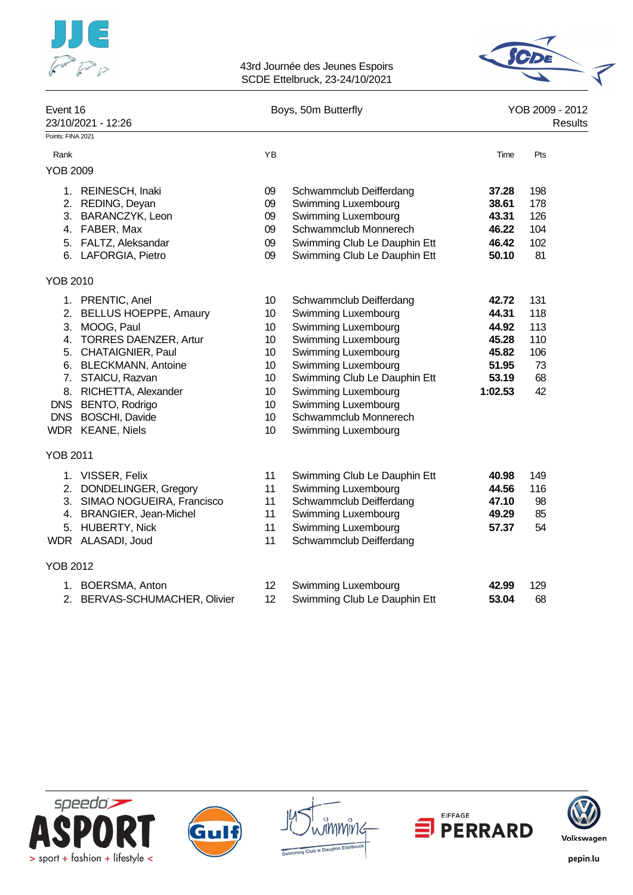



| Event 16<br>23/10/2021 - 12:26 |                              |                 | Boys, 50m Butterfly          | YOB 2009 - 2012<br>Results |     |  |
|--------------------------------|------------------------------|-----------------|------------------------------|----------------------------|-----|--|
| Points: FINA 2021              |                              |                 |                              |                            |     |  |
| Rank                           |                              | YB              |                              | Time                       | Pts |  |
| <b>YOB 2009</b>                |                              |                 |                              |                            |     |  |
|                                | 1. REINESCH, Inaki           | 09              | Schwammclub Deifferdang      | 37.28                      | 198 |  |
|                                | 2. REDING, Deyan             | 09              | Swimming Luxembourg          | 38.61                      | 178 |  |
|                                | 3. BARANCZYK, Leon           | 09              | Swimming Luxembourg          | 43.31                      | 126 |  |
|                                | 4. FABER, Max                | 09              | Schwammclub Monnerech        | 46.22                      | 104 |  |
|                                | 5. FALTZ, Aleksandar         | 09              | Swimming Club Le Dauphin Ett | 46.42                      | 102 |  |
|                                | 6. LAFORGIA, Pietro          | 09              | Swimming Club Le Dauphin Ett | 50.10                      | 81  |  |
| <b>YOB 2010</b>                |                              |                 |                              |                            |     |  |
|                                | 1. PRENTIC, Anel             | 10              | Schwammclub Deifferdang      | 42.72                      | 131 |  |
|                                | 2. BELLUS HOEPPE, Amaury     | 10              | Swimming Luxembourg          | 44.31                      | 118 |  |
|                                | 3. MOOG, Paul                | 10              | Swimming Luxembourg          | 44.92                      | 113 |  |
|                                | 4. TORRES DAENZER, Artur     | 10              | Swimming Luxembourg          | 45.28                      | 110 |  |
|                                | 5. CHATAIGNIER, Paul         | 10              | Swimming Luxembourg          | 45.82                      | 106 |  |
|                                | 6. BLECKMANN, Antoine        | 10              | Swimming Luxembourg          | 51.95                      | 73  |  |
|                                | 7. STAICU, Razvan            | 10              | Swimming Club Le Dauphin Ett | 53.19                      | 68  |  |
| 8.                             | RICHETTA, Alexander          | 10              | Swimming Luxembourg          | 1:02.53                    | 42  |  |
| <b>DNS</b>                     | BENTO, Rodrigo               | 10              | Swimming Luxembourg          |                            |     |  |
| <b>DNS</b>                     | <b>BOSCHI, Davide</b>        | 10              | Schwammclub Monnerech        |                            |     |  |
|                                | WDR KEANE, Niels             | 10 <sup>1</sup> | Swimming Luxembourg          |                            |     |  |
| <b>YOB 2011</b>                |                              |                 |                              |                            |     |  |
|                                | 1. VISSER, Felix             | 11              | Swimming Club Le Dauphin Ett | 40.98                      | 149 |  |
|                                | 2. DONDELINGER, Gregory      | 11              | Swimming Luxembourg          | 44.56                      | 116 |  |
|                                | 3. SIMAO NOGUEIRA, Francisco | 11              | Schwammclub Deifferdang      | 47.10                      | 98  |  |
|                                | 4. BRANGIER, Jean-Michel     | 11              | Swimming Luxembourg          | 49.29                      | 85  |  |
|                                | 5. HUBERTY, Nick             | 11              | Swimming Luxembourg          | 57.37                      | 54  |  |
|                                | WDR ALASADI, Joud            | 11              | Schwammclub Deifferdang      |                            |     |  |
| <b>YOB 2012</b>                |                              |                 |                              |                            |     |  |
|                                | 1. BOERSMA, Anton            | 12              | Swimming Luxembourg          | 42.99                      | 129 |  |
| 2.                             | BERVAS-SCHUMACHER, Olivier   | 12              | Swimming Club Le Dauphin Ett | 53.04                      | 68  |  |











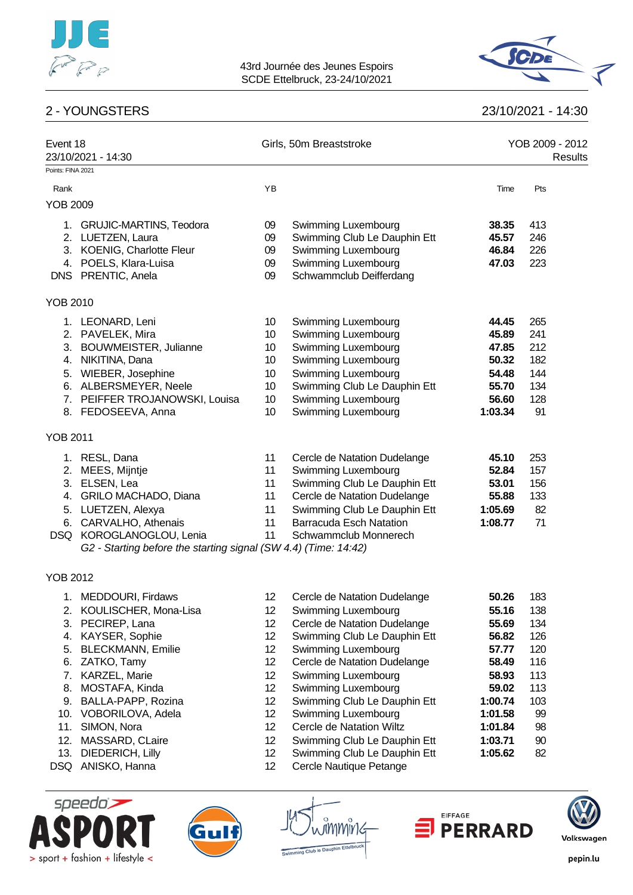

# 2 - YOUNGSTERS 23/10/2021 - 14:30



| Event 18<br>23/10/2021 - 14:30 |                                                                 |    | Girls, 50m Breaststroke        | YOB 2009 - 2012<br><b>Results</b> |     |  |
|--------------------------------|-----------------------------------------------------------------|----|--------------------------------|-----------------------------------|-----|--|
| Points: FINA 2021              |                                                                 |    |                                |                                   |     |  |
| Rank                           |                                                                 | YB |                                | Time                              | Pts |  |
| <b>YOB 2009</b>                |                                                                 |    |                                |                                   |     |  |
| 1.                             | <b>GRUJIC-MARTINS, Teodora</b>                                  | 09 | Swimming Luxembourg            | 38.35                             | 413 |  |
|                                | 2. LUETZEN, Laura                                               | 09 | Swimming Club Le Dauphin Ett   | 45.57                             | 246 |  |
|                                | 3. KOENIG, Charlotte Fleur                                      | 09 | Swimming Luxembourg            | 46.84                             | 226 |  |
|                                | 4. POELS, Klara-Luisa                                           | 09 | Swimming Luxembourg            | 47.03                             | 223 |  |
|                                | DNS PRENTIC, Anela                                              | 09 | Schwammclub Deifferdang        |                                   |     |  |
| <b>YOB 2010</b>                |                                                                 |    |                                |                                   |     |  |
|                                | 1. LEONARD, Leni                                                | 10 | Swimming Luxembourg            | 44.45                             | 265 |  |
|                                | 2. PAVELEK, Mira                                                | 10 | Swimming Luxembourg            | 45.89                             | 241 |  |
|                                | 3. BOUWMEISTER, Julianne                                        | 10 | Swimming Luxembourg            | 47.85                             | 212 |  |
|                                | 4. NIKITINA, Dana                                               | 10 | Swimming Luxembourg            | 50.32                             | 182 |  |
|                                | 5. WIEBER, Josephine                                            | 10 | Swimming Luxembourg            | 54.48                             | 144 |  |
|                                | 6. ALBERSMEYER, Neele                                           | 10 | Swimming Club Le Dauphin Ett   | 55.70                             | 134 |  |
|                                | 7. PEIFFER TROJANOWSKI, Louisa                                  | 10 | Swimming Luxembourg            | 56.60                             | 128 |  |
|                                | 8. FEDOSEEVA, Anna                                              | 10 | Swimming Luxembourg            | 1:03.34                           | 91  |  |
| <b>YOB 2011</b>                |                                                                 |    |                                |                                   |     |  |
|                                | 1. RESL, Dana                                                   | 11 | Cercle de Natation Dudelange   | 45.10                             | 253 |  |
| 2.                             | MEES, Mijntje                                                   | 11 | Swimming Luxembourg            | 52.84                             | 157 |  |
|                                | 3. ELSEN, Lea                                                   | 11 | Swimming Club Le Dauphin Ett   | 53.01                             | 156 |  |
| 4.                             | GRILO MACHADO, Diana                                            | 11 | Cercle de Natation Dudelange   | 55.88                             | 133 |  |
| 5.                             | LUETZEN, Alexya                                                 | 11 | Swimming Club Le Dauphin Ett   | 1:05.69                           | 82  |  |
| 6.                             | CARVALHO, Athenais                                              | 11 | <b>Barracuda Esch Natation</b> | 1:08.77                           | 71  |  |
|                                | DSQ KOROGLANOGLOU, Lenia                                        | 11 | Schwammclub Monnerech          |                                   |     |  |
|                                | G2 - Starting before the starting signal (SW 4.4) (Time: 14:42) |    |                                |                                   |     |  |
| YOB 2012                       |                                                                 |    |                                |                                   |     |  |
| 1.                             | <b>MEDDOURI, Firdaws</b>                                        | 12 | Cercle de Natation Dudelange   | 50.26                             | 183 |  |
| 2.                             | KOULISCHER, Mona-Lisa                                           | 12 | Swimming Luxembourg            | 55.16                             | 138 |  |
| 3.                             | PECIREP, Lana                                                   | 12 | Cercle de Natation Dudelange   | 55.69                             | 134 |  |
| 4.                             | KAYSER, Sophie                                                  | 12 | Swimming Club Le Dauphin Ett   | 56.82                             | 126 |  |
| 5.                             | <b>BLECKMANN, Emilie</b>                                        | 12 | Swimming Luxembourg            | 57.77                             | 120 |  |
| 6.                             | ZATKO, Tamy                                                     | 12 | Cercle de Natation Dudelange   | 58.49                             | 116 |  |
| 7.                             | KARZEL, Marie                                                   | 12 | Swimming Luxembourg            | 58.93                             | 113 |  |
| 8.                             | MOSTAFA, Kinda                                                  | 12 | Swimming Luxembourg            | 59.02                             | 113 |  |
| 9.                             | BALLA-PAPP, Rozina                                              | 12 | Swimming Club Le Dauphin Ett   | 1:00.74                           | 103 |  |
| 10.                            | VOBORILOVA, Adela                                               | 12 | Swimming Luxembourg            | 1:01.58                           | 99  |  |
| 11.                            | SIMON, Nora                                                     | 12 | Cercle de Natation Wiltz       | 1:01.84                           | 98  |  |
| 12.                            | MASSARD, CLaire                                                 | 12 | Swimming Club Le Dauphin Ett   | 1:03.71                           | 90  |  |
| 13.                            | DIEDERICH, Lilly                                                | 12 | Swimming Club Le Dauphin Ett   | 1:05.62                           | 82  |  |
|                                | DSQ ANISKO, Hanna                                               | 12 | Cercle Nautique Petange        |                                   |     |  |





Gul



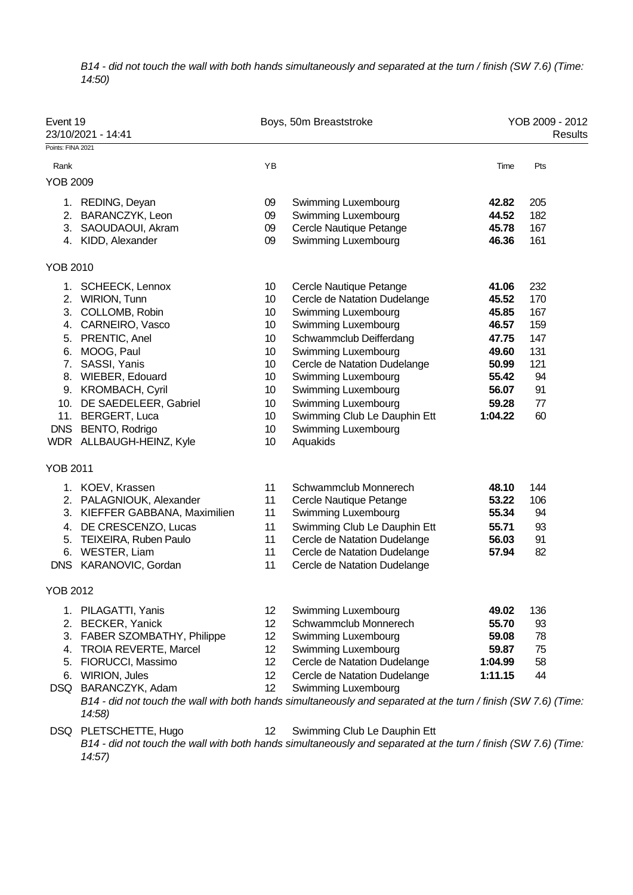*B14 - did not touch the wall with both hands simultaneously and separated at the turn / finish (SW 7.6) (Time: 14:50)*

| Event 19          | 23/10/2021 - 14:41             |    | Boys, 50m Breaststroke                                                                                                                |         | YOB 2009 - 2012<br>Results |
|-------------------|--------------------------------|----|---------------------------------------------------------------------------------------------------------------------------------------|---------|----------------------------|
| Points: FINA 2021 |                                |    |                                                                                                                                       |         |                            |
| Rank              |                                | YB |                                                                                                                                       | Time    | Pts                        |
| YOB 2009          |                                |    |                                                                                                                                       |         |                            |
|                   | 1. REDING, Deyan               | 09 | Swimming Luxembourg                                                                                                                   | 42.82   | 205                        |
|                   | 2. BARANCZYK, Leon             | 09 | Swimming Luxembourg                                                                                                                   | 44.52   | 182                        |
|                   | 3. SAOUDAOUI, Akram            | 09 | Cercle Nautique Petange                                                                                                               | 45.78   | 167                        |
|                   | 4. KIDD, Alexander             | 09 | Swimming Luxembourg                                                                                                                   | 46.36   | 161                        |
| YOB 2010          |                                |    |                                                                                                                                       |         |                            |
|                   | 1. SCHEECK, Lennox             | 10 | Cercle Nautique Petange                                                                                                               | 41.06   | 232                        |
|                   | 2. WIRION, Tunn                | 10 | Cercle de Natation Dudelange                                                                                                          | 45.52   | 170                        |
|                   | 3. COLLOMB, Robin              | 10 | Swimming Luxembourg                                                                                                                   | 45.85   | 167                        |
|                   | 4. CARNEIRO, Vasco             | 10 | Swimming Luxembourg                                                                                                                   | 46.57   | 159                        |
|                   | 5. PRENTIC, Anel               | 10 | Schwammclub Deifferdang                                                                                                               | 47.75   | 147                        |
|                   | 6. MOOG, Paul                  | 10 | Swimming Luxembourg                                                                                                                   | 49.60   | 131                        |
| 7.                | SASSI, Yanis                   | 10 | Cercle de Natation Dudelange                                                                                                          | 50.99   | 121                        |
|                   | 8. WIEBER, Edouard             | 10 | Swimming Luxembourg                                                                                                                   | 55.42   | 94                         |
|                   | 9. KROMBACH, Cyril             | 10 | Swimming Luxembourg                                                                                                                   | 56.07   | 91                         |
|                   | 10. DE SAEDELEER, Gabriel      | 10 | Swimming Luxembourg                                                                                                                   | 59.28   | 77                         |
|                   | 11. BERGERT, Luca              | 10 | Swimming Club Le Dauphin Ett                                                                                                          | 1:04.22 | 60                         |
| <b>DNS</b>        | BENTO, Rodrigo                 | 10 | Swimming Luxembourg                                                                                                                   |         |                            |
|                   | WDR ALLBAUGH-HEINZ, Kyle       | 10 | Aquakids                                                                                                                              |         |                            |
| YOB 2011          |                                |    |                                                                                                                                       |         |                            |
|                   | 1. KOEV, Krassen               | 11 | Schwammclub Monnerech                                                                                                                 | 48.10   | 144                        |
|                   | 2. PALAGNIOUK, Alexander       | 11 | Cercle Nautique Petange                                                                                                               | 53.22   | 106                        |
|                   | 3. KIEFFER GABBANA, Maximilien | 11 | Swimming Luxembourg                                                                                                                   | 55.34   | 94                         |
|                   | 4. DE CRESCENZO, Lucas         | 11 | Swimming Club Le Dauphin Ett                                                                                                          | 55.71   | 93                         |
|                   | 5. TEIXEIRA, Ruben Paulo       | 11 | Cercle de Natation Dudelange                                                                                                          | 56.03   | 91                         |
|                   | 6. WESTER, Liam                | 11 | Cercle de Natation Dudelange                                                                                                          | 57.94   | 82                         |
|                   | DNS KARANOVIC, Gordan          | 11 | Cercle de Natation Dudelange                                                                                                          |         |                            |
| YOB 2012          |                                |    |                                                                                                                                       |         |                            |
|                   | 1. PILAGATTI, Yanis            | 12 | Swimming Luxembourg                                                                                                                   | 49.02   | 136                        |
|                   | 2. BECKER, Yanick              | 12 | Schwammclub Monnerech                                                                                                                 | 55.70   | 93                         |
|                   | 3. FABER SZOMBATHY, Philippe   | 12 | Swimming Luxembourg                                                                                                                   | 59.08   | 78                         |
|                   | 4. TROIA REVERTE, Marcel       | 12 | Swimming Luxembourg                                                                                                                   | 59.87   | 75                         |
|                   | 5. FIORUCCI, Massimo           | 12 | Cercle de Natation Dudelange                                                                                                          | 1:04.99 | 58                         |
|                   | 6. WIRION, Jules               | 12 | Cercle de Natation Dudelange                                                                                                          | 1:11.15 | 44                         |
|                   | DSQ BARANCZYK, Adam<br>14:58)  | 12 | Swimming Luxembourg<br>B14 - did not touch the wall with both hands simultaneously and separated at the turn / finish (SW 7.6) (Time: |         |                            |
|                   | DSQ PLETSCHETTE, Hugo          | 12 | Swimming Club Le Dauphin Ett                                                                                                          |         |                            |
|                   | 14:57                          |    | B14 - did not touch the wall with both hands simultaneously and separated at the turn / finish (SW 7.6) (Time:                        |         |                            |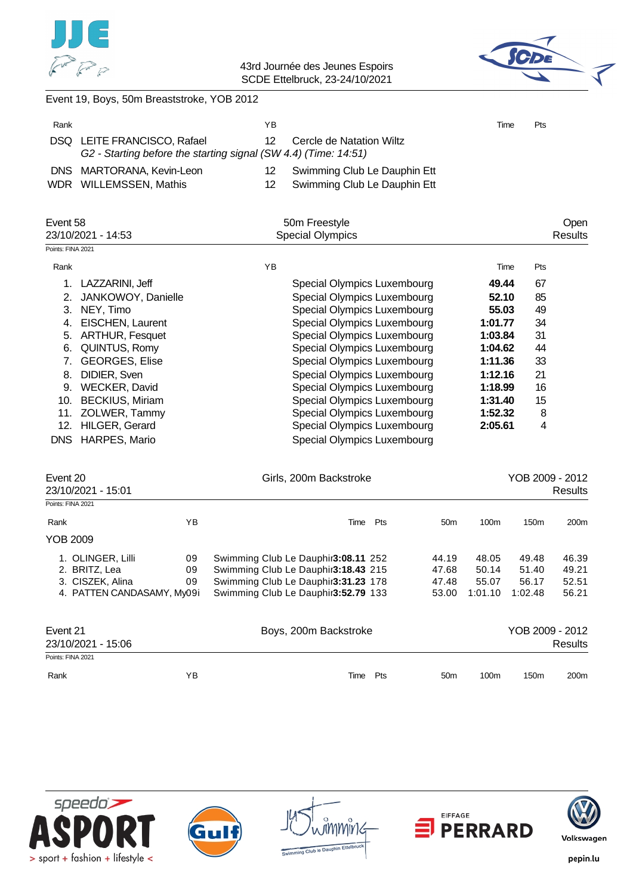



Event 19, Boys, 50m Breaststroke, YOB 2012

| Rank              |                                                                                            | ΥB            |                              | Time  | Pts |         |
|-------------------|--------------------------------------------------------------------------------------------|---------------|------------------------------|-------|-----|---------|
| DSQ.              | LEITE FRANCISCO, Rafael<br>G2 - Starting before the starting signal (SW 4.4) (Time: 14:51) | 12            | Cercle de Natation Wiltz     |       |     |         |
| <b>DNS</b>        | MARTORANA, Kevin-Leon                                                                      | 12            | Swimming Club Le Dauphin Ett |       |     |         |
|                   | WDR WILLEMSSEN, Mathis                                                                     | 12            | Swimming Club Le Dauphin Ett |       |     |         |
| Event 58          |                                                                                            | 50m Freestyle |                              |       |     | Open    |
|                   | 23/10/2021 - 14:53                                                                         |               | <b>Special Olympics</b>      |       |     | Results |
| Points: FINA 2021 |                                                                                            |               |                              |       |     |         |
| Rank              |                                                                                            | YB            |                              | Time  | Pts |         |
|                   | LAZZARINI, Jeff                                                                            |               | Special Olympics Luxembourg  | 49.44 | 67  |         |
|                   | JANKOWOY, Danielle                                                                         |               | Special Olympics Luxembourg  | 52.10 | 85  |         |
| 3.                | NEY, Timo                                                                                  |               | Special Olympics Luxembourg  | 55.03 | 49  |         |

|    | 4. EISCHEN, Laurent  | Special Olympics Luxembourg | 1:01.77 | 34 |  |
|----|----------------------|-----------------------------|---------|----|--|
|    | 5. ARTHUR, Fesquet   | Special Olympics Luxembourg | 1:03.84 | 31 |  |
|    | 6. QUINTUS, Romy     | Special Olympics Luxembourg | 1:04.62 | 44 |  |
|    | 7. GEORGES, Elise    | Special Olympics Luxembourg | 1:11.36 | 33 |  |
|    | 8. DIDIER, Sven      | Special Olympics Luxembourg | 1:12.16 | 21 |  |
| 9. | <b>WECKER, David</b> | Special Olympics Luxembourg | 1:18.99 | 16 |  |
|    | 10. BECKIUS, Miriam  | Special Olympics Luxembourg | 1:31.40 | 15 |  |
|    | 11. ZOLWER, Tammy    | Special Olympics Luxembourg | 1:52.32 | 8  |  |
|    | 12. HILGER, Gerard   | Special Olympics Luxembourg | 2:05.61 | 4  |  |
|    | DNS HARPES, Mario    | Special Olympics Luxembourg |         |    |  |
|    |                      |                             |         |    |  |

| Event 20<br>23/10/2021 - 15:01 |    |                                     | Girls, 200m Backstroke |                 |         |                  |                  |  |
|--------------------------------|----|-------------------------------------|------------------------|-----------------|---------|------------------|------------------|--|
| Points: FINA 2021              |    |                                     |                        |                 |         |                  |                  |  |
| Rank                           | ΥB | Time                                | Pts                    | 50 <sub>m</sub> | 100m    | 150 <sub>m</sub> | 200m             |  |
| YOB 2009                       |    |                                     |                        |                 |         |                  |                  |  |
| 1. OLINGER, Lilli              | 09 | Swimming Club Le Dauphir3:08.11 252 |                        | 44.19           | 48.05   | 49.48            | 46.39            |  |
| 2. BRITZ, Lea                  | 09 | Swimming Club Le Dauphir3:18.43 215 |                        | 47.68           | 50.14   | 51.40            | 49.21            |  |
| 3. CISZEK, Alina               | 09 | Swimming Club Le Dauphir3:31.23 178 |                        | 47.48           | 55.07   | 56.17            | 52.51            |  |
| 4. PATTEN CANDASAMY, My09i     |    | Swimming Club Le Dauphir3:52.79 133 |                        | 53.00           | 1:01.10 | 1:02.48          | 56.21            |  |
| Event 21                       |    | Boys, 200m Backstroke               |                        |                 |         | YOB 2009 - 2012  |                  |  |
| 23/10/2021 - 15:06             |    |                                     |                        |                 |         |                  | Results          |  |
| Points: FINA 2021              |    |                                     |                        |                 |         |                  |                  |  |
| Rank                           | ΥB | Time                                | Pts                    | 50 <sub>m</sub> | 100m    | 150 <sub>m</sub> | 200 <sub>m</sub> |  |









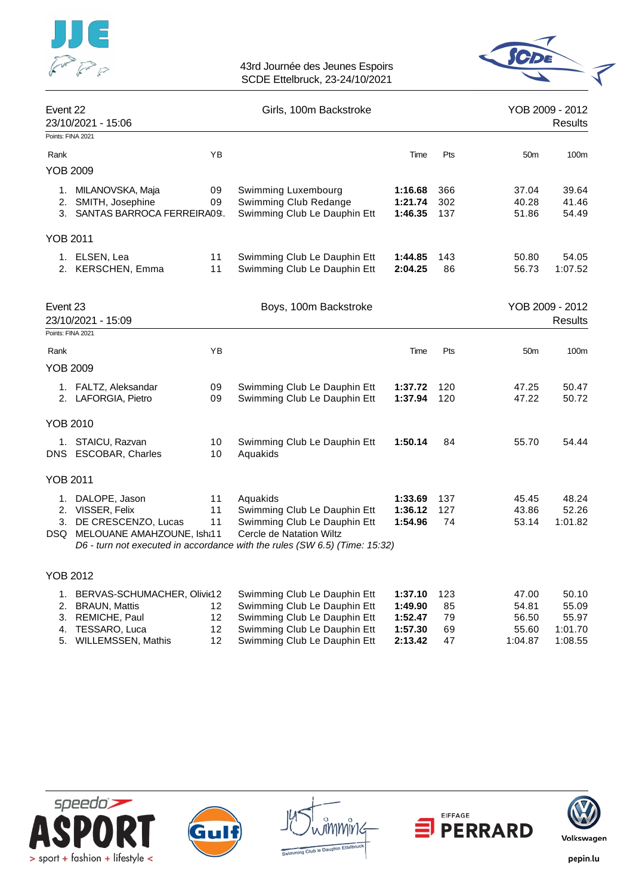

# 43rd Journée des Jeunes Espoirs



SCDE Ettelbruck, 23-24/10/2021

| Event 22<br>23/10/2021 - 15:06 |                                                                                                  | Girls, 100m Backstroke |                                                                                                                                                                                    |                               | YOB 2009 - 2012<br>Results |                         |                                   |
|--------------------------------|--------------------------------------------------------------------------------------------------|------------------------|------------------------------------------------------------------------------------------------------------------------------------------------------------------------------------|-------------------------------|----------------------------|-------------------------|-----------------------------------|
| Points: FINA 2021              |                                                                                                  |                        |                                                                                                                                                                                    |                               |                            |                         |                                   |
| Rank                           |                                                                                                  | ΥB                     |                                                                                                                                                                                    | Time                          | Pts                        | 50 <sub>m</sub>         | 100m                              |
| YOB 2009                       |                                                                                                  |                        |                                                                                                                                                                                    |                               |                            |                         |                                   |
|                                | 1. MILANOVSKA, Maja<br>2. SMITH, Josephine<br>3. SANTAS BARROCA FERREIRA09.                      | 09<br>09               | Swimming Luxembourg<br>Swimming Club Redange<br>Swimming Club Le Dauphin Ett                                                                                                       | 1:16.68<br>1:21.74<br>1:46.35 | 366<br>302<br>137          | 37.04<br>40.28<br>51.86 | 39.64<br>41.46<br>54.49           |
| <b>YOB 2011</b>                |                                                                                                  |                        |                                                                                                                                                                                    |                               |                            |                         |                                   |
|                                | 1. ELSEN, Lea<br>2. KERSCHEN, Emma                                                               | 11<br>11               | Swimming Club Le Dauphin Ett<br>Swimming Club Le Dauphin Ett                                                                                                                       | 1:44.85<br>2:04.25            | 143<br>86                  | 50.80<br>56.73          | 54.05<br>1:07.52                  |
| Event 23<br>Points: FINA 2021  | 23/10/2021 - 15:09                                                                               |                        | Boys, 100m Backstroke                                                                                                                                                              |                               |                            |                         | YOB 2009 - 2012<br><b>Results</b> |
| Rank                           |                                                                                                  | YB                     |                                                                                                                                                                                    | Time                          | Pts                        | 50 <sub>m</sub>         | 100m                              |
| YOB 2009                       |                                                                                                  |                        |                                                                                                                                                                                    |                               |                            |                         |                                   |
|                                | 1. FALTZ, Aleksandar<br>2. LAFORGIA, Pietro                                                      | 09<br>09               | Swimming Club Le Dauphin Ett<br>Swimming Club Le Dauphin Ett                                                                                                                       | 1:37.72<br>1:37.94            | 120<br>120                 | 47.25<br>47.22          | 50.47<br>50.72                    |
| <b>YOB 2010</b>                |                                                                                                  |                        |                                                                                                                                                                                    |                               |                            |                         |                                   |
|                                | 1. STAICU, Razvan<br>DNS ESCOBAR, Charles                                                        | 10<br>10               | Swimming Club Le Dauphin Ett<br>Aquakids                                                                                                                                           | 1:50.14                       | 84                         | 55.70                   | 54.44                             |
| <b>YOB 2011</b>                |                                                                                                  |                        |                                                                                                                                                                                    |                               |                            |                         |                                   |
|                                | 1. DALOPE, Jason<br>2. VISSER, Felix<br>3. DE CRESCENZO, Lucas<br>DSQ MELOUANE AMAHZOUNE, Isha11 | 11<br>11<br>11         | Aquakids<br>Swimming Club Le Dauphin Ett<br>Swimming Club Le Dauphin Ett<br>Cercle de Natation Wiltz<br>D6 - turn not executed in accordance with the rules (SW 6.5) (Time: 15:32) | 1:33.69<br>1:36.12<br>1:54.96 | 137<br>127<br>74           | 45.45<br>43.86<br>53.14 | 48.24<br>52.26<br>1:01.82         |
| <b>YOB 2012</b>                |                                                                                                  |                        |                                                                                                                                                                                    |                               |                            |                         |                                   |
|                                | 1. BERVAS-SCHUMACHER, Olivit12<br>2. BRAUN, Mattis<br>3. REMICHE, Paul                           | 12<br>12               | Swimming Club Le Dauphin Ett<br>Swimming Club Le Dauphin Ett<br>Swimming Club Le Dauphin Ett                                                                                       | 1:37.10<br>1:49.90<br>1:52.47 | 123<br>85<br>79            | 47.00<br>54.81<br>56.50 | 50.10<br>55.09<br>55.97           |







4. TESSARO, Luca **12 Swimming Club Le Dauphin Ett 1:57.30** 69 55.60 1:01.70<br>5. WILLEMSSEN, Mathis 12 Swimming Club Le Dauphin Ett 2:13.42 47 1:04.87 1:08.55

5. WILLEMSSEN, Mathis 12 Swimming Club Le Dauphin Ett **2:13.42** 47 1:04.87 1:08.55



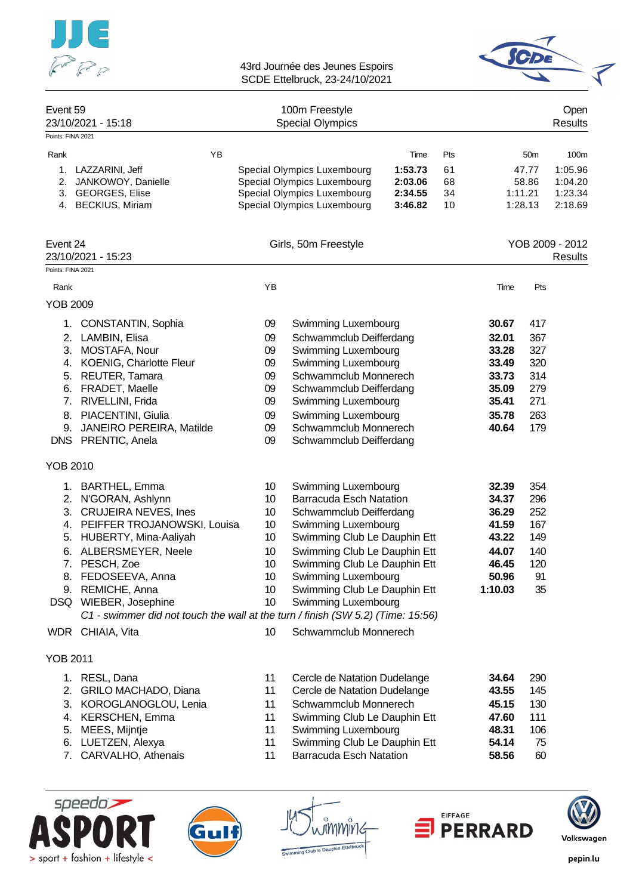



| Event 59          |                                                                                 |    | 100m Freestyle                                             |                    |          |         |                    | Open               |
|-------------------|---------------------------------------------------------------------------------|----|------------------------------------------------------------|--------------------|----------|---------|--------------------|--------------------|
| Points: FINA 2021 | 23/10/2021 - 15:18                                                              |    | <b>Special Olympics</b>                                    |                    |          |         |                    | <b>Results</b>     |
|                   |                                                                                 |    |                                                            |                    |          |         |                    |                    |
| Rank              | <b>YB</b>                                                                       |    |                                                            | Time               | Pts      |         | 50 <sub>m</sub>    | 100m               |
|                   | 1. LAZZARINI, Jeff                                                              |    | Special Olympics Luxembourg                                | 1:53.73            | 61       |         | 47.77              | 1:05.96            |
| 2.                | JANKOWOY, Danielle                                                              |    | Special Olympics Luxembourg                                | 2:03.06            | 68       |         | 58.86              | 1:04.20            |
|                   | 3. GEORGES, Elise<br>4. BECKIUS, Miriam                                         |    | Special Olympics Luxembourg<br>Special Olympics Luxembourg | 2:34.55<br>3:46.82 | 34<br>10 |         | 1:11.21<br>1:28.13 | 1:23.34<br>2:18.69 |
|                   |                                                                                 |    |                                                            |                    |          |         |                    |                    |
| Event 24          |                                                                                 |    | Girls, 50m Freestyle                                       |                    |          |         |                    | YOB 2009 - 2012    |
| Points: FINA 2021 | 23/10/2021 - 15:23                                                              |    |                                                            |                    |          |         |                    | Results            |
|                   |                                                                                 |    |                                                            |                    |          |         |                    |                    |
| Rank              |                                                                                 | YB |                                                            |                    |          | Time    | Pts                |                    |
| <b>YOB 2009</b>   |                                                                                 |    |                                                            |                    |          |         |                    |                    |
|                   | 1. CONSTANTIN, Sophia                                                           | 09 | Swimming Luxembourg                                        |                    |          | 30.67   | 417                |                    |
|                   | 2. LAMBIN, Elisa                                                                | 09 | Schwammclub Deifferdang                                    |                    |          | 32.01   | 367                |                    |
|                   | 3. MOSTAFA, Nour                                                                | 09 | Swimming Luxembourg                                        |                    |          | 33.28   | 327                |                    |
|                   | 4. KOENIG, Charlotte Fleur                                                      | 09 | Swimming Luxembourg                                        |                    |          | 33.49   | 320                |                    |
|                   | 5. REUTER, Tamara                                                               | 09 | Schwammclub Monnerech                                      |                    |          | 33.73   | 314                |                    |
|                   | 6. FRADET, Maelle                                                               | 09 | Schwammclub Deifferdang                                    |                    |          | 35.09   | 279                |                    |
|                   | 7. RIVELLINI, Frida                                                             | 09 | Swimming Luxembourg                                        |                    |          | 35.41   | 271                |                    |
|                   | 8. PIACENTINI, Giulia                                                           | 09 | Swimming Luxembourg                                        |                    |          | 35.78   | 263                |                    |
|                   | 9. JANEIRO PEREIRA, Matilde                                                     | 09 | Schwammclub Monnerech                                      |                    |          | 40.64   | 179                |                    |
|                   | DNS PRENTIC, Anela                                                              | 09 | Schwammclub Deifferdang                                    |                    |          |         |                    |                    |
| <b>YOB 2010</b>   |                                                                                 |    |                                                            |                    |          |         |                    |                    |
|                   | 1. BARTHEL, Emma                                                                | 10 | Swimming Luxembourg                                        |                    |          | 32.39   | 354                |                    |
|                   | 2. N'GORAN, Ashlynn                                                             | 10 | <b>Barracuda Esch Natation</b>                             |                    |          | 34.37   | 296                |                    |
|                   | 3. CRUJEIRA NEVES, Ines                                                         | 10 | Schwammclub Deifferdang                                    |                    |          | 36.29   | 252                |                    |
|                   | 4. PEIFFER TROJANOWSKI, Louisa                                                  | 10 | Swimming Luxembourg                                        |                    |          | 41.59   | 167                |                    |
|                   | 5. HUBERTY, Mina-Aaliyah                                                        | 10 | Swimming Club Le Dauphin Ett                               |                    |          | 43.22   | 149                |                    |
|                   | 6. ALBERSMEYER, Neele                                                           | 10 | Swimming Club Le Dauphin Ett                               |                    |          | 44.07   | 140                |                    |
| 7.                | PESCH, Zoe                                                                      | 10 | Swimming Club Le Dauphin Ett                               |                    |          | 46.45   | 120                |                    |
|                   | 8. FEDOSEEVA, Anna                                                              | 10 | Swimming Luxembourg                                        |                    |          | 50.96   | 91                 |                    |
|                   | 9. REMICHE, Anna                                                                | 10 | Swimming Club Le Dauphin Ett                               |                    |          | 1:10.03 | 35                 |                    |
|                   | DSQ WIEBER, Josephine                                                           | 10 | Swimming Luxembourg                                        |                    |          |         |                    |                    |
|                   | C1 - swimmer did not touch the wall at the turn / finish (SW 5.2) (Time: 15:56) |    |                                                            |                    |          |         |                    |                    |
|                   | WDR CHIAIA, Vita                                                                | 10 | Schwammclub Monnerech                                      |                    |          |         |                    |                    |
| <b>YOB 2011</b>   |                                                                                 |    |                                                            |                    |          |         |                    |                    |
|                   | 1. RESL, Dana                                                                   | 11 | Cercle de Natation Dudelange                               |                    |          | 34.64   | 290                |                    |
| 2.                | GRILO MACHADO, Diana                                                            | 11 | Cercle de Natation Dudelange                               |                    |          | 43.55   | 145                |                    |
|                   | 3. KOROGLANOGLOU, Lenia                                                         | 11 | Schwammclub Monnerech                                      |                    |          | 45.15   | 130                |                    |
|                   | 4. KERSCHEN, Emma                                                               | 11 | Swimming Club Le Dauphin Ett                               |                    |          | 47.60   | 111                |                    |
| 5.                | MEES, Mijntje                                                                   | 11 | Swimming Luxembourg                                        |                    |          | 48.31   | 106                |                    |
|                   | 6. LUETZEN, Alexya                                                              | 11 | Swimming Club Le Dauphin Ett                               |                    |          | 54.14   | 75                 |                    |

- 7. CARVALHO, Athenais 11 Barracuda Esch Natation **58.56** 60
- speedo) > sport + fashion + lifestyle <







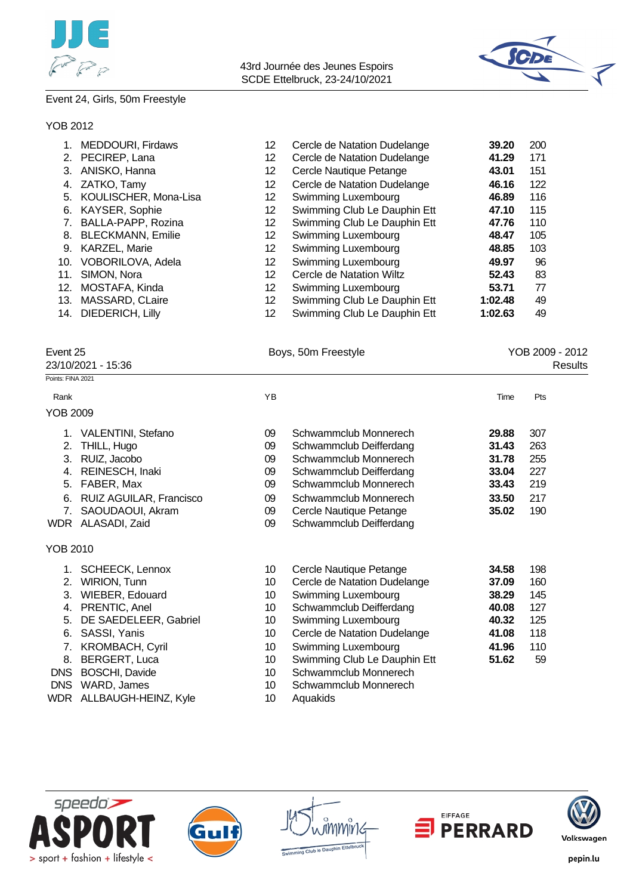



#### Event 24, Girls, 50m Freestyle

#### YOB 2012

|     | <b>MEDDOURI, Firdaws</b> | 12  | Cercle de Natation Dudelange | 39.20   | 200 |
|-----|--------------------------|-----|------------------------------|---------|-----|
| 2.  | PECIREP, Lana            | 12  | Cercle de Natation Dudelange | 41.29   | 171 |
| 3.  | ANISKO, Hanna            | 12. | Cercle Nautique Petange      | 43.01   | 151 |
|     | ZATKO, Tamy              | 12  | Cercle de Natation Dudelange | 46.16   | 122 |
| 5.  | KOULISCHER, Mona-Lisa    | 12  | Swimming Luxembourg          | 46.89   | 116 |
| 6.  | KAYSER, Sophie           | 12  | Swimming Club Le Dauphin Ett | 47.10   | 115 |
|     | BALLA-PAPP, Rozina       | 12. | Swimming Club Le Dauphin Ett | 47.76   | 110 |
| 8.  | <b>BLECKMANN, Emilie</b> | 12  | Swimming Luxembourg          | 48.47   | 105 |
| 9.  | <b>KARZEL, Marie</b>     | 12  | Swimming Luxembourg          | 48.85   | 103 |
| 10. | VOBORILOVA, Adela        | 12. | Swimming Luxembourg          | 49.97   | 96  |
| 11. | SIMON, Nora              | 12  | Cercle de Natation Wiltz     | 52.43   | 83  |
| 12. | MOSTAFA, Kinda           | 12. | Swimming Luxembourg          | 53.71   | 77  |
| 13. | MASSARD, CLaire          | 12  | Swimming Club Le Dauphin Ett | 1:02.48 | 49  |
| 14. | <b>DIEDERICH, Lilly</b>  | 12  | Swimming Club Le Dauphin Ett | 1:02.63 | 49  |
|     |                          |     |                              |         |     |

Event 25 **Boys, 50m Freestyle Boys, 50m Freestyle Research 2009 - 2012** 

| 23/10/2021 - 15:36<br>Results |                         |    |                              |       |     |  |  |  |
|-------------------------------|-------------------------|----|------------------------------|-------|-----|--|--|--|
| Points: FINA 2021             |                         |    |                              |       |     |  |  |  |
| Rank                          |                         | YB |                              | Time  | Pts |  |  |  |
| <b>YOB 2009</b>               |                         |    |                              |       |     |  |  |  |
|                               | 1. VALENTINI, Stefano   | 09 | Schwammclub Monnerech        | 29.88 | 307 |  |  |  |
| 2.                            | THILL, Hugo             | 09 | Schwammclub Deifferdang      | 31.43 | 263 |  |  |  |
| 3.                            | RUIZ, Jacobo            | 09 | Schwammclub Monnerech        | 31.78 | 255 |  |  |  |
| 4.                            | REINESCH, Inaki         | 09 | Schwammclub Deifferdang      | 33.04 | 227 |  |  |  |
| 5.                            | FABER, Max              | 09 | Schwammclub Monnerech        | 33.43 | 219 |  |  |  |
| 6.                            | RUIZ AGUILAR, Francisco | 09 | Schwammclub Monnerech        | 33.50 | 217 |  |  |  |
| 7.                            | SAOUDAOUI, Akram        | 09 | Cercle Nautique Petange      | 35.02 | 190 |  |  |  |
|                               | WDR ALASADI, Zaid       | 09 | Schwammclub Deifferdang      |       |     |  |  |  |
| YOB 2010                      |                         |    |                              |       |     |  |  |  |
|                               | <b>SCHEECK, Lennox</b>  | 10 | Cercle Nautique Petange      | 34.58 | 198 |  |  |  |
| 2.                            | WIRION, Tunn            | 10 | Cercle de Natation Dudelange | 37.09 | 160 |  |  |  |
| 3.                            | WIEBER, Edouard         | 10 | Swimming Luxembourg          | 38.29 | 145 |  |  |  |
| 4.                            | PRENTIC, Anel           | 10 | Schwammclub Deifferdang      | 40.08 | 127 |  |  |  |
| 5.                            | DE SAEDELEER, Gabriel   | 10 | Swimming Luxembourg          | 40.32 | 125 |  |  |  |
| 6.                            | SASSI, Yanis            | 10 | Cercle de Natation Dudelange | 41.08 | 118 |  |  |  |
| 7.                            | <b>KROMBACH, Cyril</b>  | 10 | Swimming Luxembourg          | 41.96 | 110 |  |  |  |
| 8.                            | BERGERT, Luca           | 10 | Swimming Club Le Dauphin Ett | 51.62 | 59  |  |  |  |
| <b>DNS</b>                    | <b>BOSCHI, Davide</b>   | 10 | Schwammclub Monnerech        |       |     |  |  |  |
| <b>DNS</b>                    | WARD, James             | 10 | Schwammclub Monnerech        |       |     |  |  |  |

WDR ALLBAUGH-HEINZ, Kyle 10 Aquakids









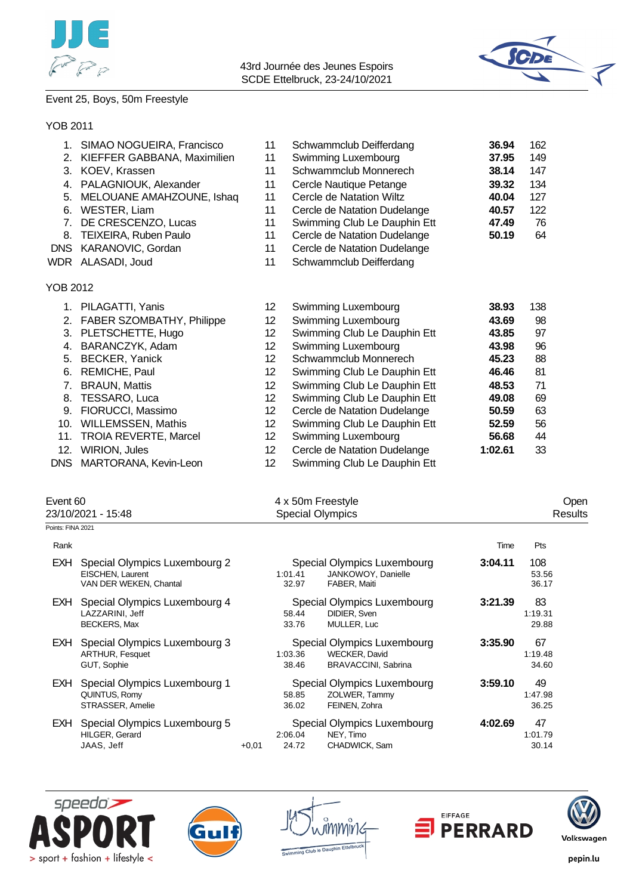



# Event 25, Boys, 50m Freestyle

### YOB 2011

|            | SIMAO NOGUEIRA, Francisco        | 11              | Schwammclub Deifferdang      | 36.94   | 162 |
|------------|----------------------------------|-----------------|------------------------------|---------|-----|
| 2.         | KIEFFER GABBANA, Maximilien      | 11              | Swimming Luxembourg          | 37.95   | 149 |
| 3.         | KOEV, Krassen                    | 11              | Schwammclub Monnerech        | 38.14   | 147 |
| 4.         | PALAGNIOUK, Alexander            | 11              | Cercle Nautique Petange      | 39.32   | 134 |
| 5.         | MELOUANE AMAHZOUNE, Ishaq        | 11              | Cercle de Natation Wiltz     | 40.04   | 127 |
| 6.         | WESTER, Liam                     | 11              | Cercle de Natation Dudelange | 40.57   | 122 |
| 7.         | DE CRESCENZO, Lucas              | 11              | Swimming Club Le Dauphin Ett | 47.49   | 76  |
| 8.         | TEIXEIRA, Ruben Paulo            | 11              | Cercle de Natation Dudelange | 50.19   | 64  |
| <b>DNS</b> | KARANOVIC, Gordan                | 11              | Cercle de Natation Dudelange |         |     |
|            | WDR ALASADI, Joud                | 11              | Schwammclub Deifferdang      |         |     |
| YOB 2012   |                                  |                 |                              |         |     |
|            | 1. PILAGATTI, Yanis              | 12              | Swimming Luxembourg          | 38.93   | 138 |
| 2.         | <b>FABER SZOMBATHY, Philippe</b> | 12 <sup>°</sup> | Swimming Luxembourg          | 43.69   | 98  |
|            | 3. PLETSCHETTE, Hugo             | 12 <sub>2</sub> | Swimming Club Le Dauphin Ett | 43.85   | 97  |
| 4.         | BARANCZYK, Adam                  | 12 <sup>°</sup> | Swimming Luxembourg          | 43.98   | 96  |
|            | 5. BECKER, Yanick                | 12 <sup>°</sup> | Schwammclub Monnerech        | 45.23   | 88  |
| 6.         | REMICHE, Paul                    | 12 <sup>2</sup> | Swimming Club Le Dauphin Ett | 46.46   | 81  |
| 7.         | <b>BRAUN, Mattis</b>             | 12 <sup>°</sup> | Swimming Club Le Dauphin Ett | 48.53   | 71  |
| 8.         | TESSARO, Luca                    | 12 <sup>°</sup> | Swimming Club Le Dauphin Ett | 49.08   | 69  |
| 9.         | FIORUCCI, Massimo                | 12 <sup>°</sup> | Cercle de Natation Dudelange | 50.59   | 63  |
| 10.        | WILLEMSSEN, Mathis               | 12 <sup>°</sup> | Swimming Club Le Dauphin Ett | 52.59   | 56  |
| 11.        | <b>TROIA REVERTE, Marcel</b>     | 12 <sup>°</sup> | Swimming Luxembourg          | 56.68   | 44  |
| 12.        | <b>WIRION, Jules</b>             | 12 <sup>°</sup> | Cercle de Natation Dudelange | 1:02.61 | 33  |
| <b>DNS</b> | MARTORANA, Kevin-Leon            | 12              | Swimming Club Le Dauphin Ett |         |     |

| Event 60          |                                                                             |                         |                  | 4 x 50m Freestyle                                                                 |         | Open                   |
|-------------------|-----------------------------------------------------------------------------|-------------------------|------------------|-----------------------------------------------------------------------------------|---------|------------------------|
|                   | 23/10/2021 - 15:48                                                          | <b>Special Olympics</b> |                  |                                                                                   |         | <b>Results</b>         |
| Points: FINA 2021 |                                                                             |                         |                  |                                                                                   |         |                        |
| Rank              |                                                                             |                         |                  |                                                                                   | Time    | Pts                    |
| EXH.              | Special Olympics Luxembourg 2<br>EISCHEN, Laurent<br>VAN DER WEKEN, Chantal |                         | 1:01.41<br>32.97 | Special Olympics Luxembourg<br>JANKOWOY, Danielle<br>FABER, Maiti                 | 3:04.11 | 108<br>53.56<br>36.17  |
| EXH.              | Special Olympics Luxembourg 4<br>LAZZARINI, Jeff<br><b>BECKERS, Max</b>     |                         | 58.44<br>33.76   | Special Olympics Luxembourg<br>DIDIER, Sven<br>MULLER, Luc                        | 3:21.39 | 83<br>1:19.31<br>29.88 |
| EXH.              | Special Olympics Luxembourg 3<br><b>ARTHUR, Fesquet</b><br>GUT, Sophie      |                         | 1:03.36<br>38.46 | Special Olympics Luxembourg<br><b>WECKER, David</b><br><b>BRAVACCINI, Sabrina</b> | 3:35.90 | 67<br>1:19.48<br>34.60 |
| <b>EXH</b>        | Special Olympics Luxembourg 1<br>QUINTUS, Romy<br>STRASSER, Amelie          |                         | 58.85<br>36.02   | Special Olympics Luxembourg<br>ZOLWER, Tammy<br>FEINEN, Zohra                     | 3:59.10 | 49<br>1:47.98<br>36.25 |
| EXH.              | Special Olympics Luxembourg 5<br>HILGER, Gerard<br>JAAS, Jeff               | $+0.01$                 | 2:06.04<br>24.72 | Special Olympics Luxembourg<br>NEY, Timo<br>CHADWICK, Sam                         | 4:02.69 | 47<br>1:01.79<br>30.14 |









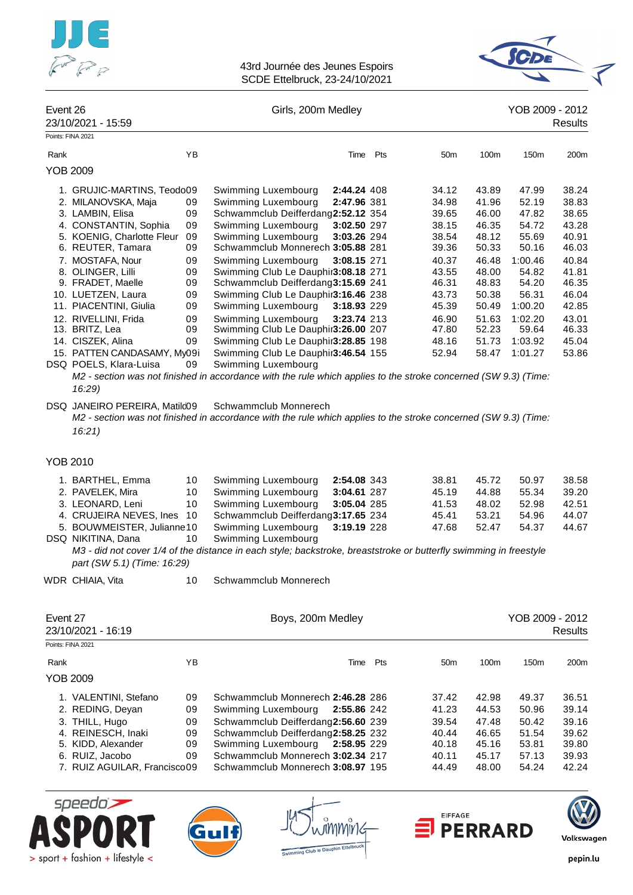



|          |                                                                                                                                                                                                                                                                                                                                                                                         |                                                                                  | OODE EIIGIDI UCK, ZO-ZH/TU/ZUZT                                                                                                                                                                                                                                                                                                                                                                                                                                                                                                                                                                                             |                                                                                                       |          |                                                                                                                                                                                                                                                                            |                                                                                                                                               |                                                                                                                                     |
|----------|-----------------------------------------------------------------------------------------------------------------------------------------------------------------------------------------------------------------------------------------------------------------------------------------------------------------------------------------------------------------------------------------|----------------------------------------------------------------------------------|-----------------------------------------------------------------------------------------------------------------------------------------------------------------------------------------------------------------------------------------------------------------------------------------------------------------------------------------------------------------------------------------------------------------------------------------------------------------------------------------------------------------------------------------------------------------------------------------------------------------------------|-------------------------------------------------------------------------------------------------------|----------|----------------------------------------------------------------------------------------------------------------------------------------------------------------------------------------------------------------------------------------------------------------------------|-----------------------------------------------------------------------------------------------------------------------------------------------|-------------------------------------------------------------------------------------------------------------------------------------|
| Event 26 | 23/10/2021 - 15:59                                                                                                                                                                                                                                                                                                                                                                      |                                                                                  | Girls, 200m Medley                                                                                                                                                                                                                                                                                                                                                                                                                                                                                                                                                                                                          |                                                                                                       |          |                                                                                                                                                                                                                                                                            | YOB 2009 - 2012                                                                                                                               | <b>Results</b>                                                                                                                      |
|          | Points: FINA 2021                                                                                                                                                                                                                                                                                                                                                                       |                                                                                  |                                                                                                                                                                                                                                                                                                                                                                                                                                                                                                                                                                                                                             |                                                                                                       |          |                                                                                                                                                                                                                                                                            |                                                                                                                                               |                                                                                                                                     |
| Rank     |                                                                                                                                                                                                                                                                                                                                                                                         | YB                                                                               |                                                                                                                                                                                                                                                                                                                                                                                                                                                                                                                                                                                                                             |                                                                                                       | Time Pts | 50 <sub>m</sub><br>100m                                                                                                                                                                                                                                                    | 150m                                                                                                                                          | 200m                                                                                                                                |
|          | <b>YOB 2009</b>                                                                                                                                                                                                                                                                                                                                                                         |                                                                                  |                                                                                                                                                                                                                                                                                                                                                                                                                                                                                                                                                                                                                             |                                                                                                       |          |                                                                                                                                                                                                                                                                            |                                                                                                                                               |                                                                                                                                     |
|          | 1. GRUJIC-MARTINS, Teodo09<br>2. MILANOVSKA, Maja<br>3. LAMBIN, Elisa<br>4. CONSTANTIN, Sophia<br>5. KOENIG, Charlotte Fleur<br>6. REUTER, Tamara<br>7. MOSTAFA, Nour<br>8. OLINGER, Lilli<br>9. FRADET, Maelle<br>10. LUETZEN, Laura<br>11. PIACENTINI, Giulia<br>12. RIVELLINI, Frida<br>13. BRITZ, Lea<br>14. CISZEK, Alina<br>15. PATTEN CANDASAMY, My09i<br>DSQ POELS, Klara-Luisa | 09<br>09<br>09<br>09<br>09<br>09<br>09<br>09<br>09<br>09<br>09<br>09<br>09<br>09 | Swimming Luxembourg<br>Swimming Luxembourg<br>Schwammclub Deifferdang2:52.12 354<br>Swimming Luxembourg<br>Swimming Luxembourg<br>Schwammclub Monnerech 3:05.88 281<br>Swimming Luxembourg<br>Swimming Club Le Dauphir3:08.18 271<br>Schwammclub Deifferdang3:15.69 241<br>Swimming Club Le Dauphir3:16.46 238<br>Swimming Luxembourg<br>Swimming Luxembourg<br>Swimming Club Le Dauphir3:26.00 207<br>Swimming Club Le Dauphir3:28.85 198<br>Swimming Club Le Dauphir3:46.54 155<br>Swimming Luxembourg<br>M2 - section was not finished in accordance with the rule which applies to the stroke concerned (SW 9.3) (Time: | 2:44.24 408<br>2:47.96 381<br>3:02.50 297<br>3:03.26 294<br>3:08.15 271<br>3:18.93 229<br>3:23.74 213 |          | 34.12<br>43.89<br>41.96<br>34.98<br>46.00<br>39.65<br>38.15<br>46.35<br>48.12<br>38.54<br>39.36<br>50.33<br>40.37<br>46.48<br>43.55<br>48.00<br>46.31<br>48.83<br>43.73<br>50.38<br>45.39<br>50.49<br>46.90<br>51.63<br>47.80<br>52.23<br>48.16<br>51.73<br>52.94<br>58.47 | 47.99<br>52.19<br>47.82<br>54.72<br>55.69<br>50.16<br>1:00.46<br>54.82<br>54.20<br>56.31<br>1:00.20<br>1:02.20<br>59.64<br>1:03.92<br>1:01.27 | 38.24<br>38.83<br>38.65<br>43.28<br>40.91<br>46.03<br>40.84<br>41.81<br>46.35<br>46.04<br>42.85<br>43.01<br>46.33<br>45.04<br>53.86 |
|          | 16:29)<br>DSQ JANEIRO PEREIRA, Matilc09<br>16:21                                                                                                                                                                                                                                                                                                                                        |                                                                                  | Schwammclub Monnerech<br>M2 - section was not finished in accordance with the rule which applies to the stroke concerned (SW 9.3) (Time:                                                                                                                                                                                                                                                                                                                                                                                                                                                                                    |                                                                                                       |          |                                                                                                                                                                                                                                                                            |                                                                                                                                               |                                                                                                                                     |
|          | <b>YOB 2010</b>                                                                                                                                                                                                                                                                                                                                                                         |                                                                                  |                                                                                                                                                                                                                                                                                                                                                                                                                                                                                                                                                                                                                             |                                                                                                       |          |                                                                                                                                                                                                                                                                            |                                                                                                                                               |                                                                                                                                     |
|          | 1. BARTHEL, Emma<br>2. PAVELEK, Mira<br>3. LEONARD, Leni<br>4. CRUJEIRA NEVES, Ines<br>5. BOUWMEISTER, Julianne10<br>DSQ NIKITINA, Dana<br>part (SW 5.1) (Time: 16:29)                                                                                                                                                                                                                  | 10<br>10<br>10<br>10<br>10                                                       | Swimming Luxembourg<br>Swimming Luxembourg<br>Swimming Luxembourg<br>Schwammclub Deifferdang3:17.65 234<br>Swimming Luxembourg<br>Swimming Luxembourg<br>M3 - did not cover 1/4 of the distance in each style; backstroke, breaststroke or butterfly swimming in freestyle                                                                                                                                                                                                                                                                                                                                                  | 2:54.08 343<br>3:04.61 287<br>3:05.04 285<br>3:19.19 228                                              |          | 38.81<br>45.72<br>44.88<br>45.19<br>41.53<br>48.02<br>53.21<br>45.41<br>52.47<br>47.68                                                                                                                                                                                     | 50.97<br>55.34<br>52.98<br>54.96<br>54.37                                                                                                     | 38.58<br>39.20<br>42.51<br>44.07<br>44.67                                                                                           |
|          | WDR CHIAIA, Vita                                                                                                                                                                                                                                                                                                                                                                        | 10                                                                               | Schwammclub Monnerech                                                                                                                                                                                                                                                                                                                                                                                                                                                                                                                                                                                                       |                                                                                                       |          |                                                                                                                                                                                                                                                                            |                                                                                                                                               |                                                                                                                                     |
| Event 27 | 23/10/2021 - 16:19<br>Points: FINA 2021                                                                                                                                                                                                                                                                                                                                                 |                                                                                  | Boys, 200m Medley                                                                                                                                                                                                                                                                                                                                                                                                                                                                                                                                                                                                           |                                                                                                       |          |                                                                                                                                                                                                                                                                            | YOB 2009 - 2012                                                                                                                               | <b>Results</b>                                                                                                                      |
| Rank     |                                                                                                                                                                                                                                                                                                                                                                                         | ΥB                                                                               |                                                                                                                                                                                                                                                                                                                                                                                                                                                                                                                                                                                                                             | Time Pts                                                                                              |          | 50 <sub>m</sub><br>100m                                                                                                                                                                                                                                                    | 150m                                                                                                                                          | 200m                                                                                                                                |
|          | <b>YOB 2009</b>                                                                                                                                                                                                                                                                                                                                                                         |                                                                                  |                                                                                                                                                                                                                                                                                                                                                                                                                                                                                                                                                                                                                             |                                                                                                       |          |                                                                                                                                                                                                                                                                            |                                                                                                                                               |                                                                                                                                     |
|          | 1. VALENTINI, Stefano<br>2. REDING, Deyan<br>3. THILL, Hugo<br>4. REINESCH, Inaki<br>5. KIDD, Alexander<br>6. RUIZ, Jacobo<br>7. RUIZ AGUILAR, Francisco09                                                                                                                                                                                                                              | 09<br>09<br>09<br>09<br>09<br>09                                                 | Schwammclub Monnerech 2:46.28 286<br>Swimming Luxembourg<br>Schwammclub Deifferdang2:56.60 239<br>Schwammclub Deifferdang2:58.25 232<br>Swimming Luxembourg<br>Schwammclub Monnerech 3:02.34 217<br>Schwammclub Monnerech 3:08.97 195                                                                                                                                                                                                                                                                                                                                                                                       | 2:55.86 242<br>2:58.95 229                                                                            |          | 37.42<br>42.98<br>41.23<br>44.53<br>39.54<br>47.48<br>40.44<br>46.65<br>40.18<br>45.16<br>45.17<br>40.11<br>44.49<br>48.00                                                                                                                                                 | 49.37<br>50.96<br>50.42<br>51.54<br>53.81<br>57.13<br>54.24                                                                                   | 36.51<br>39.14<br>39.16<br>39.62<br>39.80<br>39.93<br>42.24                                                                         |
|          |                                                                                                                                                                                                                                                                                                                                                                                         |                                                                                  |                                                                                                                                                                                                                                                                                                                                                                                                                                                                                                                                                                                                                             |                                                                                                       |          |                                                                                                                                                                                                                                                                            |                                                                                                                                               |                                                                                                                                     |





ต<sup>ิ</sup>ทททบิท Swimming Club to Dauphin Ette



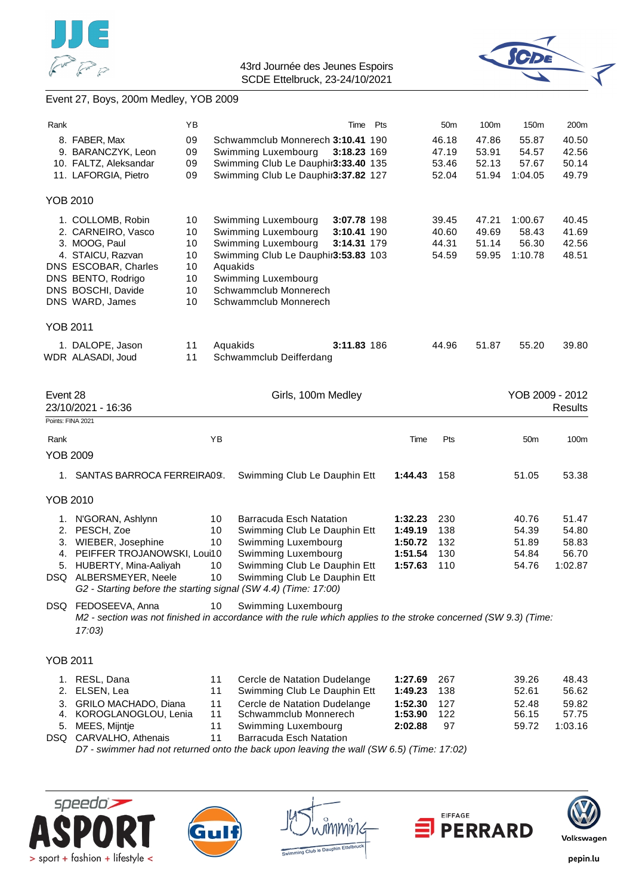



# Event 27, Boys, 200m Medley, YOB 2009

| Rank            |                                                                                                                           | ΥB       |          |                                                                            |                    | Time Pts |                    | 50 <sub>m</sub> | 100m           | 150m             | 200m            |
|-----------------|---------------------------------------------------------------------------------------------------------------------------|----------|----------|----------------------------------------------------------------------------|--------------------|----------|--------------------|-----------------|----------------|------------------|-----------------|
|                 | 8. FABER, Max<br>9. BARANCZYK, Leon                                                                                       | 09<br>09 |          | Schwammclub Monnerech 3:10.41 190<br>Swimming Luxembourg                   | 3:18.23 169        |          |                    | 46.18<br>47.19  | 47.86<br>53.91 | 55.87<br>54.57   | 40.50<br>42.56  |
|                 | 10. FALTZ, Aleksandar<br>11. LAFORGIA, Pietro                                                                             | 09<br>09 |          | Swimming Club Le Dauphir3:33.40 135<br>Swimming Club Le Dauphir3:37.82 127 |                    |          |                    | 53.46<br>52.04  | 52.13<br>51.94 | 57.67<br>1:04.05 | 50.14<br>49.79  |
| <b>YOB 2010</b> |                                                                                                                           |          |          |                                                                            |                    |          |                    |                 |                |                  |                 |
|                 | 1. COLLOMB, Robin                                                                                                         | 10       |          | Swimming Luxembourg                                                        | 3:07.78 198        |          |                    | 39.45           | 47.21          | 1:00.67          | 40.45           |
|                 | 2. CARNEIRO, Vasco                                                                                                        | 10       |          | Swimming Luxembourg                                                        | 3:10.41 190        |          |                    | 40.60           | 49.69          | 58.43            | 41.69           |
|                 | 3. MOOG, Paul<br>4. STAICU, Razvan                                                                                        | 10<br>10 |          | Swimming Luxembourg<br>Swimming Club Le Dauphir3:53.83 103                 | 3:14.31 179        |          |                    | 44.31           | 51.14<br>59.95 | 56.30<br>1:10.78 | 42.56<br>48.51  |
|                 | DNS ESCOBAR, Charles                                                                                                      | 10       | Aquakids |                                                                            |                    |          |                    | 54.59           |                |                  |                 |
|                 | DNS BENTO, Rodrigo                                                                                                        | 10       |          | Swimming Luxembourg                                                        |                    |          |                    |                 |                |                  |                 |
|                 | DNS BOSCHI, Davide                                                                                                        | 10       |          | Schwammclub Monnerech                                                      |                    |          |                    |                 |                |                  |                 |
|                 | DNS WARD, James                                                                                                           | 10       |          | Schwammclub Monnerech                                                      |                    |          |                    |                 |                |                  |                 |
| <b>YOB 2011</b> |                                                                                                                           |          |          |                                                                            |                    |          |                    |                 |                |                  |                 |
|                 | 1. DALOPE, Jason<br>WDR ALASADI, Joud                                                                                     | 11       | Aquakids |                                                                            | 3:11.83 186        |          |                    | 44.96           | 51.87          | 55.20            | 39.80           |
|                 |                                                                                                                           | 11       |          | Schwammclub Deifferdang                                                    |                    |          |                    |                 |                |                  |                 |
| Event 28        |                                                                                                                           |          |          |                                                                            | Girls, 100m Medley |          |                    |                 |                |                  | YOB 2009 - 2012 |
|                 | 23/10/2021 - 16:36                                                                                                        |          |          |                                                                            |                    |          |                    |                 |                |                  | <b>Results</b>  |
|                 | Points: FINA 2021                                                                                                         |          |          |                                                                            |                    |          |                    |                 |                |                  |                 |
| Rank            |                                                                                                                           |          | YB       |                                                                            |                    |          | Time               | Pts             |                | 50m              | 100m            |
| <b>YOB 2009</b> |                                                                                                                           |          |          |                                                                            |                    |          |                    |                 |                |                  |                 |
|                 | 1. SANTAS BARROCA FERREIRA09.                                                                                             |          |          | Swimming Club Le Dauphin Ett                                               |                    |          | 1:44.43            | 158             |                | 51.05            | 53.38           |
| <b>YOB 2010</b> |                                                                                                                           |          |          |                                                                            |                    |          |                    |                 |                |                  |                 |
| 1.              | N'GORAN, Ashlynn                                                                                                          |          | 10       | <b>Barracuda Esch Natation</b>                                             |                    |          | 1:32.23            | 230             |                | 40.76            | 51.47           |
|                 | 2. PESCH, Zoe                                                                                                             |          | 10       | Swimming Club Le Dauphin Ett                                               |                    |          | 1:49.19            | 138             |                | 54.39            | 54.80           |
|                 | 3. WIEBER, Josephine<br>4. PEIFFER TROJANOWSKI, Loui10                                                                    |          | 10       | Swimming Luxembourg<br>Swimming Luxembourg                                 |                    |          | 1:50.72<br>1:51.54 | 132<br>130      |                | 51.89<br>54.84   | 58.83<br>56.70  |
|                 | 5. HUBERTY, Mina-Aaliyah                                                                                                  |          | 10       | Swimming Club Le Dauphin Ett                                               |                    |          | 1:57.63            | 110             |                | 54.76            | 1:02.87         |
|                 | DSQ ALBERSMEYER, Neele                                                                                                    |          | 10       | Swimming Club Le Dauphin Ett                                               |                    |          |                    |                 |                |                  |                 |
|                 | G2 - Starting before the starting signal (SW 4.4) (Time: 17:00)<br>DSQ FEDOSEEVA, Anna                                    |          | 10       |                                                                            |                    |          |                    |                 |                |                  |                 |
|                 | M2 - section was not finished in accordance with the rule which applies to the stroke concerned (SW 9.3) (Time:<br>17:03) |          |          | Swimming Luxembourg                                                        |                    |          |                    |                 |                |                  |                 |
| <b>YOB 2011</b> |                                                                                                                           |          |          |                                                                            |                    |          |                    |                 |                |                  |                 |
|                 |                                                                                                                           |          |          |                                                                            |                    |          |                    |                 |                |                  |                 |
| 2.              | 1. RESL, Dana<br>ELSEN, Lea                                                                                               |          | 11<br>11 | Cercle de Natation Dudelange<br>Swimming Club Le Dauphin Ett               |                    |          | 1:27.69<br>1:49.23 | 267<br>138      |                | 39.26<br>52.61   | 48.43<br>56.62  |
| 3.              | GRILO MACHADO, Diana                                                                                                      |          | 11       | Cercle de Natation Dudelange                                               |                    |          | 1:52.30            | 127             |                | 52.48            | 59.82           |
| 4.              | KOROGLANOGLOU, Lenia                                                                                                      |          | 11       | Schwammclub Monnerech                                                      |                    |          | 1:53.90            | 122             |                | 56.15            | 57.75           |
|                 | 5. MEES, Mijntje                                                                                                          |          | 11       | Swimming Luxembourg                                                        |                    |          | 2:02.88            | 97              |                | 59.72            | 1:03.16         |
|                 | DSQ CARVALHO, Athenais<br>D7 - swimmer had not returned onto the back upon leaving the wall (SW 6.5) (Time: 17:02)        |          | 11       | Barracuda Esch Natation                                                    |                    |          |                    |                 |                |                  |                 |
|                 |                                                                                                                           |          |          |                                                                            |                    |          |                    |                 |                |                  |                 |









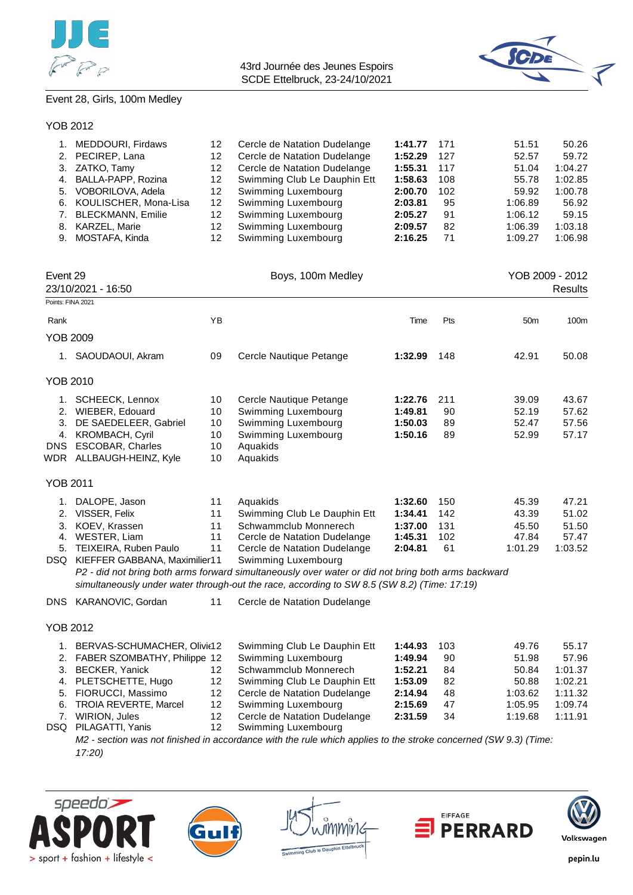



## Event 28, Girls, 100m Medley

### YOB 2012

| 1. MEDDOURI, Firdaws     | 12  | Cercle de Natation Dudelange | 1:41.77 171 |     | 51.51   | 50.26   |
|--------------------------|-----|------------------------------|-------------|-----|---------|---------|
| 2. PECIREP. Lana         | 12  | Cercle de Natation Dudelange | 1:52.29     | 127 | 52.57   | 59.72   |
| 3. ZATKO, Tamy           | 12  | Cercle de Natation Dudelange | 1:55.31     | 117 | 51.04   | 1:04.27 |
| 4. BALLA-PAPP, Rozina    | 12  | Swimming Club Le Dauphin Ett | 1:58.63     | 108 | 55.78   | 1:02.85 |
| 5. VOBORILOVA, Adela     | 12. | Swimming Luxembourg          | 2:00.70     | 102 | 59.92   | 1:00.78 |
| 6. KOULISCHER, Mona-Lisa | 12  | Swimming Luxembourg          | 2:03.81     | 95  | 1:06.89 | 56.92   |
| 7. BLECKMANN, Emilie     | 12. | Swimming Luxembourg          | 2:05.27     | 91  | 1:06.12 | 59.15   |
| 8. KARZEL, Marie         | 12  | Swimming Luxembourg          | 2:09.57     | 82  | 1:06.39 | 1:03.18 |
| 9. MOSTAFA, Kinda        | 12. | Swimming Luxembourg          | 2:16.25     | 71  | 1:09.27 | 1:06.98 |

| Event 29<br>23/10/2021 - 16:50     |                                                                                                                                                     |                                  | Boys, 100m Medley                                                                                                                                                                                                                                                                                                                                             |                                                     |                                |                                             | YOB 2009 - 2012<br><b>Results</b>           |
|------------------------------------|-----------------------------------------------------------------------------------------------------------------------------------------------------|----------------------------------|---------------------------------------------------------------------------------------------------------------------------------------------------------------------------------------------------------------------------------------------------------------------------------------------------------------------------------------------------------------|-----------------------------------------------------|--------------------------------|---------------------------------------------|---------------------------------------------|
| Points: FINA 2021                  |                                                                                                                                                     |                                  |                                                                                                                                                                                                                                                                                                                                                               |                                                     |                                |                                             |                                             |
| Rank                               |                                                                                                                                                     | <b>YB</b>                        |                                                                                                                                                                                                                                                                                                                                                               | Time                                                | Pts                            | 50 <sub>m</sub>                             | 100m                                        |
| <b>YOB 2009</b>                    |                                                                                                                                                     |                                  |                                                                                                                                                                                                                                                                                                                                                               |                                                     |                                |                                             |                                             |
|                                    | 1. SAOUDAOUI, Akram                                                                                                                                 | 09                               | Cercle Nautique Petange                                                                                                                                                                                                                                                                                                                                       | 1:32.99                                             | 148                            | 42.91                                       | 50.08                                       |
| <b>YOB 2010</b>                    |                                                                                                                                                     |                                  |                                                                                                                                                                                                                                                                                                                                                               |                                                     |                                |                                             |                                             |
| 1.<br>2.<br>3.<br>4.<br><b>DNS</b> | <b>SCHEECK, Lennox</b><br>WIEBER, Edouard<br>DE SAEDELEER, Gabriel<br><b>KROMBACH, Cyril</b><br><b>ESCOBAR, Charles</b><br>WDR ALLBAUGH-HEINZ, Kyle | 10<br>10<br>10<br>10<br>10<br>10 | Cercle Nautique Petange<br>Swimming Luxembourg<br>Swimming Luxembourg<br>Swimming Luxembourg<br>Aquakids<br>Aquakids                                                                                                                                                                                                                                          | 1:22.76<br>1:49.81<br>1:50.03<br>1:50.16            | 211<br>90<br>89<br>89          | 39.09<br>52.19<br>52.47<br>52.99            | 43.67<br>57.62<br>57.56<br>57.17            |
| <b>YOB 2011</b>                    |                                                                                                                                                     |                                  |                                                                                                                                                                                                                                                                                                                                                               |                                                     |                                |                                             |                                             |
| 1.<br>2.<br>3.<br>4.<br>5.         | DALOPE, Jason<br>VISSER, Felix<br>KOEV, Krassen<br>WESTER, Liam<br>TEIXEIRA, Ruben Paulo<br>DSQ KIEFFER GABBANA, Maximilier11                       | 11<br>11<br>11<br>11<br>11       | Aguakids<br>Swimming Club Le Dauphin Ett<br>Schwammclub Monnerech<br>Cercle de Natation Dudelange<br>Cercle de Natation Dudelange<br>Swimming Luxembourg<br>P2 - did not bring both arms forward simultaneously over water or did not bring both arms backward<br>simultaneously under water through-out the race, according to SW 8.5 (SW 8.2) (Time: 17:19) | 1:32.60<br>1:34.41<br>1:37.00<br>1:45.31<br>2:04.81 | 150<br>142<br>131<br>102<br>61 | 45.39<br>43.39<br>45.50<br>47.84<br>1:01.29 | 47.21<br>51.02<br>51.50<br>57.47<br>1:03.52 |
| <b>DNS</b>                         | KARANOVIC, Gordan                                                                                                                                   | 11                               | Cercle de Natation Dudelange                                                                                                                                                                                                                                                                                                                                  |                                                     |                                |                                             |                                             |

### YOB 2012

| 1. BERVAS-SCHUMACHER, Olivit12  |     | Swimming Club Le Dauphin Ett    | 1:44.93 | 103 | 49.76   | 55.17   |
|---------------------------------|-----|---------------------------------|---------|-----|---------|---------|
| 2. FABER SZOMBATHY, Philippe 12 |     | Swimming Luxembourg             | 1:49.94 | 90  | 51.98   | 57.96   |
| 3. BECKER, Yanick               | 12. | Schwammclub Monnerech           | 1:52.21 | 84  | 50.84   | 1:01.37 |
| 4. PLETSCHETTE, Hugo            | 12. | Swimming Club Le Dauphin Ett    | 1:53.09 | 82  | 50.88   | 1:02.21 |
| 5. FIORUCCI, Massimo            |     | 12 Cercle de Natation Dudelange | 2:14.94 | 48  | 1:03.62 | 1:11.32 |
| 6. TROIA REVERTE, Marcel        | 12. | Swimming Luxembourg             | 2:15.69 | 47  | 1:05.95 | 1:09.74 |
| 7. WIRION, Jules                | 12  | Cercle de Natation Dudelange    | 2:31.59 | 34  | 1:19.68 | 1:11.91 |
| DSQ PILAGATTI, Yanis            | 12. | Swimming Luxembourg             |         |     |         |         |

*M2 - section was not finished in accordance with the rule which applies to the stroke concerned (SW 9.3) (Time: 17:20)*









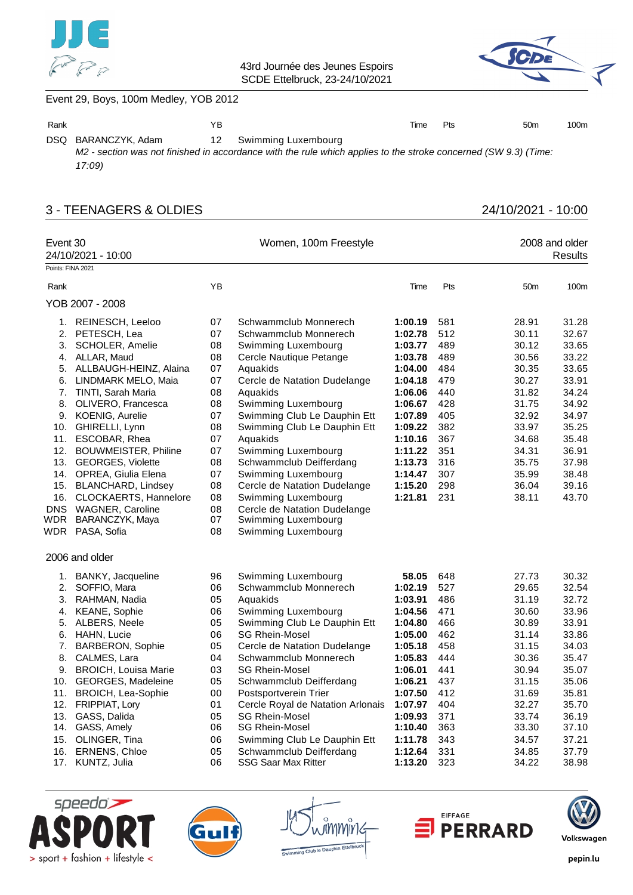



# Event 29, Boys, 100m Medley, YOB 2012

| Rank |                     | ΥB |                                                                                                                                           | Time | Pts | 50 <sub>m</sub> | 100m |
|------|---------------------|----|-------------------------------------------------------------------------------------------------------------------------------------------|------|-----|-----------------|------|
|      | DSQ BARANCZYK, Adam |    | 12 Swimming Luxembourg<br>M2 - section was not finished in accordance with the rule which applies to the stroke concerned (SW 9.3) (Time: |      |     |                 |      |
|      | 17:09)              |    |                                                                                                                                           |      |     |                 |      |

# 3 - TEENAGERS & OLDIES 24/10/2021 - 10:00

| Event 30<br>Points: FINA 2021 | 24/10/2021 - 10:00                      |          | Women, 100m Freestyle                                        |                    |            |                 | 2008 and older<br>Results |
|-------------------------------|-----------------------------------------|----------|--------------------------------------------------------------|--------------------|------------|-----------------|---------------------------|
| Rank                          |                                         | YB       |                                                              | Time               | Pts        | 50 <sub>m</sub> | 100m                      |
|                               |                                         |          |                                                              |                    |            |                 |                           |
|                               | YOB 2007 - 2008                         |          |                                                              |                    |            |                 |                           |
|                               | 1. REINESCH, Leeloo                     | 07       | Schwammclub Monnerech                                        | 1:00.19            | 581        | 28.91           | 31.28                     |
|                               | 2. PETESCH, Lea                         | 07       | Schwammclub Monnerech                                        | 1:02.78            | 512        | 30.11           | 32.67                     |
|                               | 3. SCHOLER, Amelie                      | 08       | Swimming Luxembourg                                          | 1:03.77            | 489        | 30.12           | 33.65                     |
|                               | 4. ALLAR, Maud                          | 08       | Cercle Nautique Petange                                      | 1:03.78            | 489        | 30.56           | 33.22                     |
|                               | 5. ALLBAUGH-HEINZ, Alaina               | 07       | Aquakids                                                     | 1:04.00            | 484        | 30.35           | 33.65                     |
|                               | 6. LINDMARK MELO, Maia                  | 07       | Cercle de Natation Dudelange                                 | 1:04.18            | 479        | 30.27           | 33.91                     |
|                               | 7. TINTI, Sarah Maria                   | 08       | Aquakids                                                     | 1:06.06            | 440        | 31.82           | 34.24                     |
|                               | 8. OLIVERO, Francesca                   | 08       | Swimming Luxembourg                                          | 1:06.67            | 428        | 31.75           | 34.92                     |
|                               | 9. KOENIG, Aurelie                      | 07<br>08 | Swimming Club Le Dauphin Ett<br>Swimming Club Le Dauphin Ett | 1:07.89<br>1:09.22 | 405<br>382 | 32.92<br>33.97  | 34.97<br>35.25            |
|                               | 10. GHIRELLI, Lynn<br>11. ESCOBAR, Rhea | 07       | Aquakids                                                     | 1:10.16            | 367        | 34.68           | 35.48                     |
|                               | 12. BOUWMEISTER, Philine                | 07       | Swimming Luxembourg                                          | 1:11.22            | 351        | 34.31           | 36.91                     |
|                               | 13. GEORGES, Violette                   | 08       | Schwammclub Deifferdang                                      | 1:13.73            | 316        | 35.75           | 37.98                     |
|                               | 14. OPREA, Giulia Elena                 | 07       | Swimming Luxembourg                                          | 1:14.47            | 307        | 35.99           | 38.48                     |
|                               | 15. BLANCHARD, Lindsey                  | 08       | Cercle de Natation Dudelange                                 | 1:15.20            | 298        | 36.04           | 39.16                     |
|                               | 16. CLOCKAERTS, Hannelore               | 08       | Swimming Luxembourg                                          | 1:21.81            | 231        | 38.11           | 43.70                     |
|                               | DNS WAGNER, Caroline                    | 08       | Cercle de Natation Dudelange                                 |                    |            |                 |                           |
| WDR                           | BARANCZYK, Maya                         | 07       | Swimming Luxembourg                                          |                    |            |                 |                           |
|                               | WDR PASA, Sofia                         | 08       | Swimming Luxembourg                                          |                    |            |                 |                           |
|                               | 2006 and older                          |          |                                                              |                    |            |                 |                           |
|                               | 1. BANKY, Jacqueline                    | 96       | Swimming Luxembourg                                          | 58.05              | 648        | 27.73           | 30.32                     |
|                               | 2. SOFFIO, Mara                         | 06       | Schwammclub Monnerech                                        | 1:02.19            | 527        | 29.65           | 32.54                     |
|                               | 3. RAHMAN, Nadia                        | 05       | Aquakids                                                     | 1:03.91            | 486        | 31.19           | 32.72                     |
|                               | 4. KEANE, Sophie                        | 06       | Swimming Luxembourg                                          | 1:04.56            | 471        | 30.60           | 33.96                     |
|                               | 5. ALBERS, Neele                        | 05       | Swimming Club Le Dauphin Ett                                 | 1:04.80            | 466        | 30.89           | 33.91                     |
|                               | 6. HAHN, Lucie                          | 06       | <b>SG Rhein-Mosel</b>                                        | 1:05.00            | 462        | 31.14           | 33.86                     |
|                               | 7. BARBERON, Sophie                     | 05       | Cercle de Natation Dudelange                                 | 1:05.18            | 458        | 31.15           | 34.03                     |
|                               | 8. CALMES, Lara                         | 04       | Schwammclub Monnerech                                        | 1:05.83            | 444        | 30.36           | 35.47                     |
|                               | 9. BROICH, Louisa Marie                 | 03       | <b>SG Rhein-Mosel</b>                                        | 1:06.01            | 441        | 30.94           | 35.07                     |
|                               | 10. GEORGES, Madeleine                  | 05       | Schwammclub Deifferdang                                      | 1:06.21            | 437        | 31.15           | 35.06                     |
|                               | 11. BROICH, Lea-Sophie                  | 00       | Postsportverein Trier                                        | 1:07.50            | 412        | 31.69           | 35.81                     |
|                               | 12. FRIPPIAT, Lory                      | 01       | Cercle Royal de Natation Arlonais                            | 1:07.97            | 404        | 32.27           | 35.70                     |
|                               | 13. GASS, Dalida                        | 05       | <b>SG Rhein-Mosel</b>                                        | 1:09.93            | 371        | 33.74           | 36.19                     |
|                               | 14. GASS, Amely                         | 06       | <b>SG Rhein-Mosel</b>                                        | 1:10.40            | 363        | 33.30           | 37.10                     |
|                               | 15. OLINGER, Tina                       | 06       | Swimming Club Le Dauphin Ett                                 | 1:11.78            | 343        | 34.57           | 37.21                     |
|                               | 16. ERNENS, Chloe                       | 05<br>06 | Schwammclub Deifferdang<br><b>SSG Saar Max Ritter</b>        | 1:12.64<br>1:13.20 | 331<br>323 | 34.85<br>34.22  | 37.79<br>38.98            |
|                               | 17. KUNTZ, Julia                        |          |                                                              |                    |            |                 |                           |





mmŭ



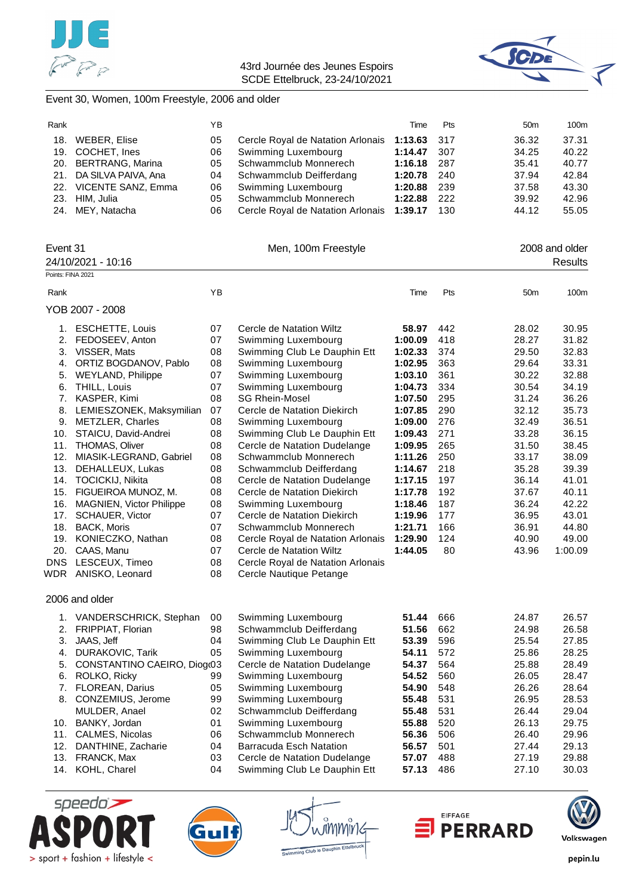



#### Event 30, Women, 100m Freestyle, 2006 and older

| Rank |                         | YB. |                                   | Time        | Pts  | 50 <sub>m</sub> | 100m  |
|------|-------------------------|-----|-----------------------------------|-------------|------|-----------------|-------|
| 18.  | WEBER, Elise            | 05  | Cercle Royal de Natation Arlonais | 1:13.63 317 |      | 36.32           | 37.31 |
|      | 19. COCHET, Ines        | 06  | Swimming Luxembourg               | 1:14.47     | -307 | 34.25           | 40.22 |
|      | 20. BERTRANG, Marina    | 05  | Schwammclub Monnerech             | 1:16.18     | 287  | 35.41           | 40.77 |
|      | 21. DA SILVA PAIVA, Ana | 04  | Schwammclub Deifferdang           | 1:20.78     | 240  | 37.94           | 42.84 |
|      | 22. VICENTE SANZ, Emma  | 06  | Swimming Luxembourg               | 1:20.88     | -239 | 37.58           | 43.30 |
|      | 23. HIM. Julia          | 05  | Schwammclub Monnerech             | 1:22.88     | -222 | 39.92           | 42.96 |
|      | 24. MEY, Natacha        | 06  | Cercle Royal de Natation Arlonais | 1:39.17     | 130  | 44.12           | 55.05 |

| Event 31           |                              |    | Men, 100m Freestyle               |         |     |                 | 2008 and older |
|--------------------|------------------------------|----|-----------------------------------|---------|-----|-----------------|----------------|
| 24/10/2021 - 10:16 |                              |    |                                   |         |     |                 | <b>Results</b> |
| Points: FINA 2021  |                              |    |                                   |         |     |                 |                |
| Rank               |                              | YB |                                   | Time    | Pts | 50 <sub>m</sub> | 100m           |
|                    | YOB 2007 - 2008              |    |                                   |         |     |                 |                |
|                    | 1. ESCHETTE, Louis           | 07 | Cercle de Natation Wiltz          | 58.97   | 442 | 28.02           | 30.95          |
|                    | 2. FEDOSEEV, Anton           | 07 | Swimming Luxembourg               | 1:00.09 | 418 | 28.27           | 31.82          |
| 3.                 | VISSER, Mats                 | 08 | Swimming Club Le Dauphin Ett      | 1:02.33 | 374 | 29.50           | 32.83          |
| 4.                 | ORTIZ BOGDANOV, Pablo        | 08 | Swimming Luxembourg               | 1:02.95 | 363 | 29.64           | 33.31          |
| 5.                 | <b>WEYLAND, Philippe</b>     | 07 | Swimming Luxembourg               | 1:03.10 | 361 | 30.22           | 32.88          |
| 6.                 | THILL, Louis                 | 07 | Swimming Luxembourg               | 1:04.73 | 334 | 30.54           | 34.19          |
| 7.                 | KASPER, Kimi                 | 08 | <b>SG Rhein-Mosel</b>             | 1:07.50 | 295 | 31.24           | 36.26          |
| 8.                 | LEMIESZONEK, Maksymilian     | 07 | Cercle de Natation Diekirch       | 1:07.85 | 290 | 32.12           | 35.73          |
|                    | 9. METZLER, Charles          | 08 | Swimming Luxembourg               | 1:09.00 | 276 | 32.49           | 36.51          |
| 10.                | STAICU, David-Andrei         | 08 | Swimming Club Le Dauphin Ett      | 1:09.43 | 271 | 33.28           | 36.15          |
| 11.                | <b>THOMAS, Oliver</b>        | 08 | Cercle de Natation Dudelange      | 1:09.95 | 265 | 31.50           | 38.45          |
| 12.                | MIASIK-LEGRAND, Gabriel      | 08 | Schwammclub Monnerech             | 1:11.26 | 250 | 33.17           | 38.09          |
| 13.                | DEHALLEUX, Lukas             | 08 | Schwammclub Deifferdang           | 1:14.67 | 218 | 35.28           | 39.39          |
|                    | 14. TOCICKIJ, Nikita         | 08 | Cercle de Natation Dudelange      | 1:17.15 | 197 | 36.14           | 41.01          |
|                    | 15. FIGUEIROA MUNOZ, M.      | 08 | Cercle de Natation Diekirch       | 1:17.78 | 192 | 37.67           | 40.11          |
|                    | 16. MAGNIEN, Victor Philippe | 08 | Swimming Luxembourg               | 1:18.46 | 187 | 36.24           | 42.22          |
| 17.                | <b>SCHAUER, Victor</b>       | 07 | Cercle de Natation Diekirch       | 1:19.96 | 177 | 36.95           | 43.01          |
|                    | 18. BACK, Moris              | 07 | Schwammclub Monnerech             | 1:21.71 | 166 | 36.91           | 44.80          |
| 19.                | KONIECZKO, Nathan            | 08 | Cercle Royal de Natation Arlonais | 1:29.90 | 124 | 40.90           | 49.00          |
| 20.                | CAAS, Manu                   | 07 | Cercle de Natation Wiltz          | 1:44.05 | 80  | 43.96           | 1:00.09        |
| <b>DNS</b>         | LESCEUX, Timeo               | 08 | Cercle Royal de Natation Arlonais |         |     |                 |                |
|                    | WDR ANISKO, Leonard          | 08 | Cercle Nautique Petange           |         |     |                 |                |
|                    | 2006 and older               |    |                                   |         |     |                 |                |
|                    | 1. VANDERSCHRICK, Stephan    | 00 | Swimming Luxembourg               | 51.44   | 666 | 24.87           | 26.57          |
| 2.                 | FRIPPIAT, Florian            | 98 | Schwammclub Deifferdang           | 51.56   | 662 | 24.98           | 26.58          |
| 3.                 | JAAS, Jeff                   | 04 | Swimming Club Le Dauphin Ett      | 53.39   | 596 | 25.54           | 27.85          |
| 4.                 | DURAKOVIC, Tarik             | 05 | Swimming Luxembourg               | 54.11   | 572 | 25.86           | 28.25          |
| 5.                 | CONSTANTINO CAEIRO, Diog(03  |    | Cercle de Natation Dudelange      | 54.37   | 564 | 25.88           | 28.49          |
| 6.                 | ROLKO, Ricky                 | 99 | Swimming Luxembourg               | 54.52   | 560 | 26.05           | 28.47          |
| 7.                 | FLOREAN, Darius              | 05 | Swimming Luxembourg               | 54.90   | 548 | 26.26           | 28.64          |
|                    | 8. CONZEMIUS, Jerome         | 99 | Swimming Luxembourg               | 55.48   | 531 | 26.95           | 28.53          |
|                    | MULDER, Anael                | 02 | Schwammclub Deifferdang           | 55.48   | 531 | 26.44           | 29.04          |

10. BANKY, Jordan 01 Swimming Luxembourg **55.88** 520 26.13 29.75 11. CALMES, Nicolas 06 Schwammclub Monnerech **56.36** 506 26.40 29.96 12. DANTHINE, Zacharie 04 Barracuda Esch Natation **56.57** 501 27.44 29.13 13. FRANCK, Max 03 Cercle de Natation Dudelange **57.07** 488 27.19 29.88 14. KOHL, Charel 04 Swimming Club Le Dauphin Ett **57.13** 486 27.10 30.03





tMMNtr to Daupt



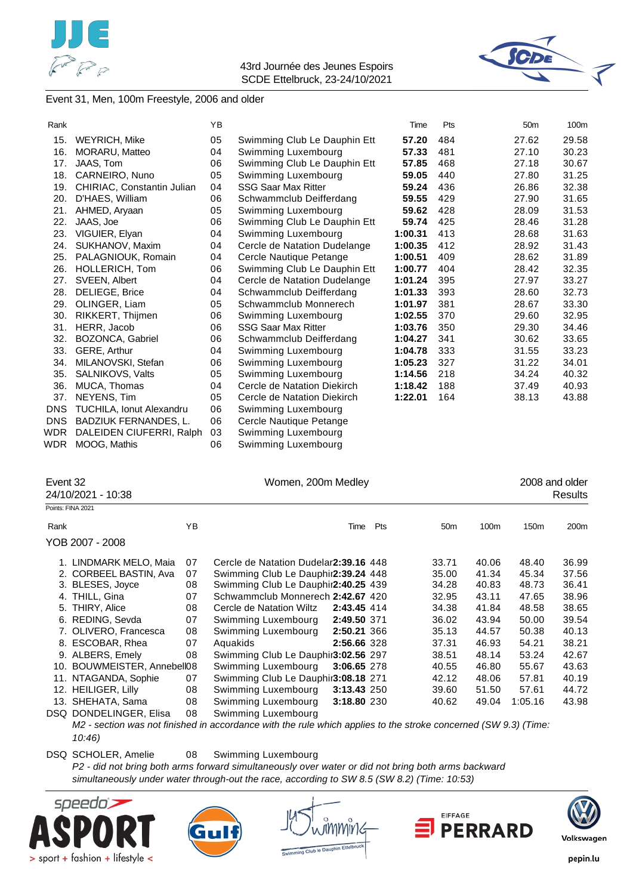



#### Event 31, Men, 100m Freestyle, 2006 and older

| Rank       |                                   | YB |                              | Time    | Pts | 50 <sub>m</sub> | 100m  |
|------------|-----------------------------------|----|------------------------------|---------|-----|-----------------|-------|
| 15.        | <b>WEYRICH, Mike</b>              | 05 | Swimming Club Le Dauphin Ett | 57.20   | 484 | 27.62           | 29.58 |
| 16.        | MORARU, Matteo                    | 04 | Swimming Luxembourg          | 57.33   | 481 | 27.10           | 30.23 |
| 17.        | JAAS, Tom                         | 06 | Swimming Club Le Dauphin Ett | 57.85   | 468 | 27.18           | 30.67 |
| 18.        | CARNEIRO, Nuno                    | 05 | Swimming Luxembourg          | 59.05   | 440 | 27.80           | 31.25 |
| 19.        | <b>CHIRIAC, Constantin Julian</b> | 04 | <b>SSG Saar Max Ritter</b>   | 59.24   | 436 | 26.86           | 32.38 |
| 20.        | D'HAES, William                   | 06 | Schwammclub Deifferdang      | 59.55   | 429 | 27.90           | 31.65 |
| 21.        | AHMED, Aryaan                     | 05 | Swimming Luxembourg          | 59.62   | 428 | 28.09           | 31.53 |
| 22.        | JAAS, Joe                         | 06 | Swimming Club Le Dauphin Ett | 59.74   | 425 | 28.46           | 31.28 |
| 23.        | VIGUIER, Elyan                    | 04 | Swimming Luxembourg          | 1:00.31 | 413 | 28.68           | 31.63 |
| 24.        | SUKHANOV, Maxim                   | 04 | Cercle de Natation Dudelange | 1:00.35 | 412 | 28.92           | 31.43 |
| 25.        | PALAGNIOUK, Romain                | 04 | Cercle Nautique Petange      | 1:00.51 | 409 | 28.62           | 31.89 |
| 26.        | HOLLERICH, Tom                    | 06 | Swimming Club Le Dauphin Ett | 1:00.77 | 404 | 28.42           | 32.35 |
| 27.        | SVEEN, Albert                     | 04 | Cercle de Natation Dudelange | 1:01.24 | 395 | 27.97           | 33.27 |
| 28.        | DELIEGE, Brice                    | 04 | Schwammclub Deifferdang      | 1:01.33 | 393 | 28.60           | 32.73 |
| 29.        | OLINGER, Liam                     | 05 | Schwammclub Monnerech        | 1:01.97 | 381 | 28.67           | 33.30 |
| 30.        | <b>RIKKERT, Thijmen</b>           | 06 | Swimming Luxembourg          | 1:02.55 | 370 | 29.60           | 32.95 |
| 31.        | HERR, Jacob                       | 06 | <b>SSG Saar Max Ritter</b>   | 1:03.76 | 350 | 29.30           | 34.46 |
| 32.        | BOZONCA, Gabriel                  | 06 | Schwammclub Deifferdang      | 1:04.27 | 341 | 30.62           | 33.65 |
| 33.        | GERE, Arthur                      | 04 | Swimming Luxembourg          | 1:04.78 | 333 | 31.55           | 33.23 |
| 34.        | MILANOVSKI, Stefan                | 06 | Swimming Luxembourg          | 1:05.23 | 327 | 31.22           | 34.01 |
| 35.        | SALNIKOVS, Valts                  | 05 | Swimming Luxembourg          | 1:14.56 | 218 | 34.24           | 40.32 |
| 36.        | MUCA, Thomas                      | 04 | Cercle de Natation Diekirch  | 1:18.42 | 188 | 37.49           | 40.93 |
| 37.        | NEYENS, Tim                       | 05 | Cercle de Natation Diekirch  | 1:22.01 | 164 | 38.13           | 43.88 |
| <b>DNS</b> | <b>TUCHILA, Ionut Alexandru</b>   | 06 | Swimming Luxembourg          |         |     |                 |       |
| <b>DNS</b> | BADZIUK FERNANDES, L.             | 06 | Cercle Nautique Petange      |         |     |                 |       |
| WDR        | DALEIDEN CIUFERRI, Ralph          | 03 | Swimming Luxembourg          |         |     |                 |       |
| WDR        | MOOG. Mathis                      | 06 | Swimming Luxembourg          |         |     |                 |       |

| Event 32 | 24/10/2021 - 10:38          |    | Women, 200m Medley                     | 2008 and older<br>Results |     |                 |       |                  |                  |
|----------|-----------------------------|----|----------------------------------------|---------------------------|-----|-----------------|-------|------------------|------------------|
|          | Points: FINA 2021           |    |                                        |                           |     |                 |       |                  |                  |
| Rank     |                             | YB |                                        | Time                      | Pts | 50 <sub>m</sub> | 100m  | 150 <sub>m</sub> | 200 <sub>m</sub> |
|          | YOB 2007 - 2008             |    |                                        |                           |     |                 |       |                  |                  |
|          | 1. LINDMARK MELO, Maia      | 07 | Cercle de Natation Dudelar 2:39.16 448 |                           |     | 33.71           | 40.06 | 48.40            | 36.99            |
|          | 2. CORBEEL BASTIN, Ava      | 07 | Swimming Club Le Dauphir2:39.24 448    |                           |     | 35.00           | 41.34 | 45.34            | 37.56            |
|          | 3. BLESES, Joyce            | 08 | Swimming Club Le Dauphir2:40.25 439    |                           |     | 34.28           | 40.83 | 48.73            | 36.41            |
|          | 4. THILL, Gina              | 07 | Schwammclub Monnerech 2:42.67 420      |                           |     | 32.95           | 43.11 | 47.65            | 38.96            |
|          | 5. THIRY, Alice             | 08 | Cercle de Natation Wiltz               | 2:43.45 414               |     | 34.38           | 41.84 | 48.58            | 38.65            |
|          | 6. REDING, Sevda            | 07 | Swimming Luxembourg                    | 2:49.50 371               |     | 36.02           | 43.94 | 50.00            | 39.54            |
|          | 7. OLIVERO, Francesca       | 08 | Swimming Luxembourg                    | 2:50.21 366               |     | 35.13           | 44.57 | 50.38            | 40.13            |
|          | 8. ESCOBAR, Rhea            | 07 | Aquakids                               | 2:56.66 328               |     | 37.31           | 46.93 | 54.21            | 38.21            |
|          | 9. ALBERS, Emely            | 08 | Swimming Club Le Dauphir3:02.56 297    |                           |     | 38.51           | 48.14 | 53.24            | 42.67            |
|          | 10. BOUWMEISTER, Annebell08 |    | Swimming Luxembourg                    | 3:06.65 278               |     | 40.55           | 46.80 | 55.67            | 43.63            |
|          | 11. NTAGANDA, Sophie        | 07 | Swimming Club Le Dauphir3:08.18 271    |                           |     | 42.12           | 48.06 | 57.81            | 40.19            |
|          | 12. HEILIGER, Lilly         | 08 | Swimming Luxembourg                    | 3:13.43 250               |     | 39.60           | 51.50 | 57.61            | 44.72            |
|          | 13. SHEHATA, Sama           | 08 | Swimming Luxembourg                    | 3:18.80 230               |     | 40.62           | 49.04 | 1:05.16          | 43.98            |
|          | DSQ DONDELINGER, Elisa      | 08 | Swimming Luxembourg                    |                           |     |                 |       |                  |                  |

*M2 - section was not finished in accordance with the rule which applies to the stroke concerned (SW 9.3) (Time: 10:46)*

DSQ SCHOLER, Amelie 08 Swimming Luxembourg

*P2 - did not bring both arms forward simultaneously over water or did not bring both arms backward simultaneously under water through-out the race, according to SW 8.5 (SW 8.2) (Time: 10:53)*









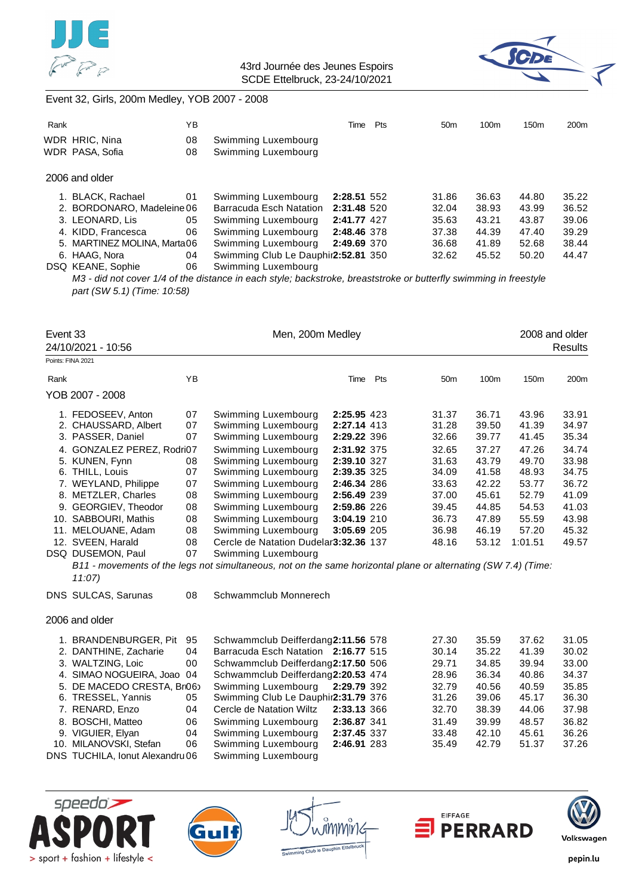



### Event 32, Girls, 200m Medley, YOB 2007 - 2008

|            | ΥB                                                                                                                                                                            |                                                                                       | Time | Pts              | 50 <sub>m</sub>                                                                                                | 100 <sub>m</sub> | 150 <sub>m</sub> | 200 <sub>m</sub>                                                                                                                    |
|------------|-------------------------------------------------------------------------------------------------------------------------------------------------------------------------------|---------------------------------------------------------------------------------------|------|------------------|----------------------------------------------------------------------------------------------------------------|------------------|------------------|-------------------------------------------------------------------------------------------------------------------------------------|
|            | 08                                                                                                                                                                            | Swimming Luxembourg                                                                   |      |                  |                                                                                                                |                  |                  |                                                                                                                                     |
|            | 08                                                                                                                                                                            | Swimming Luxembourg                                                                   |      |                  |                                                                                                                |                  |                  |                                                                                                                                     |
|            |                                                                                                                                                                               |                                                                                       |      |                  |                                                                                                                |                  |                  |                                                                                                                                     |
|            | 01                                                                                                                                                                            | Swimming Luxembourg                                                                   |      |                  | 31.86                                                                                                          | 36.63            | 44.80            | 35.22                                                                                                                               |
|            |                                                                                                                                                                               | Barracuda Esch Natation                                                               |      |                  | 32.04                                                                                                          | 38.93            | 43.99            | 36.52                                                                                                                               |
|            | 05                                                                                                                                                                            | Swimming Luxembourg                                                                   |      |                  | 35.63                                                                                                          | 43.21            | 43.87            | 39.06                                                                                                                               |
|            | 06                                                                                                                                                                            | Swimming Luxembourg                                                                   |      |                  | 37.38                                                                                                          | 44.39            | 47.40            | 39.29                                                                                                                               |
|            |                                                                                                                                                                               | Swimming Luxembourg                                                                   |      |                  | 36.68                                                                                                          | 41.89            | 52.68            | 38.44                                                                                                                               |
|            | 04                                                                                                                                                                            |                                                                                       |      |                  | 32.62                                                                                                          | 45.52            | 50.20            | 44.47                                                                                                                               |
|            | 06                                                                                                                                                                            | Swimming Luxembourg                                                                   |      |                  |                                                                                                                |                  |                  |                                                                                                                                     |
|            |                                                                                                                                                                               |                                                                                       |      |                  |                                                                                                                |                  |                  |                                                                                                                                     |
|            |                                                                                                                                                                               |                                                                                       |      |                  |                                                                                                                |                  |                  |                                                                                                                                     |
|            |                                                                                                                                                                               |                                                                                       |      |                  |                                                                                                                |                  |                  |                                                                                                                                     |
| Event 33   |                                                                                                                                                                               |                                                                                       |      |                  |                                                                                                                |                  |                  |                                                                                                                                     |
|            |                                                                                                                                                                               |                                                                                       |      |                  |                                                                                                                |                  |                  | Results                                                                                                                             |
| Rank<br>5. | WDR HRIC, Nina<br>WDR PASA, Sofia<br>2006 and older<br>1. BLACK, Rachael<br>3. LEONARD, Lis<br>4. KIDD, Francesca<br>6. HAAG, Nora<br>DSQ KEANE, Sophie<br>24/10/2021 - 10:56 | 2. BORDONARO, Madeleine 06<br>MARTINEZ MOLINA, Marta06<br>part (SW 5.1) (Time: 10:58) |      | Men, 200m Medley | 2:28.51 552<br>2:31.48 520<br>2:41.77 427<br>2:48.46 378<br>2:49.69 370<br>Swimming Club Le Dauphir2:52.81 350 |                  |                  | M3 - did not cover 1/4 of the distance in each style; backstroke, breaststroke or butterfly swimming in freestyle<br>2008 and older |

|      | Points: FINA 2021          |    |                                        |             |     |                 |       |         |       |
|------|----------------------------|----|----------------------------------------|-------------|-----|-----------------|-------|---------|-------|
| Rank |                            | YΒ |                                        | Time        | Pts | 50 <sub>m</sub> | 100m  | 150m    | 200m  |
|      | YOB 2007 - 2008            |    |                                        |             |     |                 |       |         |       |
|      | 1. FEDOSEEV, Anton         | 07 | Swimming Luxembourg                    | 2:25.95 423 |     | 31.37           | 36.71 | 43.96   | 33.91 |
|      | 2. CHAUSSARD, Albert       | 07 | Swimming Luxembourg                    | 2:27.14 413 |     | 31.28           | 39.50 | 41.39   | 34.97 |
|      | 3. PASSER, Daniel          | 07 | Swimming Luxembourg                    | 2:29.22 396 |     | 32.66           | 39.77 | 41.45   | 35.34 |
|      | 4. GONZALEZ PEREZ, Rodri07 |    | Swimming Luxembourg                    | 2:31.92 375 |     | 32.65           | 37.27 | 47.26   | 34.74 |
|      | 5. KUNEN, Fynn             | 08 | Swimming Luxembourg                    | 2:39.10 327 |     | 31.63           | 43.79 | 49.70   | 33.98 |
|      | 6. THILL, Louis            | 07 | Swimming Luxembourg                    | 2:39.35 325 |     | 34.09           | 41.58 | 48.93   | 34.75 |
|      | 7. WEYLAND, Philippe       | 07 | Swimming Luxembourg                    | 2:46.34 286 |     | 33.63           | 42.22 | 53.77   | 36.72 |
|      | 8. METZLER, Charles        | 08 | Swimming Luxembourg                    | 2:56.49 239 |     | 37.00           | 45.61 | 52.79   | 41.09 |
|      | 9. GEORGIEV, Theodor       | 08 | Swimming Luxembourg                    | 2:59.86 226 |     | 39.45           | 44.85 | 54.53   | 41.03 |
|      | 10. SABBOURI, Mathis       | 08 | Swimming Luxembourg                    | 3:04.19 210 |     | 36.73           | 47.89 | 55.59   | 43.98 |
| 11.  | MELOUANE, Adam             | 08 | Swimming Luxembourg                    | 3:05.69 205 |     | 36.98           | 46.19 | 57.20   | 45.32 |
|      | 12. SVEEN, Harald          | 08 | Cercle de Natation Dudelar 3:32.36 137 |             |     | 48.16           | 53.12 | 1:01.51 | 49.57 |
|      | DSQ DUSEMON, Paul          | 07 | Swimming Luxembourg                    |             |     |                 |       |         |       |

*B11 - movements of the legs not simultaneous, not on the same horizontal plane or alternating (SW 7.4) (Time: 11:07)*

DNS SULCAS, Sarunas 08 Schwammclub Monnerech

#### 2006 and older

| 1. BRANDENBURGER, Pit           | 95 | Schwammclub Deifferdang2:11.56 578  |             | 27.30 | 35.59 | 37.62 | 31.05 |
|---------------------------------|----|-------------------------------------|-------------|-------|-------|-------|-------|
| 2. DANTHINE, Zacharie           | 04 | Barracuda Esch Natation 2:16.77 515 |             | 30.14 | 35.22 | 41.39 | 30.02 |
| 3. WALTZING, Loic               | 00 | Schwammclub Deifferdang2:17.50 506  |             | 29.71 | 34.85 | 39.94 | 33.00 |
| 4. SIMAO NOGUEIRA, Joao 04      |    | Schwammclub Deifferdang2:20.53 474  |             | 28.96 | 36.34 | 40.86 | 34.37 |
| 5. DE MACEDO CRESTA, Br06       |    | Swimming Luxembourg                 | 2:29.79 392 | 32.79 | 40.56 | 40.59 | 35.85 |
| 6. TRESSEL, Yannis              | 05 | Swimming Club Le Dauphir2:31.79 376 |             | 31.26 | 39.06 | 45.17 | 36.30 |
| 7. RENARD, Enzo                 | 04 | Cercle de Natation Wiltz            | 2:33.13 366 | 32.70 | 38.39 | 44.06 | 37.98 |
| 8. BOSCHI, Matteo               | 06 | Swimming Luxembourg                 | 2:36.87 341 | 31.49 | 39.99 | 48.57 | 36.82 |
| 9. VIGUIER, Elyan               | 04 | Swimming Luxembourg                 | 2:37.45 337 | 33.48 | 42.10 | 45.61 | 36.26 |
| 10. MILANOVSKI, Stefan          | 06 | Swimming Luxembourg                 | 2:46.91 283 | 35.49 | 42.79 | 51.37 | 37.26 |
| DNS TUCHILA, Ionut Alexandru 06 |    | Swimming Luxembourg                 |             |       |       |       |       |









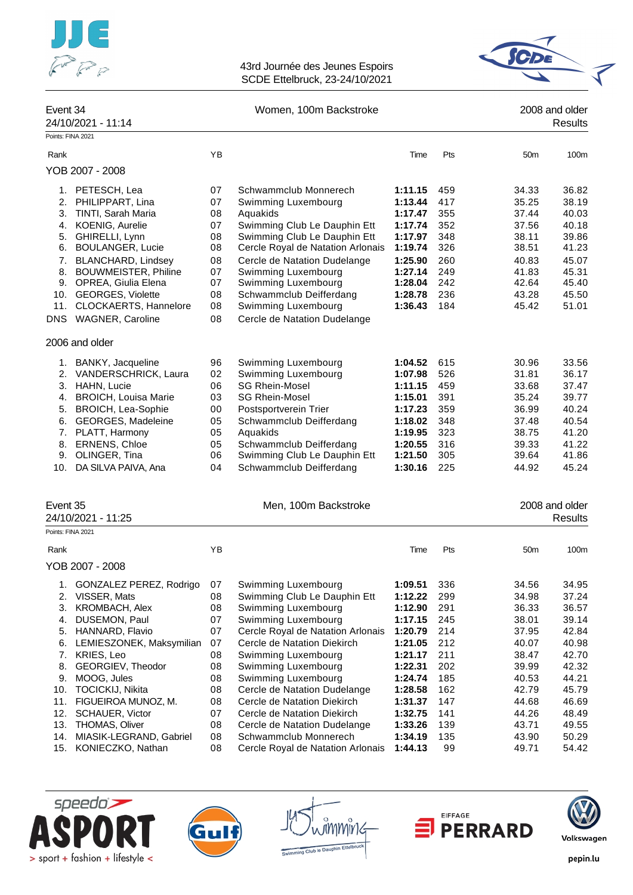



| Event 34<br>24/10/2021 - 11:14<br>Points: FINA 2021 |          | Women, 100m Backstroke                              |                    |            | 2008 and older<br><b>Results</b> |                |  |
|-----------------------------------------------------|----------|-----------------------------------------------------|--------------------|------------|----------------------------------|----------------|--|
|                                                     |          |                                                     |                    |            |                                  |                |  |
| Rank                                                | YB       |                                                     | Time               | Pts        | 50 <sub>m</sub>                  | 100m           |  |
| YOB 2007 - 2008                                     |          |                                                     |                    |            |                                  |                |  |
| 1. PETESCH, Lea                                     | 07       | Schwammclub Monnerech                               | 1:11.15            | 459        | 34.33                            | 36.82          |  |
| PHILIPPART, Lina<br>2.                              | 07       | Swimming Luxembourg                                 | 1:13.44            | 417        | 35.25                            | 38.19          |  |
| TINTI, Sarah Maria<br>3.                            | 08       | Aquakids                                            | 1:17.47            | 355        | 37.44                            | 40.03          |  |
| 4. KOENIG, Aurelie                                  | 07       | Swimming Club Le Dauphin Ett                        | 1:17.74            | 352        | 37.56                            | 40.18          |  |
| GHIRELLI, Lynn<br>5.                                | 08       | Swimming Club Le Dauphin Ett                        | 1:17.97            | 348        | 38.11                            | 39.86          |  |
| <b>BOULANGER, Lucie</b><br>6.                       | 08       | Cercle Royal de Natation Arlonais                   | 1:19.74            | 326        | 38.51                            | 41.23          |  |
| <b>BLANCHARD, Lindsey</b><br>7.                     | 08       | Cercle de Natation Dudelange                        | 1:25.90            | 260        | 40.83                            | 45.07          |  |
| <b>BOUWMEISTER, Philine</b><br>8.                   | 07       | Swimming Luxembourg                                 | 1:27.14            | 249        | 41.83                            | 45.31          |  |
| 9. OPREA, Giulia Elena                              | 07       | Swimming Luxembourg                                 | 1:28.04            | 242        | 42.64                            | 45.40          |  |
| 10. GEORGES, Violette                               | 08       | Schwammclub Deifferdang                             | 1:28.78            | 236        | 43.28                            | 45.50          |  |
| CLOCKAERTS, Hannelore<br>11.                        | 08       | Swimming Luxembourg                                 | 1:36.43            | 184        | 45.42                            | 51.01          |  |
| <b>DNS</b><br>WAGNER, Caroline                      | 08       | Cercle de Natation Dudelange                        |                    |            |                                  |                |  |
| 2006 and older                                      |          |                                                     |                    |            |                                  |                |  |
| BANKY, Jacqueline<br>1.                             | 96       | Swimming Luxembourg                                 | 1:04.52            | 615        | 30.96                            | 33.56          |  |
| 2. VANDERSCHRICK, Laura                             | 02       | Swimming Luxembourg                                 | 1:07.98            | 526        | 31.81                            | 36.17          |  |
| 3. HAHN, Lucie                                      | 06       | <b>SG Rhein-Mosel</b>                               | 1:11.15            | 459        | 33.68                            | 37.47          |  |
| <b>BROICH, Louisa Marie</b><br>4.                   | 03       | <b>SG Rhein-Mosel</b>                               | 1:15.01            | 391        | 35.24                            | 39.77          |  |
| <b>BROICH, Lea-Sophie</b><br>5.                     | 00       | Postsportverein Trier                               | 1:17.23            | 359        | 36.99                            | 40.24          |  |
| GEORGES, Madeleine<br>6.                            | 05       | Schwammclub Deifferdang                             | 1:18.02            | 348        | 37.48                            | 40.54          |  |
| PLATT, Harmony<br>7.                                | 05       | Aquakids                                            | 1:19.95            | 323        | 38.75                            | 41.20          |  |
| ERNENS, Chloe<br>8.                                 | 05       | Schwammclub Deifferdang                             | 1:20.55            | 316        | 39.33                            | 41.22          |  |
| 9.<br>OLINGER, Tina                                 | 06       | Swimming Club Le Dauphin Ett                        | 1:21.50            | 305        | 39.64                            | 41.86          |  |
| 10. DA SILVA PAIVA, Ana                             | 04       | Schwammclub Deifferdang                             | 1:30.16            | 225        | 44.92                            | 45.24          |  |
| Event 35                                            |          | Men, 100m Backstroke                                |                    |            |                                  | 2008 and older |  |
| 24/10/2021 - 11:25                                  |          |                                                     |                    |            |                                  | <b>Results</b> |  |
| Points: FINA 2021                                   |          |                                                     |                    |            |                                  |                |  |
| Rank                                                | ΥB       |                                                     | Time               | Pts        | 50 <sub>m</sub>                  | 100m           |  |
| YOB 2007 - 2008                                     |          |                                                     |                    |            |                                  |                |  |
|                                                     |          |                                                     |                    |            |                                  |                |  |
| GONZALEZ PEREZ, Rodrigo<br>1.<br>2.<br>VISSER, Mats | 07<br>08 | Swimming Luxembourg<br>Swimming Club Le Dauphin Ett | 1:09.51<br>1:12.22 | 336<br>299 | 34.56<br>34.98                   | 34.95<br>37.24 |  |
| KROMBACH, Alex<br>3.                                | 08       | Swimming Luxembourg                                 | 1:12.90            | 291        | 36.33                            | 36.57          |  |
| DUSEMON, Paul<br>4.                                 | 07       | Swimming Luxembourg                                 | 1:17.15            | 245        | 38.01                            | 39.14          |  |
| 5.<br>HANNARD, Flavio                               | 07       | Cercle Royal de Natation Arlonais                   | 1:20.79            | 214        | 37.95                            | 42.84          |  |
| LEMIESZONEK, Maksymilian<br>6.                      | 07       | Cercle de Natation Diekirch                         | 1:21.05            | 212        | 40.07                            | 40.98          |  |
| KRIES, Leo<br>7.                                    | 08       | Swimming Luxembourg                                 | 1:21.17            | 211        | 38.47                            | 42.70          |  |
| GEORGIEV, Theodor<br>8.                             | 08       | Swimming Luxembourg                                 | 1:22.31            | 202        | 39.99                            | 42.32          |  |
| 9.<br>MOOG, Jules                                   | 08       | Swimming Luxembourg                                 | 1:24.74            | 185        | 40.53                            | 44.21          |  |
| <b>TOCICKIJ, Nikita</b><br>10.                      | 08       | Cercle de Natation Dudelange                        | 1:28.58            | 162        | 42.79                            | 45.79          |  |
| FIGUEIROA MUNOZ, M.<br>11.                          | 08       | Cercle de Natation Diekirch                         | 1:31.37            | 147        | 44.68                            | 46.69          |  |

- 13. THOMAS, Oliver 08 Cercle de Natation Dudelange **1:33.26** 139 43.71 49.55 14. MIASIK-LEGRAND, Gabriel 08 Schwammclub Monnerech **1:34.19** 135 43.90 50.29
- 15. KONIECZKO, Nathan 08 Cercle Royal de Natation Arlonais **1:44.13** 99 49.71 54.42





MMIr to David

12. SCHAUER, Victor 07 Cercle de Natation Diekirch **1:32.75** 141 44.26 48.49



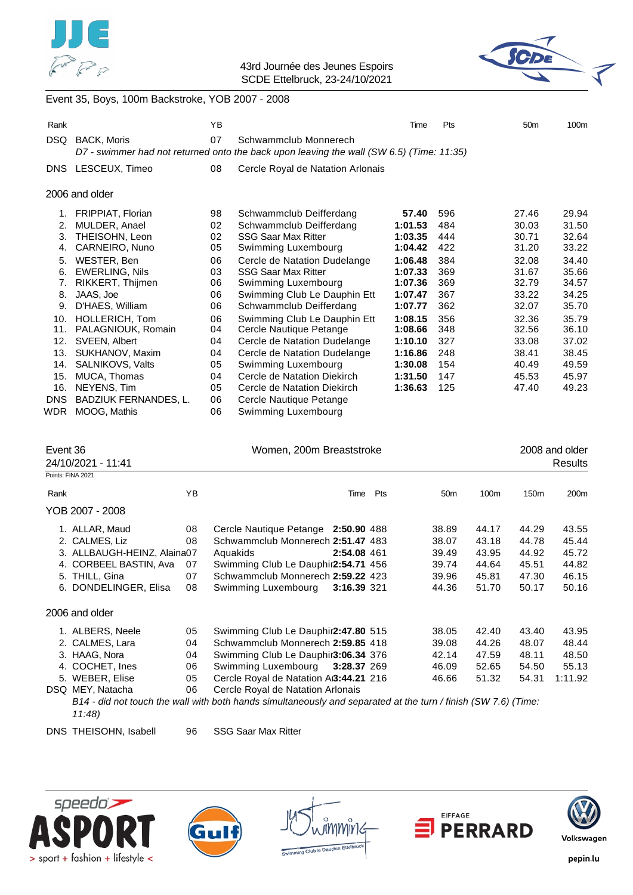



### Event 35, Boys, 100m Backstroke, YOB 2007 - 2008

| Rank       |                              | YB |                                                                                                                   | Time    | Pts | 50 <sub>m</sub> | 100 <sub>m</sub> |  |  |  |  |
|------------|------------------------------|----|-------------------------------------------------------------------------------------------------------------------|---------|-----|-----------------|------------------|--|--|--|--|
| DSQ.       | <b>BACK, Moris</b>           | 07 | Schwammclub Monnerech<br>D7 - swimmer had not returned onto the back upon leaving the wall (SW 6.5) (Time: 11:35) |         |     |                 |                  |  |  |  |  |
|            | DNS LESCEUX, Timeo           | 08 | Cercle Royal de Natation Arlonais                                                                                 |         |     |                 |                  |  |  |  |  |
|            | 2006 and older               |    |                                                                                                                   |         |     |                 |                  |  |  |  |  |
| 1.         | <b>FRIPPIAT, Florian</b>     | 98 | Schwammclub Deifferdang                                                                                           | 57.40   | 596 | 27.46           | 29.94            |  |  |  |  |
| 2.         | MULDER, Anael                | 02 | Schwammclub Deifferdang                                                                                           | 1:01.53 | 484 | 30.03           | 31.50            |  |  |  |  |
| 3.         | THEISOHN, Leon               | 02 | <b>SSG Saar Max Ritter</b>                                                                                        | 1:03.35 | 444 | 30.71           | 32.64            |  |  |  |  |
| 4.         | CARNEIRO, Nuno               | 05 | Swimming Luxembourg                                                                                               | 1:04.42 | 422 | 31.20           | 33.22            |  |  |  |  |
| 5.         | WESTER, Ben                  | 06 | Cercle de Natation Dudelange                                                                                      | 1:06.48 | 384 | 32.08           | 34.40            |  |  |  |  |
| 6.         | <b>EWERLING, Nils</b>        | 03 | <b>SSG Saar Max Ritter</b>                                                                                        | 1:07.33 | 369 | 31.67           | 35.66            |  |  |  |  |
| 7.         | RIKKERT, Thijmen             | 06 | Swimming Luxembourg                                                                                               | 1:07.36 | 369 | 32.79           | 34.57            |  |  |  |  |
| 8.         | JAAS, Joe                    | 06 | Swimming Club Le Dauphin Ett                                                                                      | 1:07.47 | 367 | 33.22           | 34.25            |  |  |  |  |
| 9.         | D'HAES, William              | 06 | Schwammclub Deifferdang                                                                                           | 1:07.77 | 362 | 32.07           | 35.70            |  |  |  |  |
| 10.        | HOLLERICH, Tom               | 06 | Swimming Club Le Dauphin Ett                                                                                      | 1:08.15 | 356 | 32.36           | 35.79            |  |  |  |  |
| 11.        | PALAGNIOUK, Romain           | 04 | Cercle Nautique Petange                                                                                           | 1:08.66 | 348 | 32.56           | 36.10            |  |  |  |  |
| 12.        | SVEEN, Albert                | 04 | Cercle de Natation Dudelange                                                                                      | 1:10.10 | 327 | 33.08           | 37.02            |  |  |  |  |
| 13.        | SUKHANOV, Maxim              | 04 | Cercle de Natation Dudelange                                                                                      | 1:16.86 | 248 | 38.41           | 38.45            |  |  |  |  |
| 14.        | SALNIKOVS, Valts             | 05 | Swimming Luxembourg                                                                                               | 1:30.08 | 154 | 40.49           | 49.59            |  |  |  |  |
| 15.        | MUCA, Thomas                 | 04 | Cercle de Natation Diekirch                                                                                       | 1:31.50 | 147 | 45.53           | 45.97            |  |  |  |  |
| 16.        | NEYENS, Tim                  | 05 | Cercle de Natation Diekirch                                                                                       | 1:36.63 | 125 | 47.40           | 49.23            |  |  |  |  |
| <b>DNS</b> | <b>BADZIUK FERNANDES, L.</b> | 06 | Cercle Nautique Petange                                                                                           |         |     |                 |                  |  |  |  |  |
| <b>WDR</b> | MOOG, Mathis                 | 06 | Swimming Luxembourg                                                                                               |         |     |                 |                  |  |  |  |  |

| Event 36 | 24/10/2021 - 11:41          |    | Women, 200m Breaststroke                                                                                       |     | 2008 and older<br>Results |       |                  |                  |
|----------|-----------------------------|----|----------------------------------------------------------------------------------------------------------------|-----|---------------------------|-------|------------------|------------------|
|          | Points: FINA 2021           |    |                                                                                                                |     |                           |       |                  |                  |
| Rank     |                             | ΥB | Time                                                                                                           | Pts | 50 <sub>m</sub>           | 100m  | 150 <sub>m</sub> | 200 <sub>m</sub> |
|          | YOB 2007 - 2008             |    |                                                                                                                |     |                           |       |                  |                  |
|          | 1. ALLAR, Maud              | 08 | Cercle Nautique Petange 2:50.90 488                                                                            |     | 38.89                     | 44.17 | 44.29            | 43.55            |
|          | 2. CALMES, Liz              | 08 | Schwammclub Monnerech 2:51.47 483                                                                              |     | 38.07                     | 43.18 | 44.78            | 45.44            |
|          | 3. ALLBAUGH-HEINZ, Alaina07 |    | 2:54.08 461<br>Aquakids                                                                                        |     | 39.49                     | 43.95 | 44.92            | 45.72            |
|          | 4. CORBEEL BASTIN, Ava      | 07 | Swimming Club Le Dauphir2:54.71 456                                                                            |     | 39.74                     | 44.64 | 45.51            | 44.82            |
|          | 5. THILL, Gina              | 07 | Schwammclub Monnerech 2:59.22 423                                                                              |     | 39.96                     | 45.81 | 47.30            | 46.15            |
|          | 6. DONDELINGER, Elisa       | 08 | Swimming Luxembourg<br>3:16.39 321                                                                             |     | 44.36                     | 51.70 | 50.17            | 50.16            |
|          | 2006 and older              |    |                                                                                                                |     |                           |       |                  |                  |
|          | 1. ALBERS, Neele            | 05 | Swimming Club Le Dauphir2:47.80 515                                                                            |     | 38.05                     | 42.40 | 43.40            | 43.95            |
|          | 2. CALMES, Lara             | 04 | Schwammclub Monnerech 2:59.85 418                                                                              |     | 39.08                     | 44.26 | 48.07            | 48.44            |
|          | 3. HAAG, Nora               | 04 | Swimming Club Le Dauphir3:06.34 376                                                                            |     | 42.14                     | 47.59 | 48.11            | 48.50            |
|          | 4. COCHET, Ines             | 06 | Swimming Luxembourg 3:28.37 269                                                                                |     | 46.09                     | 52.65 | 54.50            | 55.13            |
|          | 5. WEBER, Elise             | 05 | Cercle Royal de Natation AB:44.21 216                                                                          |     | 46.66                     | 51.32 | 54.31            | 1:11.92          |
|          | DSQ MEY, Natacha            | 06 | Cercle Royal de Natation Arlonais                                                                              |     |                           |       |                  |                  |
|          |                             |    | B14 - did not touch the wall with both hands simultaneously and separated at the turn / finish (SW 7.6) (Time: |     |                           |       |                  |                  |

- *11:48)*
- DNS THEISOHN, Isabell 96 SSG Saar Max Ritter









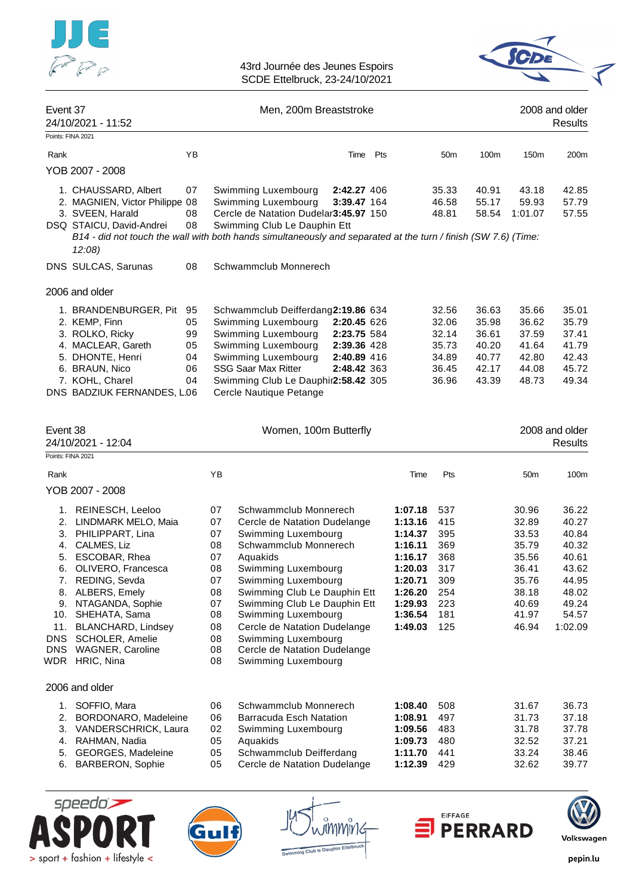

| Event 37              | 24/10/2021 - 11:52                                                                                                                                                                                                                                                                                    |                                        | Men, 200m Breaststroke                                                                                                                                                                                                                                                                                                                                                                                                                                   |                                                                         |          |                                                                                                                       |                                                                           | 2008 and older<br>Results                                   |                                                                                                 |                                                                                                   |
|-----------------------|-------------------------------------------------------------------------------------------------------------------------------------------------------------------------------------------------------------------------------------------------------------------------------------------------------|----------------------------------------|----------------------------------------------------------------------------------------------------------------------------------------------------------------------------------------------------------------------------------------------------------------------------------------------------------------------------------------------------------------------------------------------------------------------------------------------------------|-------------------------------------------------------------------------|----------|-----------------------------------------------------------------------------------------------------------------------|---------------------------------------------------------------------------|-------------------------------------------------------------|-------------------------------------------------------------------------------------------------|---------------------------------------------------------------------------------------------------|
| Points: FINA 2021     |                                                                                                                                                                                                                                                                                                       |                                        |                                                                                                                                                                                                                                                                                                                                                                                                                                                          |                                                                         |          |                                                                                                                       |                                                                           |                                                             |                                                                                                 |                                                                                                   |
| Rank                  |                                                                                                                                                                                                                                                                                                       | ΥB                                     |                                                                                                                                                                                                                                                                                                                                                                                                                                                          |                                                                         | Time Pts |                                                                                                                       | 50 <sub>m</sub>                                                           | 100m                                                        | 150m                                                                                            | 200m                                                                                              |
|                       | YOB 2007 - 2008                                                                                                                                                                                                                                                                                       |                                        |                                                                                                                                                                                                                                                                                                                                                                                                                                                          |                                                                         |          |                                                                                                                       |                                                                           |                                                             |                                                                                                 |                                                                                                   |
|                       | 1. CHAUSSARD, Albert<br>2. MAGNIEN, Victor Philippe 08<br>3. SVEEN, Harald<br>DSQ STAICU, David-Andrei<br>B14 - did not touch the wall with both hands simultaneously and separated at the turn / finish (SW 7.6) (Time:<br>$12:08$ )                                                                 | 07<br>08<br>08                         | Swimming Luxembourg<br>Swimming Luxembourg<br>Cercle de Natation Dudelar3:45.97 150<br>Swimming Club Le Dauphin Ett                                                                                                                                                                                                                                                                                                                                      | 2:42.27 406<br>3:39.47 164                                              |          |                                                                                                                       | 35.33<br>46.58<br>48.81                                                   | 40.91<br>55.17<br>58.54                                     | 43.18<br>59.93<br>1:01.07                                                                       | 42.85<br>57.79<br>57.55                                                                           |
|                       | DNS SULCAS, Sarunas                                                                                                                                                                                                                                                                                   | 08                                     | Schwammclub Monnerech                                                                                                                                                                                                                                                                                                                                                                                                                                    |                                                                         |          |                                                                                                                       |                                                                           |                                                             |                                                                                                 |                                                                                                   |
|                       | 2006 and older                                                                                                                                                                                                                                                                                        |                                        |                                                                                                                                                                                                                                                                                                                                                                                                                                                          |                                                                         |          |                                                                                                                       |                                                                           |                                                             |                                                                                                 |                                                                                                   |
|                       | 1. BRANDENBURGER, Pit<br>2. KEMP, Finn<br>3. ROLKO, Ricky<br>4. MACLEAR, Gareth<br>5. DHONTE, Henri<br>6. BRAUN, Nico<br>7. KOHL, Charel<br>DNS BADZIUK FERNANDES, L.06                                                                                                                               | 95<br>05<br>99<br>05<br>04<br>06<br>04 | Schwammclub Deifferdang2:19.86 634<br>Swimming Luxembourg<br>Swimming Luxembourg<br>Swimming Luxembourg<br>Swimming Luxembourg<br><b>SSG Saar Max Ritter</b><br>Swimming Club Le Dauphir2:58.42 305<br>Cercle Nautique Petange                                                                                                                                                                                                                           | 2:20.45 626<br>2:23.75 584<br>2:39.36 428<br>2:40.89 416<br>2:48.42 363 |          |                                                                                                                       | 32.56<br>32.06<br>32.14<br>35.73<br>34.89<br>36.45<br>36.96               | 36.63<br>35.98<br>36.61<br>40.20<br>40.77<br>42.17<br>43.39 | 35.66<br>36.62<br>37.59<br>41.64<br>42.80<br>44.08<br>48.73                                     | 35.01<br>35.79<br>37.41<br>41.79<br>42.43<br>45.72<br>49.34                                       |
| Event 38              | 24/10/2021 - 12:04                                                                                                                                                                                                                                                                                    |                                        |                                                                                                                                                                                                                                                                                                                                                                                                                                                          | Women, 100m Butterfly                                                   |          |                                                                                                                       |                                                                           |                                                             |                                                                                                 | 2008 and older<br>Results                                                                         |
| Points: FINA 2021     |                                                                                                                                                                                                                                                                                                       |                                        |                                                                                                                                                                                                                                                                                                                                                                                                                                                          |                                                                         |          |                                                                                                                       |                                                                           |                                                             |                                                                                                 |                                                                                                   |
| Rank                  |                                                                                                                                                                                                                                                                                                       |                                        | YB                                                                                                                                                                                                                                                                                                                                                                                                                                                       |                                                                         |          | Time                                                                                                                  | Pts                                                                       |                                                             | 50m                                                                                             | 100m                                                                                              |
|                       | YOB 2007 - 2008                                                                                                                                                                                                                                                                                       |                                        |                                                                                                                                                                                                                                                                                                                                                                                                                                                          |                                                                         |          |                                                                                                                       |                                                                           |                                                             |                                                                                                 |                                                                                                   |
| 2.<br>3.<br>6.<br>DNS | 1. REINESCH, Leeloo<br>LINDMARK MELO, Maia<br>PHILIPPART, Lina<br>4. CALMES, Liz<br>5. ESCOBAR, Rhea<br>OLIVERO, Francesca<br>7. REDING, Sevda<br>8. ALBERS, Emely<br>9. NTAGANDA, Sophie<br>10. SHEHATA, Sama<br>11. BLANCHARD, Lindsey<br>SCHOLER, Amelie<br>DNS WAGNER, Caroline<br>WDR HRIC, Nina |                                        | 07<br>Schwammclub Monnerech<br>07<br>Cercle de Natation Dudelange<br>07<br>Swimming Luxembourg<br>08<br>Schwammclub Monnerech<br>07<br>Aquakids<br>08<br>Swimming Luxembourg<br>Swimming Luxembourg<br>07<br>Swimming Club Le Dauphin Ett<br>08<br>Swimming Club Le Dauphin Ett<br>07<br>08<br>Swimming Luxembourg<br>Cercle de Natation Dudelange<br>08<br>Swimming Luxembourg<br>08<br>Cercle de Natation Dudelange<br>08<br>Swimming Luxembourg<br>08 |                                                                         |          | 1:07.18<br>1:13.16<br>1:14.37<br>1:16.11<br>1:16.17<br>1:20.03<br>1:20.71<br>1:26.20<br>1:29.93<br>1:36.54<br>1:49.03 | 537<br>415<br>395<br>369<br>368<br>317<br>309<br>254<br>223<br>181<br>125 |                                                             | 30.96<br>32.89<br>33.53<br>35.79<br>35.56<br>36.41<br>35.76<br>38.18<br>40.69<br>41.97<br>46.94 | 36.22<br>40.27<br>40.84<br>40.32<br>40.61<br>43.62<br>44.95<br>48.02<br>49.24<br>54.57<br>1:02.09 |
|                       | 2006 and older                                                                                                                                                                                                                                                                                        |                                        |                                                                                                                                                                                                                                                                                                                                                                                                                                                          |                                                                         |          |                                                                                                                       |                                                                           |                                                             |                                                                                                 |                                                                                                   |
| 1.<br>6.              | SOFFIO, Mara<br>2. BORDONARO, Madeleine<br>3. VANDERSCHRICK, Laura<br>4. RAHMAN, Nadia<br>5. GEORGES, Madeleine<br><b>BARBERON, Sophie</b>                                                                                                                                                            |                                        | 06<br>Schwammclub Monnerech<br>06<br>Barracuda Esch Natation<br>02<br>Swimming Luxembourg<br>05<br>Aquakids<br>Schwammclub Deifferdang<br>05<br>Cercle de Natation Dudelange<br>05                                                                                                                                                                                                                                                                       |                                                                         |          | 1:08.40<br>1:08.91<br>1:09.56<br>1:09.73<br>1:11.70<br>1:12.39                                                        | 508<br>497<br>483<br>480<br>441<br>429                                    |                                                             | 31.67<br>31.73<br>31.78<br>32.52<br>33.24<br>32.62                                              | 36.73<br>37.18<br>37.78<br>37.21<br>38.46<br>39.77                                                |





mmmir ng Club le Dauph



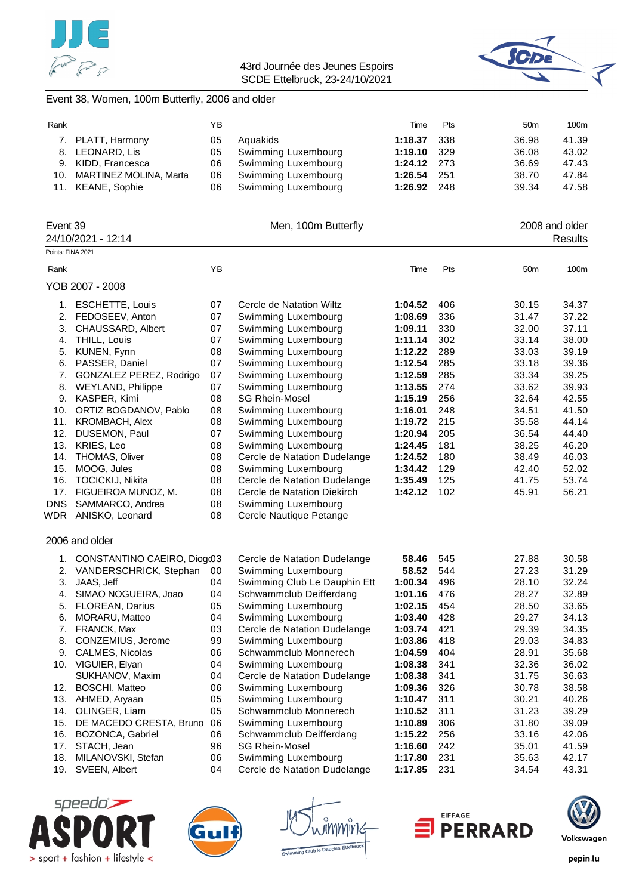



# Event 38, Women, 100m Butterfly, 2006 and older

| Rank |                            | ΥB  |                        | Time          | <b>Pts</b> | 50 <sub>m</sub> | 100m  |
|------|----------------------------|-----|------------------------|---------------|------------|-----------------|-------|
|      | 7. PLATT, Harmony          | 05  | Aguakids               | $1:18.37$ 338 |            | 36.98           | 41.39 |
|      | 8. LEONARD, Lis            | 05  | Swimming Luxembourg    | 1:19.10 329   |            | 36.08           | 43.02 |
|      | 9. KIDD, Francesca         |     | 06 Swimming Luxembourg | $1:24.12$ 273 |            | 36.69           | 47.43 |
|      | 10. MARTINEZ MOLINA, Marta |     | 06 Swimming Luxembourg | 1:26.54 251   |            | 38.70           | 47.84 |
|      | 11. KEANE, Sophie          | 06. | Swimming Luxembourg    | 1:26.92 248   |            | 39.34           | 47.58 |

| Event 39          | 24/10/2021 - 12:14             |    | Men, 100m Butterfly          |         |     |                 | 2008 and older<br>Results |
|-------------------|--------------------------------|----|------------------------------|---------|-----|-----------------|---------------------------|
| Points: FINA 2021 |                                |    |                              |         |     |                 |                           |
| Rank              |                                | YB |                              | Time    | Pts | 50 <sub>m</sub> | 100m                      |
|                   | YOB 2007 - 2008                |    |                              |         |     |                 |                           |
|                   | 1. ESCHETTE, Louis             | 07 | Cercle de Natation Wiltz     | 1:04.52 | 406 | 30.15           | 34.37                     |
|                   | 2. FEDOSEEV, Anton             | 07 | Swimming Luxembourg          | 1:08.69 | 336 | 31.47           | 37.22                     |
| 3.                | CHAUSSARD, Albert              | 07 | Swimming Luxembourg          | 1:09.11 | 330 | 32.00           | 37.11                     |
| 4.                | THILL, Louis                   | 07 | Swimming Luxembourg          | 1:11.14 | 302 | 33.14           | 38.00                     |
| 5.                | KUNEN, Fynn                    | 08 | Swimming Luxembourg          | 1:12.22 | 289 | 33.03           | 39.19                     |
| 6.                | PASSER, Daniel                 | 07 | Swimming Luxembourg          | 1:12.54 | 285 | 33.18           | 39.36                     |
| 7.                | GONZALEZ PEREZ, Rodrigo        | 07 | Swimming Luxembourg          | 1:12.59 | 285 | 33.34           | 39.25                     |
| 8.                | WEYLAND, Philippe              | 07 | Swimming Luxembourg          | 1:13.55 | 274 | 33.62           | 39.93                     |
| 9.                | KASPER, Kimi                   | 08 | <b>SG Rhein-Mosel</b>        | 1:15.19 | 256 | 32.64           | 42.55                     |
| 10.               | ORTIZ BOGDANOV, Pablo          | 08 | Swimming Luxembourg          | 1:16.01 | 248 | 34.51           | 41.50                     |
|                   | 11. KROMBACH, Alex             | 08 | Swimming Luxembourg          | 1:19.72 | 215 | 35.58           | 44.14                     |
|                   | 12. DUSEMON, Paul              | 07 | Swimming Luxembourg          | 1:20.94 | 205 | 36.54           | 44.40                     |
|                   | 13. KRIES, Leo                 | 08 | Swimming Luxembourg          | 1:24.45 | 181 | 38.25           | 46.20                     |
|                   | 14. THOMAS, Oliver             | 08 | Cercle de Natation Dudelange | 1:24.52 | 180 | 38.49           | 46.03                     |
| 15.               | MOOG, Jules                    | 08 | Swimming Luxembourg          | 1:34.42 | 129 | 42.40           | 52.02                     |
| 16.               | <b>TOCICKIJ, Nikita</b>        | 08 | Cercle de Natation Dudelange | 1:35.49 | 125 | 41.75           | 53.74                     |
|                   | 17. FIGUEIROA MUNOZ, M.        | 08 | Cercle de Natation Diekirch  | 1:42.12 | 102 | 45.91           | 56.21                     |
| <b>DNS</b>        | SAMMARCO, Andrea               | 08 | Swimming Luxembourg          |         |     |                 |                           |
|                   | WDR ANISKO, Leonard            | 08 | Cercle Nautique Petange      |         |     |                 |                           |
|                   | 2006 and older                 |    |                              |         |     |                 |                           |
|                   | 1. CONSTANTINO CAEIRO, Diogr03 |    | Cercle de Natation Dudelange | 58.46   | 545 | 27.88           | 30.58                     |
| 2.                | VANDERSCHRICK, Stephan         | 00 | Swimming Luxembourg          | 58.52   | 544 | 27.23           | 31.29                     |
| 3.                | JAAS, Jeff                     | 04 | Swimming Club Le Dauphin Ett | 1:00.34 | 496 | 28.10           | 32.24                     |
| 4.                | SIMAO NOGUEIRA, Joao           | 04 | Schwammclub Deifferdang      | 1:01.16 | 476 | 28.27           | 32.89                     |
|                   | 5. FLOREAN, Darius             | 05 | Swimming Luxembourg          | 1:02.15 | 454 | 28.50           | 33.65                     |
| 6.                | MORARU, Matteo                 | 04 | Swimming Luxembourg          | 1:03.40 | 428 | 29.27           | 34.13                     |
|                   | 7. FRANCK, Max                 | 03 | Cercle de Natation Dudelange | 1:03.74 | 421 | 29.39           | 34.35                     |
| 8.                | CONZEMIUS, Jerome              | 99 | Swimming Luxembourg          | 1:03.86 | 418 | 29.03           | 34.83                     |
|                   | 9. CALMES, Nicolas             | 06 | Schwammclub Monnerech        | 1:04.59 | 404 | 28.91           | 35.68                     |
|                   | 10. VIGUIER, Elyan             | 04 | Swimming Luxembourg          | 1:08.38 | 341 | 32.36           | 36.02                     |
|                   | SUKHANOV, Maxim                | 04 | Cercle de Natation Dudelange | 1:08.38 | 341 | 31.75           | 36.63                     |
|                   | 12. BOSCHI, Matteo             | 06 | Swimming Luxembourg          | 1:09.36 | 326 | 30.78           | 38.58                     |
|                   | 13. AHMED, Aryaan              | 05 | Swimming Luxembourg          | 1:10.47 | 311 | 30.21           | 40.26                     |
| 14.               | OLINGER, Liam                  | 05 | Schwammclub Monnerech        | 1:10.52 | 311 | 31.23           | 39.29                     |
| 15.               | DE MACEDO CRESTA, Bruno        | 06 | Swimming Luxembourg          | 1:10.89 | 306 | 31.80           | 39.09                     |
|                   | 16. BOZONCA, Gabriel           | 06 | Schwammclub Deifferdang      | 1:15.22 | 256 | 33.16           | 42.06                     |
|                   | 17. STACH, Jean                | 96 | <b>SG Rhein-Mosel</b>        | 1:16.60 | 242 | 35.01           | 41.59                     |
| 18.               | MILANOVSKI, Stefan             | 06 | Swimming Luxembourg          | 1:17.80 | 231 | 35.63           | 42.17                     |
|                   | 19. SVEEN, Albert              | 04 | Cercle de Natation Dudelange | 1:17.85 | 231 | 34.54           | 43.31                     |





กิททกงิ h to Daup



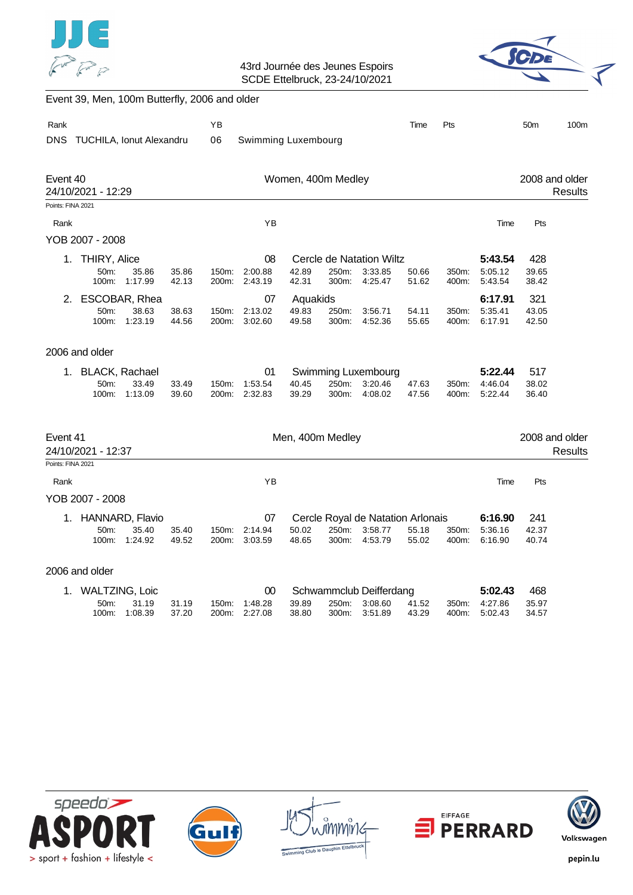



# Event 39, Men, 100m Butterfly, 2006 and older

| Rank<br><b>DNS</b>            | TUCHILA, Ionut Alexandru                  |                                     |                |                   | Swimming Luxembourg      |                            |                |                                                         | Time           | Pts            |                               | 50 <sub>m</sub>       | 100m                             |
|-------------------------------|-------------------------------------------|-------------------------------------|----------------|-------------------|--------------------------|----------------------------|----------------|---------------------------------------------------------|----------------|----------------|-------------------------------|-----------------------|----------------------------------|
| Event 40                      | 24/10/2021 - 12:29                        |                                     |                |                   |                          | Women, 400m Medley         |                |                                                         |                |                |                               |                       | 2008 and older<br><b>Results</b> |
| Points: FINA 2021             |                                           |                                     |                |                   |                          |                            |                |                                                         |                |                |                               |                       |                                  |
| Rank                          |                                           |                                     |                |                   | YB                       |                            |                |                                                         |                |                | Time                          | Pts                   |                                  |
|                               | YOB 2007 - 2008                           |                                     |                |                   |                          |                            |                |                                                         |                |                |                               |                       |                                  |
| 1.                            | THIRY, Alice                              |                                     |                |                   | 08                       |                            |                | Cercle de Natation Wiltz                                |                |                | 5:43.54                       | 428                   |                                  |
|                               | 50m:<br>100m:                             | 35.86<br>1:17.99                    | 35.86<br>42.13 | 150m:<br>200m:    | 2:00.88<br>2:43.19       | 42.89<br>42.31             | 250m:<br>300m: | 3:33.85<br>4:25.47                                      | 50.66<br>51.62 | 350m:<br>400m: | 5:05.12<br>5:43.54            | 39.65<br>38.42        |                                  |
| 2.                            | 50m:<br>100m:                             | ESCOBAR, Rhea<br>38.63<br>1:23.19   | 38.63<br>44.56 | 150m:<br>200m:    | 07<br>2:13.02<br>3:02.60 | Aquakids<br>49.83<br>49.58 | 250m:<br>300m: | 3:56.71<br>4:52.36                                      | 54.11<br>55.65 | 350m:<br>400m: | 6:17.91<br>5:35.41<br>6:17.91 | 321<br>43.05<br>42.50 |                                  |
|                               | 2006 and older                            |                                     |                |                   |                          |                            |                |                                                         |                |                |                               |                       |                                  |
| 1.                            | <b>BLACK, Rachael</b>                     |                                     |                |                   | 01                       |                            |                | Swimming Luxembourg                                     |                |                | 5:22.44                       | 517                   |                                  |
|                               | $50m$ :<br>100m:                          | 33.49<br>1:13.09                    | 33.49<br>39.60 | $150m$ :<br>200m: | 1:53.54<br>2:32.83       | 40.45<br>39.29             | 250m:<br>300m: | 3:20.46<br>4:08.02                                      | 47.63<br>47.56 | 350m:<br>400m: | 4:46.04<br>5:22.44            | 38.02<br>36.40        |                                  |
| Event 41<br>Points: FINA 2021 | 24/10/2021 - 12:37                        |                                     |                |                   |                          | Men, 400m Medley           |                |                                                         |                |                |                               |                       | 2008 and older<br><b>Results</b> |
|                               |                                           |                                     |                |                   |                          |                            |                |                                                         |                |                |                               |                       |                                  |
| Rank                          |                                           |                                     |                |                   | ΥB                       |                            |                |                                                         |                |                | Time                          | Pts                   |                                  |
|                               | YOB 2007 - 2008                           |                                     |                |                   |                          |                            |                |                                                         |                |                |                               |                       |                                  |
| 1.                            | 50m:<br>100m:                             | HANNARD, Flavio<br>35.40<br>1:24.92 | 35.40<br>49.52 | 150m:<br>200m:    | 07<br>2:14.94<br>3:03.59 | 50.02<br>48.65             | 250m:<br>300m: | Cercle Royal de Natation Arlonais<br>3:58.77<br>4:53.79 | 55.18<br>55.02 | 350m:<br>400m: | 6:16.90<br>5:36.16<br>6:16.90 | 241<br>42.37<br>40.74 |                                  |
|                               | 2006 and older                            |                                     |                |                   |                          |                            |                |                                                         |                |                |                               |                       |                                  |
| 1.                            | <b>WALTZING, Loic</b><br>50m:<br>$100m$ : | 31.19<br>1:08.39                    | 31.19<br>37.20 | 150m:<br>200m:    | 00<br>1:48.28<br>2:27.08 | 39.89<br>38.80             | 250m:<br>300m: | Schwammclub Deifferdang<br>3:08.60<br>3:51.89           | 41.52<br>43.29 | 350m:<br>400m: | 5:02.43<br>4:27.86<br>5:02.43 | 468<br>35.97<br>34.57 |                                  |









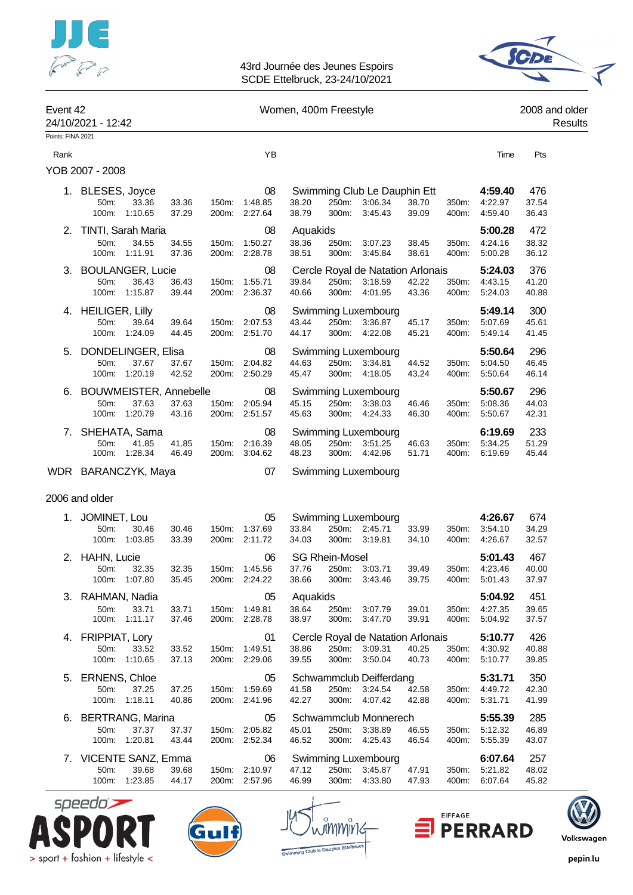



| Event 42                  | 24/10/2021 - 12:42                               |                  |                |                |                                      | Women, 400m Freestyle                   |                |                                                               |                |                |                                     | 2008 and older<br>Results |
|---------------------------|--------------------------------------------------|------------------|----------------|----------------|--------------------------------------|-----------------------------------------|----------------|---------------------------------------------------------------|----------------|----------------|-------------------------------------|---------------------------|
| Points: FINA 2021<br>Rank |                                                  |                  |                |                | YB                                   |                                         |                |                                                               |                |                | Time                                | Pts                       |
|                           | YOB 2007 - 2008                                  |                  |                |                |                                      |                                         |                |                                                               |                |                |                                     |                           |
|                           | 1. BLESES, Joyce<br>50m:<br>100m:                | 33.36<br>1:10.65 | 33.36<br>37.29 | 150m:<br>200m: | 08<br>1:48.85<br>2:27.64             | 38.20<br>38.79                          | 250m:<br>300m: | Swimming Club Le Dauphin Ett<br>3:06.34<br>3:45.43            | 38.70<br>39.09 | 350m:<br>400m: | 4:59.40<br>4:22.97<br>4:59.40       | 476<br>37.54<br>36.43     |
| 2.                        | TINTI, Sarah Maria<br>50m:<br>100m:              | 34.55<br>1:11.91 | 34.55<br>37.36 | 150m:<br>200m: | 08<br>1:50.27<br>2:28.78             | Aquakids<br>38.36<br>38.51              | 250m:<br>300m: | 3:07.23<br>3.45.84                                            | 38.45<br>38.61 | 350m:<br>400m: | 5:00.28<br>4:24.16<br>5:00.28       | 472<br>38.32<br>36.12     |
| 3.                        | <b>BOULANGER, Lucie</b><br>50m:<br>100m:         | 36.43<br>1:15.87 | 36.43<br>39.44 | 150m:<br>200m: | 08<br>1:55.71<br>2:36.37             | 39.84<br>40.66                          | 250m:<br>300m: | Cercle Royal de Natation Arlonais<br>3:18.59<br>4:01.95       | 42.22<br>43.36 | 350m:<br>400m: | 5:24.03<br>4:43.15<br>5:24.03       | 376<br>41.20<br>40.88     |
|                           | 4. HEILIGER, Lilly<br>50m:<br>100m:              | 39.64<br>1:24.09 | 39.64<br>44.45 | 150m:<br>200m: | 08<br>2:07.53<br>2:51.70             | 43.44<br>44.17                          | 250m:<br>300m: | Swimming Luxembourg<br>3:36.87<br>4:22.08                     | 45.17<br>45.21 | 350m:<br>400m: | 5:49.14<br>5:07.69<br>5:49.14       | 300<br>45.61<br>41.45     |
| 5.                        | DONDELINGER, Elisa<br>50m:<br>100m: 1:20.19      | 37.67            | 37.67<br>42.52 | 150m:<br>200m: | 08<br>2:04.82<br>2:50.29             | 44.63<br>45.47                          | 250m:<br>300m: | Swimming Luxembourg<br>3:34.81<br>4:18.05                     | 44.52<br>43.24 | 350m:<br>400m: | 5:50.64<br>5:04.50<br>5:50.64       | 296<br>46.45<br>46.14     |
| 6.                        | <b>BOUWMEISTER, Annebelle</b><br>50m:<br>100m:   | 37.63<br>1:20.79 | 37.63<br>43.16 | 150m:          | 08<br>2:05.94<br>200m: 2:51.57       | 45.15<br>45.63                          | 250m:<br>300m: | Swimming Luxembourg<br>3:38.03<br>4:24.33                     | 46.46<br>46.30 | 350m:<br>400m: | 5:50.67<br>5:08.36<br>5:50.67       | 296<br>44.03<br>42.31     |
| 7.                        | SHEHATA, Sama<br>50m:<br>100m:                   | 41.85<br>1:28.34 | 41.85<br>46.49 | 150m:<br>200m: | 08<br>2:16.39<br>3:04.62             | 48.05<br>48.23                          | 250m:<br>300m: | Swimming Luxembourg<br>3:51.25<br>4.42.96                     | 46.63<br>51.71 | 350m:<br>400m: | 6:19.69<br>5:34.25<br>6:19.69       | 233<br>51.29<br>45.44     |
|                           | WDR BARANCZYK, Maya                              |                  |                |                | 07                                   |                                         |                | Swimming Luxembourg                                           |                |                |                                     |                           |
|                           | 2006 and older                                   |                  |                |                |                                      |                                         |                |                                                               |                |                |                                     |                           |
| 1.                        | JOMINET, Lou<br>50m:<br>100m:                    | 30.46<br>1:03.85 | 30.46<br>33.39 | 150m:          | 05<br>1:37.69<br>200m: 2:11.72       | 33.84<br>34.03                          | 250m:<br>300m: | Swimming Luxembourg<br>2:45.71<br>3:19.81                     | 33.99<br>34.10 | 350m:<br>400m: | 4:26.67<br>3:54.10<br>4:26.67       | 674<br>34.29<br>32.57     |
| 2.                        | HAHN, Lucie<br>50m:<br>100m: 1:07.80             | 32.35            | 32.35<br>35.45 | 150m:          | 06<br>1:45.56<br>200m: 2:24.22       | <b>SG Rhein-Mosel</b><br>37.76<br>38.66 | 250m:<br>300m: | 3:03.71<br>3:43.46                                            | 39.49<br>39.75 | 350m:          | 5:01.43<br>4:23.46<br>400m: 5:01.43 | 467<br>40.00<br>37.97     |
|                           | 3. RAHMAN, Nadia<br>50m:<br>100m: 1:11.17        | 33.71            | 33.71<br>37.46 |                | 05<br>150m: 1:49.81<br>200m: 2:28.78 | Aquakids<br>38.64<br>38.97              | 250m:<br>300m: | 3:07.79<br>3:47.70                                            | 39.01<br>39.91 | 350m:<br>400m: | 5:04.92<br>4:27.35<br>5:04.92       | 451<br>39.65<br>37.57     |
|                           | 4. FRIPPIAT, Lory<br>50m:<br>100m: 1:10.65       | 33.52            | 33.52<br>37.13 |                | 01<br>150m: 1:49.51<br>200m: 2:29.06 | 38.86<br>39.55                          | 300m:          | Cercle Royal de Natation Arlonais<br>250m: 3:09.31<br>3:50.04 | 40.25<br>40.73 | 350m:<br>400m: | 5:10.77<br>4:30.92<br>5:10.77       | 426<br>40.88<br>39.85     |
|                           | 5. ERNENS, Chloe<br>50m:<br>100m: 1:18.11        | 37.25            | 37.25<br>40.86 |                | 05<br>150m: 1:59.69<br>200m: 2:41.96 | 41.58<br>42.27                          | 250m:          | Schwammclub Deifferdang<br>3:24.54<br>300m: 4:07.42           | 42.58<br>42.88 | 350m:<br>400m: | 5:31.71<br>4:49.72<br>5:31.71       | 350<br>42.30<br>41.99     |
| 6.                        | <b>BERTRANG, Marina</b><br>50m:<br>100m: 1:20.81 | 37.37            | 37.37<br>43.44 |                | 05<br>150m: 2:05.82<br>200m: 2:52.34 | 45.01<br>46.52                          | 250m:<br>300m: | Schwammclub Monnerech<br>3:38.89<br>4:25.43                   | 46.55<br>46.54 | 350m:<br>400m: | 5:55.39<br>5:12.32<br>5:55.39       | 285<br>46.89<br>43.07     |
|                           | 7. VICENTE SANZ, Emma<br>50m:<br>100m:           | 39.68<br>1:23.85 | 39.68<br>44.17 |                | 06<br>150m: 2:10.97<br>200m: 2:57.96 | 47.12<br>46.99                          | 250m:<br>300m: | Swimming Luxembourg<br>3:45.87<br>4:33.80                     | 47.91<br>47.93 | 350m:<br>400m: | 6:07.64<br>5:21.82<br>6:07.64       | 257<br>48.02<br>45.82     |









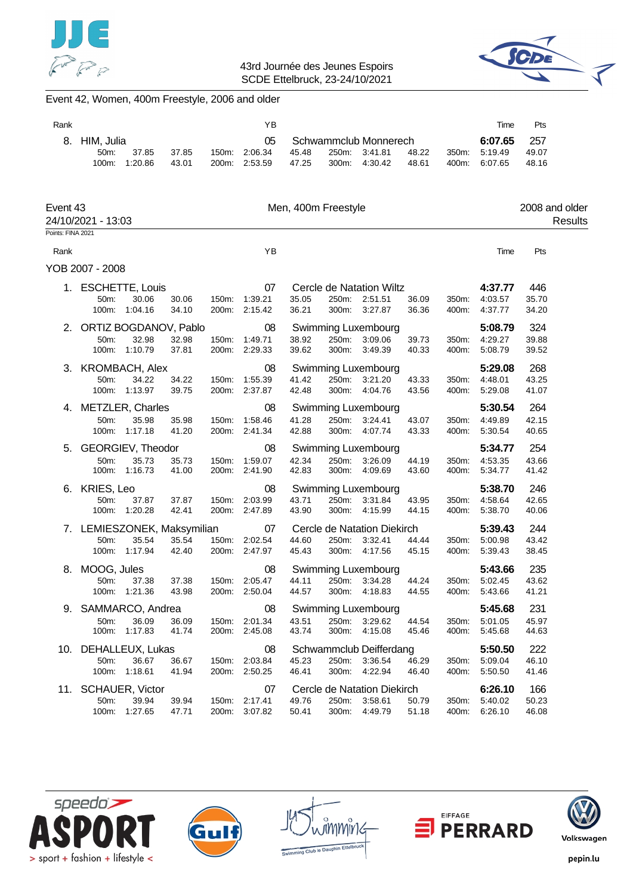



# Event 42, Women, 400m Freestyle, 2006 and older

| Rank              |                                                |                        |                |                | ΥB                                   |                     |                |                                                             |                |                | Time                                      | Pts                   |                           |
|-------------------|------------------------------------------------|------------------------|----------------|----------------|--------------------------------------|---------------------|----------------|-------------------------------------------------------------|----------------|----------------|-------------------------------------------|-----------------------|---------------------------|
| 8.                | HIM, Julia<br>50 <sub>m</sub> :<br>100m:       | 37.85<br>1:20.86       | 37.85<br>43.01 |                | 05<br>150m: 2:06.34<br>200m: 2:53.59 | 45.48<br>47.25      | 250m:<br>300m: | Schwammclub Monnerech<br>3:41.81<br>4:30.42                 | 48.22<br>48.61 | 350m:<br>400m: | 6:07.65<br>5:19.49<br>6:07.65             | 257<br>49.07<br>48.16 |                           |
| Event 43          | 24/10/2021 - 13:03                             |                        |                |                |                                      | Men, 400m Freestyle |                |                                                             |                |                |                                           |                       | 2008 and older<br>Results |
| Points: FINA 2021 |                                                |                        |                |                |                                      |                     |                |                                                             |                |                |                                           |                       |                           |
| Rank              |                                                |                        |                |                | YB                                   |                     |                |                                                             |                |                | Time                                      | Pts                   |                           |
|                   | YOB 2007 - 2008                                |                        |                |                |                                      |                     |                |                                                             |                |                |                                           |                       |                           |
|                   | 1. ESCHETTE, Louis<br>50m:<br>100m:            | 30.06<br>1:04.16       | 30.06<br>34.10 | 150m:          | 07<br>1:39.21<br>200m: 2:15.42       | 35.05<br>36.21      |                | Cercle de Natation Wiltz<br>250m: 2:51.51<br>300m: 3:27.87  | 36.09<br>36.36 | 350m:<br>400m: | 4:37.77<br>4:03.57<br>4:37.77             | 446<br>35.70<br>34.20 |                           |
|                   | 2. ORTIZ BOGDANOV, Pablo<br>50m:               | 32.98<br>100m: 1:10.79 | 32.98<br>37.81 | 150m:          | 08<br>1:49.71<br>200m: 2:29.33       | 38.92<br>39.62      | 250m:<br>300m: | <b>Swimming Luxembourg</b><br>3:09.06<br>3:49.39            | 39.73<br>40.33 | 350m:<br>400m: | 5:08.79<br>4:29.27<br>5:08.79             | 324<br>39.88<br>39.52 |                           |
|                   | 3. KROMBACH, Alex<br>50m:                      | 34.22<br>100m: 1:13.97 | 34.22<br>39.75 | 150m:          | 08<br>1:55.39<br>200m: 2:37.87       | 41.42<br>42.48      | 250m:<br>300m: | <b>Swimming Luxembourg</b><br>3:21.20<br>4:04.76            | 43.33<br>43.56 | 350m:<br>400m: | 5:29.08<br>4:48.01<br>5:29.08             | 268<br>43.25<br>41.07 |                           |
|                   | 4. METZLER, Charles<br>50m:                    | 35.98<br>100m: 1:17.18 | 35.98<br>41.20 | 150m:          | 08<br>1:58.46<br>200m: 2:41.34       | 41.28<br>42.88      | 250m:<br>300m: | <b>Swimming Luxembourg</b><br>3:24.41<br>4:07.74            | 43.07<br>43.33 | 350m:<br>400m: | 5:30.54<br>4:49.89<br>5:30.54             | 264<br>42.15<br>40.65 |                           |
|                   | 5. GEORGIEV, Theodor<br>50m:                   | 35.73<br>100m: 1:16.73 | 35.73<br>41.00 | 150m:          | 08<br>1:59.07<br>200m: 2:41.90       | 42.34<br>42.83      | 250m:          | <b>Swimming Luxembourg</b><br>3:26.09<br>300m: 4:09.69      | 44.19<br>43.60 | 350m:<br>400m: | 5:34.77<br>4:53.35<br>5:34.77             | 254<br>43.66<br>41.42 |                           |
|                   | 6. KRIES, Leo<br>50m:<br>100m:                 | 37.87<br>1:20.28       | 37.87<br>42.41 |                | 08<br>150m: 2:03.99<br>200m: 2:47.89 | 43.71<br>43.90      | 250m:          | Swimming Luxembourg<br>3:31.84<br>300m: 4:15.99             | 43.95<br>44.15 | 350m:<br>400m: | 5:38.70<br>4:58.64<br>5:38.70             | 246<br>42.65<br>40.06 |                           |
|                   | 7. LEMIESZONEK, Maksymilian<br>50m:            | 35.54<br>100m: 1:17.94 | 35.54<br>42.40 | 150m:          | 07<br>2:02.54<br>200m: 2:47.97       | 44.60<br>45.43      | 250m:<br>300m: | Cercle de Natation Diekirch<br>3:32.41<br>4:17.56           | 44.44<br>45.15 | 350m:<br>400m: | 5:39.43<br>5:00.98<br>5:39.43             | 244<br>43.42<br>38.45 |                           |
|                   | 8. MOOG, Jules<br>50m:                         | 37.38<br>100m: 1:21.36 | 37.38<br>43.98 |                | 08<br>150m: 2:05.47<br>200m: 2:50.04 | 44.11<br>44.57      |                | Swimming Luxembourg<br>250m: 3:34.28<br>300m: 4:18.83 44.55 | 44.24          |                | 5:43.66<br>350m: 5:02.45<br>400m: 5:43.66 | 235<br>43.62<br>41.21 |                           |
| 9.                | SAMMARCO, Andrea<br>50 <sub>m</sub> :<br>100m: | 36.09<br>1:17.83       | 36.09<br>41.74 | 150m:<br>200m: | 08<br>2:01.34<br>2:45.08             | 43.51<br>43.74      | 250m:<br>300m: | <b>Swimming Luxembourg</b><br>3:29.62<br>4:15.08            | 44.54<br>45.46 | 350m:<br>400m: | 5:45.68<br>5:01.05<br>5:45.68             | 231<br>45.97<br>44.63 |                           |
| 10.               | DEHALLEUX, Lukas<br>50m:<br>100m:              | 36.67<br>1:18.61       | 36.67<br>41.94 | 150m:<br>200m: | 08<br>2:03.84<br>2:50.25             | 45.23<br>46.41      | 250m:<br>300m: | Schwammclub Deifferdang<br>3:36.54<br>4:22.94               | 46.29<br>46.40 | 350m:<br>400m: | 5:50.50<br>5:09.04<br>5:50.50             | 222<br>46.10<br>41.46 |                           |
| 11.               | SCHAUER, Victor<br>50m:<br>100m:               | 39.94<br>1:27.65       | 39.94<br>47.71 | 150m:<br>200m: | 07<br>2:17.41<br>3:07.82             | 49.76<br>50.41      | 250m:<br>300m: | Cercle de Natation Diekirch<br>3:58.61<br>4:49.79           | 50.79<br>51.18 | 350m:<br>400m: | 6:26.10<br>5:40.02<br>6:26.10             | 166<br>50.23<br>46.08 |                           |









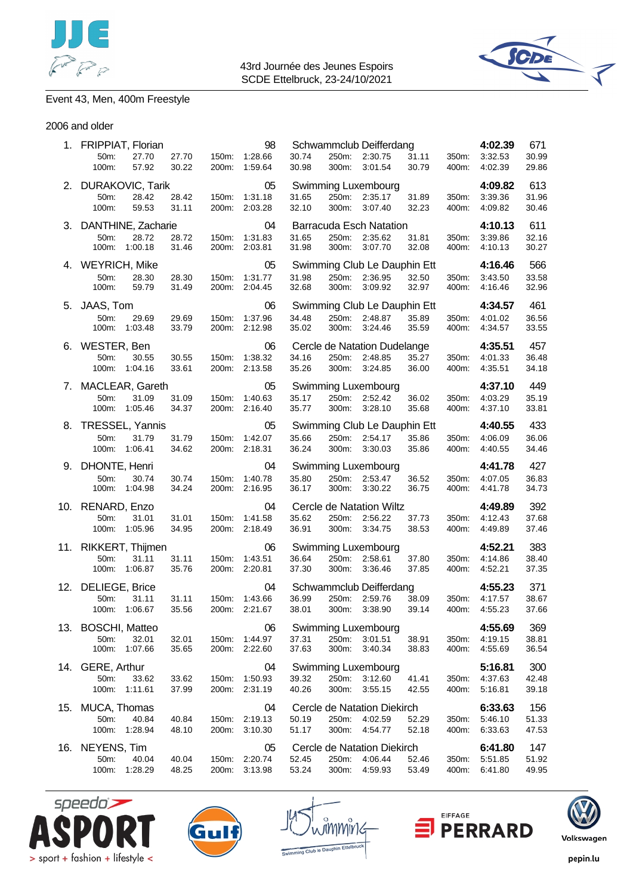



# Event 43, Men, 400m Freestyle

#### 2006 and older

|     | 1. FRIPPIAT, Florian       |                  |                |                | 98                         |                |                | Schwammclub Deifferdang                 |                |                | 4:02.39            | 671            |
|-----|----------------------------|------------------|----------------|----------------|----------------------------|----------------|----------------|-----------------------------------------|----------------|----------------|--------------------|----------------|
|     | 50m:<br>100m:              | 27.70<br>57.92   | 27.70<br>30.22 | 150m:<br>200m: | 1:28.66<br>1:59.64         | 30.74<br>30.98 | 250m:<br>300m: | 2:30.75<br>3:01.54                      | 31.11<br>30.79 | 350m:<br>400m: | 3:32.53<br>4:02.39 | 30.99<br>29.86 |
| 2.  | <b>DURAKOVIC, Tarik</b>    |                  |                |                | 05                         |                |                | Swimming Luxembourg                     |                |                | 4:09.82            | 613            |
|     | 50m:<br>100m:              | 28.42<br>59.53   | 28.42<br>31.11 | 150m:<br>200m: | 1:31.18<br>2:03.28         | 31.65<br>32.10 | 250m:<br>300m: | 2:35.17<br>3:07.40                      | 31.89<br>32.23 | 350m:<br>400m: | 3:39.36<br>4:09.82 | 31.96<br>30.46 |
|     | 3. DANTHINE, Zacharie      |                  |                |                | 04                         |                |                | <b>Barracuda Esch Natation</b>          |                |                | 4:10.13            | 611            |
|     | 50m:                       | 28.72            | 28.72          | 150m:          | 1:31.83                    | 31.65          | 250m:          | 2:35.62                                 | 31.81          | 350m:          | 3:39.86            | 32.16          |
|     | 100m:                      | 1:00.18          | 31.46          | 200m:          | 2:03.81                    | 31.98          | 300m:          | 3:07.70                                 | 32.08          | 400m:          | 4:10.13            | 30.27          |
|     | 4. WEYRICH, Mike           |                  |                |                | 05                         |                |                | Swimming Club Le Dauphin Ett            |                |                | 4:16.46            | 566            |
|     | 50m:<br>100m:              | 28.30<br>59.79   | 28.30<br>31.49 | 150m:<br>200m: | 1:31.77<br>2:04.45         | 31.98<br>32.68 | 250m:<br>300m: | 2:36.95<br>3:09.92                      | 32.50<br>32.97 | 350m:<br>400m: | 3:43.50<br>4:16.46 | 33.58<br>32.96 |
|     | 5. JAAS, Tom               |                  |                |                | 06                         |                |                | Swimming Club Le Dauphin Ett            |                |                | 4:34.57            | 461            |
|     | 50m:                       | 29.69            | 29.69          | 150m:          | 1:37.96                    | 34.48          | 250m:          | 2:48.87                                 | 35.89          | 350m:          | 4:01.02            | 36.56          |
|     | 100m:                      | 1:03.48          | 33.79          |                | 200m: 2:12.98              | 35.02          | 300m:          | 3:24.46                                 | 35.59          | 400m:          | 4:34.57            | 33.55          |
| 6.  | WESTER, Ben                |                  |                |                | 06                         |                |                | Cercle de Natation Dudelange            |                |                | 4:35.51            | 457            |
|     | 50m:                       | 30.55            | 30.55          | 150m:          | 1:38.32                    | 34.16          | 250m:          | 2:48.85                                 | 35.27          | 350m:          | 4:01.33            | 36.48          |
|     | 100m:                      | 1:04.16          | 33.61          | 200m:          | 2:13.58                    | 35.26          | 300m:          | 3:24.85                                 | 36.00          | 400m:          | 4:35.51            | 34.18          |
| 7.  | MACLEAR, Gareth            |                  |                |                | 05                         |                |                | Swimming Luxembourg                     |                |                | 4:37.10            | 449            |
|     | 50m:                       | 31.09            | 31.09          | 150m:          | 1:40.63                    | 35.17          |                | 250m: 2:52.42                           | 36.02          | 350m:          | 4:03.29            | 35.19          |
|     | 100m:<br>TRESSEL, Yannis   | 1:05.46          | 34.37          | 200m:          | 2:16.40<br>05              | 35.77          | 300m:          | 3:28.10                                 | 35.68          | 400m:          | 4:37.10<br>4:40.55 | 33.81<br>433   |
| 8.  | 50m:                       | 31.79            | 31.79          | 150m:          | 1:42.07                    | 35.66          | 250m:          | Swimming Club Le Dauphin Ett<br>2:54.17 | 35.86          | 350m:          | 4:06.09            | 36.06          |
|     | 100m:                      | 1:06.41          | 34.62          | 200m:          | 2:18.31                    | 36.24          | 300m:          | 3:30.03                                 | 35.86          | 400m:          | 4:40.55            | 34.46          |
|     | 9. DHONTE, Henri           | 04               |                |                | <b>Swimming Luxembourg</b> |                |                | 4:41.78                                 | 427            |                |                    |                |
|     |                            |                  |                |                |                            |                |                |                                         |                |                |                    |                |
|     | 50m:                       | 30.74            | 30.74          | 150m:          | 1:40.78                    | 35.80          | 250m:          | 2:53.47                                 | 36.52          | 350m:          | 4:07.05            | 36.83          |
|     | 100m:                      | 1:04.98          | 34.24          | 200m:          | 2:16.95                    | 36.17          | 300m:          | 3:30.22                                 | 36.75          | 400m:          | 4:41.78            | 34.73          |
| 10. | RENARD, Enzo               |                  |                |                | 04                         |                |                | Cercle de Natation Wiltz                |                |                | 4:49.89            | 392            |
|     | 50m:                       | 31.01            | 31.01          | 150m:          | 1:41.58                    | 35.62          | 250m:          | 2:56.22                                 | 37.73          | 350m:          | 4:12.43            | 37.68          |
|     | 100m:                      | 1:05.96          | 34.95          | 200m:          | 2:18.49                    | 36.91          | 300m:          | 3:34.75                                 | 38.53          | 400m:          | 4:49.89            | 37.46          |
| 11. | RIKKERT, Thijmen           |                  |                |                | 06                         |                |                | Swimming Luxembourg                     |                |                | 4:52.21            | 383            |
|     | 50m:<br>100m:              | 31.11<br>1:06.87 | 31.11<br>35.76 | 150m:<br>200m: | 1:43.51<br>2:20.81         | 36.64<br>37.30 | 250m:<br>300m: | 2:58.61<br>3:36.46                      | 37.80<br>37.85 | 350m:<br>400m: | 4:14.86<br>4:52.21 | 38.40<br>37.35 |
|     |                            |                  |                |                | 04                         |                |                |                                         |                |                | 4:55.23            | 371            |
|     | 12. DELIEGE, Brice<br>50m: | 31.11            | 31.11          | 150m:          | 1:43.66                    | 36.99          | 250m:          | Schwammclub Deifferdang<br>2:59.76      | 38.09          | 350m:          | 4:17.57            | 38.67          |
|     | 100m:                      | 1:06.67          | 35.56          |                | 200m: 2:21.67              | 38.01          | 300m:          | 3:38.90                                 | 39.14          | 400m:          | 4:55.23            | 37.66          |
|     |                            |                  |                |                | 06                         |                |                | Swimming Luxembourg                     |                |                | 4:55.69            | 369            |
|     | 13. BOSCHI, Matteo<br>50m: | 32.01            | 32.01          | 150m:          | 1:44.97                    | 37.31          | 250m:          | 3:01.51                                 | 38.91          | 350m:          | 4:19.15            | 38.81          |
|     | 100m:                      | 1:07.66          | 35.65          | 200m:          | 2:22.60                    | 37.63          | 300m:          | 3:40.34                                 | 38.83          | 400m:          | 4:55.69            | 36.54          |
|     | 14. GERE, Arthur           |                  |                |                | 04                         |                |                | Swimming Luxembourg                     |                |                | 5:16.81            | 300            |
|     | 50m:                       | 33.62            | 33.62          | 150m:          | 1:50.93                    | 39.32          | 250m:          | 3:12.60                                 | 41.41          | 350m.          | 4:37.63            | 42.48          |
|     | 100m:                      | 1:11.61          | 37.99          | 200m:          | 2:31.19                    | 40.26          | 300m:          | 3:55.15                                 | 42.55          | 400m:          | 5:16.81            | 39.18          |
| 15. | MUCA, Thomas               |                  |                |                | 04                         |                |                | Cercle de Natation Diekirch             |                |                | 6:33.63            | 156            |
|     | 50m:                       | 40.84            | 40.84          | 150m:          | 2:19.13                    | 50.19          | 250m:          | 4:02.59                                 | 52.29          | 350m:          | 5:46.10            | 51.33          |
|     | 100m:                      | 1:28.94          | 48.10          | 200m:          | 3:10.30                    | 51.17          | 300m:          | 4:54.77                                 | 52.18          | 400m:          | 6:33.63            | 47.53          |
| 16. | NEYENS, Tim                |                  |                |                | 05                         |                |                | Cercle de Natation Diekirch             |                |                | 6:41.80            | 147            |
|     | 50m:<br>100m:              | 40.04<br>1:28.29 | 40.04<br>48.25 | 150m:<br>200m: | 2:20.74<br>3:13.98         | 52.45<br>53.24 | 250m:<br>300m: | 4:06.44<br>4:59.93                      | 52.46<br>53.49 | 350m:<br>400m: | 5:51.85<br>6:41.80 | 51.92<br>49.95 |









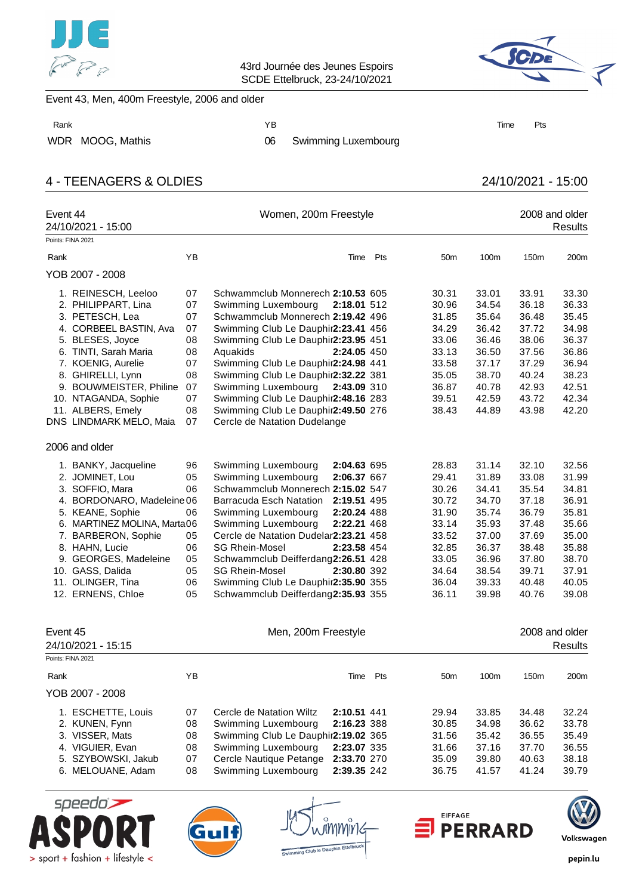



### Event 43, Men, 400m Freestyle, 2006 and older

WDR MOOG, Mathis 06 Swimming Luxembourg

# 4 - TEENAGERS & OLDIES 24/10/2021 - 15:00

| Event 44<br>24/10/2021 - 15:00<br>Points: FINA 2021                                                                                                                                                                                                                         |                                                          | Women, 200m Freestyle                                                                                                                                                                                                                                                                                                                                                                                                                                                           |     |                                                                                                          |                                                                                                          |                                                                                                          | 2008 and older<br><b>Results</b>                                                                         |
|-----------------------------------------------------------------------------------------------------------------------------------------------------------------------------------------------------------------------------------------------------------------------------|----------------------------------------------------------|---------------------------------------------------------------------------------------------------------------------------------------------------------------------------------------------------------------------------------------------------------------------------------------------------------------------------------------------------------------------------------------------------------------------------------------------------------------------------------|-----|----------------------------------------------------------------------------------------------------------|----------------------------------------------------------------------------------------------------------|----------------------------------------------------------------------------------------------------------|----------------------------------------------------------------------------------------------------------|
| Rank                                                                                                                                                                                                                                                                        | ΥB                                                       | Time                                                                                                                                                                                                                                                                                                                                                                                                                                                                            | Pts | 50 <sub>m</sub>                                                                                          | 100m                                                                                                     | 150m                                                                                                     | 200m                                                                                                     |
|                                                                                                                                                                                                                                                                             |                                                          |                                                                                                                                                                                                                                                                                                                                                                                                                                                                                 |     |                                                                                                          |                                                                                                          |                                                                                                          |                                                                                                          |
| YOB 2007 - 2008                                                                                                                                                                                                                                                             |                                                          |                                                                                                                                                                                                                                                                                                                                                                                                                                                                                 |     |                                                                                                          |                                                                                                          |                                                                                                          |                                                                                                          |
| 1. REINESCH, Leeloo<br>2. PHILIPPART, Lina<br>3. PETESCH, Lea<br>4. CORBEEL BASTIN, Ava<br>5. BLESES, Joyce<br>6. TINTI, Sarah Maria<br>7. KOENIG, Aurelie<br>8. GHIRELLI, Lynn                                                                                             | 07<br>07<br>07<br>07<br>08<br>08<br>07<br>08             | Schwammclub Monnerech 2:10.53 605<br>Swimming Luxembourg<br>2:18.01 512<br>Schwammclub Monnerech 2:19.42 496<br>Swimming Club Le Dauphir2:23.41 456<br>Swimming Club Le Dauphir2:23.95 451<br>Aquakids<br>2:24.05 450<br>Swimming Club Le Dauphir2:24.98 441<br>Swimming Club Le Dauphir2:32.22 381                                                                                                                                                                             |     | 30.31<br>30.96<br>31.85<br>34.29<br>33.06<br>33.13<br>33.58<br>35.05                                     | 33.01<br>34.54<br>35.64<br>36.42<br>36.46<br>36.50<br>37.17<br>38.70                                     | 33.91<br>36.18<br>36.48<br>37.72<br>38.06<br>37.56<br>37.29<br>40.24                                     | 33.30<br>36.33<br>35.45<br>34.98<br>36.37<br>36.86<br>36.94<br>38.23                                     |
| 9. BOUWMEISTER, Philine<br>10. NTAGANDA, Sophie<br>11. ALBERS, Emely<br>DNS LINDMARK MELO, Maia                                                                                                                                                                             | 07<br>07<br>08<br>07                                     | Swimming Luxembourg<br>2:43.09 310<br>Swimming Club Le Dauphir2:48.16 283<br>Swimming Club Le Dauphir2:49.50 276<br>Cercle de Natation Dudelange                                                                                                                                                                                                                                                                                                                                |     | 36.87<br>39.51<br>38.43                                                                                  | 40.78<br>42.59<br>44.89                                                                                  | 42.93<br>43.72<br>43.98                                                                                  | 42.51<br>42.34<br>42.20                                                                                  |
| 2006 and older                                                                                                                                                                                                                                                              |                                                          |                                                                                                                                                                                                                                                                                                                                                                                                                                                                                 |     |                                                                                                          |                                                                                                          |                                                                                                          |                                                                                                          |
| 1. BANKY, Jacqueline<br>2. JOMINET, Lou<br>3. SOFFIO, Mara<br>4. BORDONARO, Madeleine 06<br>5. KEANE, Sophie<br>6. MARTINEZ MOLINA, Marta06<br>7. BARBERON, Sophie<br>8. HAHN, Lucie<br>9. GEORGES, Madeleine<br>10. GASS, Dalida<br>11. OLINGER, Tina<br>12. ERNENS, Chloe | 96<br>05<br>06<br>06<br>05<br>06<br>05<br>05<br>06<br>05 | Swimming Luxembourg<br>2:04.63 695<br>Swimming Luxembourg<br>2:06.37 667<br>Schwammclub Monnerech 2:15.02 547<br>Barracuda Esch Natation<br>2:19.51 495<br>Swimming Luxembourg<br>2:20.24 488<br>Swimming Luxembourg<br>2:22.21 468<br>Cercle de Natation Dudelar2:23.21 458<br><b>SG Rhein-Mosel</b><br>2:23.58 454<br>Schwammclub Deifferdang2:26.51 428<br><b>SG Rhein-Mosel</b><br>2:30.80 392<br>Swimming Club Le Dauphir2:35.90 355<br>Schwammclub Deifferdang2:35.93 355 |     | 28.83<br>29.41<br>30.26<br>30.72<br>31.90<br>33.14<br>33.52<br>32.85<br>33.05<br>34.64<br>36.04<br>36.11 | 31.14<br>31.89<br>34.41<br>34.70<br>35.74<br>35.93<br>37.00<br>36.37<br>36.96<br>38.54<br>39.33<br>39.98 | 32.10<br>33.08<br>35.54<br>37.18<br>36.79<br>37.48<br>37.69<br>38.48<br>37.80<br>39.71<br>40.48<br>40.76 | 32.56<br>31.99<br>34.81<br>36.91<br>35.81<br>35.66<br>35.00<br>35.88<br>38.70<br>37.91<br>40.05<br>39.08 |
| Event 45<br>24/10/2021 - 15:15<br>Points: FINA 2021                                                                                                                                                                                                                         |                                                          | Men, 200m Freestyle                                                                                                                                                                                                                                                                                                                                                                                                                                                             |     |                                                                                                          |                                                                                                          |                                                                                                          | 2008 and older<br><b>Results</b>                                                                         |
| Rank                                                                                                                                                                                                                                                                        | ΥB                                                       | Time Pts                                                                                                                                                                                                                                                                                                                                                                                                                                                                        |     | 50 <sub>m</sub>                                                                                          | 100m                                                                                                     | 150m                                                                                                     | 200m                                                                                                     |
| YOB 2007 - 2008                                                                                                                                                                                                                                                             |                                                          |                                                                                                                                                                                                                                                                                                                                                                                                                                                                                 |     |                                                                                                          |                                                                                                          |                                                                                                          |                                                                                                          |
| 1. ESCHETTE, Louis<br>2. KUNEN, Fynn<br>3. VISSER, Mats<br>4. VIGUIER, Evan<br>5. SZYBOWSKI, Jakub<br>6. MELOUANE, Adam                                                                                                                                                     | 07<br>08<br>08<br>08<br>07<br>08                         | Cercle de Natation Wiltz<br>2:10.51 441<br>Swimming Luxembourg<br>2:16.23 388<br>Swimming Club Le Dauphir2:19.02 365<br>Swimming Luxembourg<br>2:23.07 335<br>Cercle Nautique Petange<br>2:33.70 270<br>Swimming Luxembourg<br>2:39.35 242                                                                                                                                                                                                                                      |     | 29.94<br>30.85<br>31.56<br>31.66<br>35.09<br>36.75                                                       | 33.85<br>34.98<br>35.42<br>37.16<br>39.80<br>41.57                                                       | 34.48<br>36.62<br>36.55<br>37.70<br>40.63<br>41.24                                                       | 32.24<br>33.78<br>35.49<br>36.55<br>38.18<br>39.79                                                       |





mmŭ



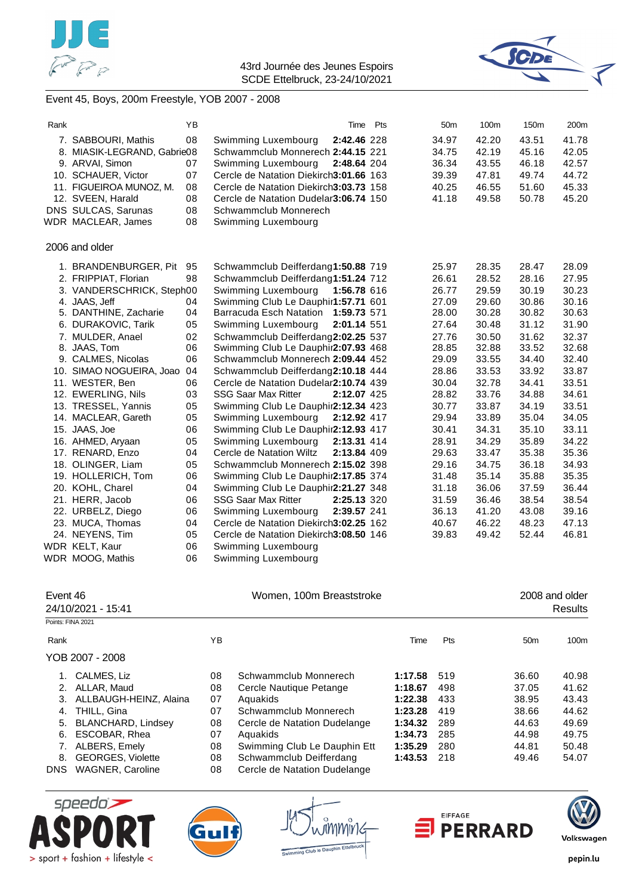



# Event 45, Boys, 200m Freestyle, YOB 2007 - 2008

| Rank |                             | YB | Time Pts                                  |  | 50 <sub>m</sub> | 100m  | 150m  | 200m  |
|------|-----------------------------|----|-------------------------------------------|--|-----------------|-------|-------|-------|
|      | 7. SABBOURI, Mathis         | 08 | 2:42.46 228<br>Swimming Luxembourg        |  | 34.97           | 42.20 | 43.51 | 41.78 |
|      | 8. MIASIK-LEGRAND, Gabrie08 |    | Schwammclub Monnerech 2:44.15 221         |  | 34.75           | 42.19 | 45.16 | 42.05 |
|      | 9. ARVAI, Simon             | 07 | Swimming Luxembourg<br>2:48.64 204        |  | 36.34           | 43.55 | 46.18 | 42.57 |
|      | 10. SCHAUER, Victor         | 07 | Cercle de Natation Diekirch3:01.66 163    |  | 39.39           | 47.81 | 49.74 | 44.72 |
|      | 11. FIGUEIROA MUNOZ, M.     | 08 | Cercle de Natation Diekirch3:03.73 158    |  | 40.25           | 46.55 | 51.60 | 45.33 |
|      | 12. SVEEN, Harald           | 08 | Cercle de Natation Dudelar3:06.74 150     |  | 41.18           | 49.58 | 50.78 | 45.20 |
|      | DNS SULCAS, Sarunas         | 08 | Schwammclub Monnerech                     |  |                 |       |       |       |
|      | WDR MACLEAR, James          | 08 | Swimming Luxembourg                       |  |                 |       |       |       |
|      | 2006 and older              |    |                                           |  |                 |       |       |       |
|      | 1. BRANDENBURGER, Pit       | 95 | Schwammclub Deifferdang1:50.88 719        |  | 25.97           | 28.35 | 28.47 | 28.09 |
|      | 2. FRIPPIAT, Florian        | 98 | Schwammclub Deifferdang1:51.24 712        |  | 26.61           | 28.52 | 28.16 | 27.95 |
|      | 3. VANDERSCHRICK, Steph00   |    | Swimming Luxembourg<br>1:56.78 616        |  | 26.77           | 29.59 | 30.19 | 30.23 |
|      | 4. JAAS, Jeff               | 04 | Swimming Club Le Dauphir1:57.71 601       |  | 27.09           | 29.60 | 30.86 | 30.16 |
|      | 5. DANTHINE, Zacharie       | 04 | Barracuda Esch Natation<br>1:59.73 571    |  | 28.00           | 30.28 | 30.82 | 30.63 |
|      | 6. DURAKOVIC, Tarik         | 05 | 2:01.14 551<br>Swimming Luxembourg        |  | 27.64           | 30.48 | 31.12 | 31.90 |
|      | 7. MULDER, Anael            | 02 | Schwammclub Deifferdang2:02.25 537        |  | 27.76           | 30.50 | 31.62 | 32.37 |
|      | 8. JAAS, Tom                | 06 | Swimming Club Le Dauphir2:07.93 468       |  | 28.85           | 32.88 | 33.52 | 32.68 |
|      | 9. CALMES, Nicolas          | 06 | Schwammclub Monnerech 2:09.44 452         |  | 29.09           | 33.55 | 34.40 | 32.40 |
|      | 10. SIMAO NOGUEIRA, Joao    | 04 | Schwammclub Deifferdang2:10.18 444        |  | 28.86           | 33.53 | 33.92 | 33.87 |
|      | 11. WESTER, Ben             | 06 | Cercle de Natation Dudelar2:10.74 439     |  | 30.04           | 32.78 | 34.41 | 33.51 |
|      | 12. EWERLING, Nils          | 03 | <b>SSG Saar Max Ritter</b><br>2:12.07 425 |  | 28.82           | 33.76 | 34.88 | 34.61 |
|      | 13. TRESSEL, Yannis         | 05 | Swimming Club Le Dauphir2:12.34 423       |  | 30.77           | 33.87 | 34.19 | 33.51 |
|      | 14. MACLEAR, Gareth         | 05 | Swimming Luxembourg<br>2:12.92 417        |  | 29.94           | 33.89 | 35.04 | 34.05 |
|      | 15. JAAS, Joe               | 06 | Swimming Club Le Dauphir2:12.93 417       |  | 30.41           | 34.31 | 35.10 | 33.11 |
|      | 16. AHMED, Aryaan           | 05 | Swimming Luxembourg<br>2:13.31 414        |  | 28.91           | 34.29 | 35.89 | 34.22 |
|      | 17. RENARD, Enzo            | 04 | Cercle de Natation Wiltz<br>2:13.84 409   |  | 29.63           | 33.47 | 35.38 | 35.36 |
|      | 18. OLINGER, Liam           | 05 | Schwammclub Monnerech 2:15.02 398         |  | 29.16           | 34.75 | 36.18 | 34.93 |
|      | 19. HOLLERICH, Tom          | 06 | Swimming Club Le Dauphir2:17.85 374       |  | 31.48           | 35.14 | 35.88 | 35.35 |
|      | 20. KOHL, Charel            | 04 | Swimming Club Le Dauphir2:21.27 348       |  | 31.18           | 36.06 | 37.59 | 36.44 |
|      | 21. HERR, Jacob             | 06 | <b>SSG Saar Max Ritter</b><br>2:25.13 320 |  | 31.59           | 36.46 | 38.54 | 38.54 |
|      | 22. URBELZ, Diego           | 06 | Swimming Luxembourg<br>2:39.57 241        |  | 36.13           | 41.20 | 43.08 | 39.16 |
|      | 23. MUCA, Thomas            | 04 | Cercle de Natation Diekirch3:02.25 162    |  | 40.67           | 46.22 | 48.23 | 47.13 |
|      | 24. NEYENS, Tim             | 05 | Cercle de Natation Diekirch3:08.50 146    |  | 39.83           | 49.42 | 52.44 | 46.81 |
|      | WDR KELT, Kaur              | 06 | Swimming Luxembourg                       |  |                 |       |       |       |
|      | WDR MOOG, Mathis            | 06 | Swimming Luxembourg                       |  |                 |       |       |       |

| Event 46          | 24/10/2021 - 15:41        | Women, 100m Breaststroke |                              |         |     | 2008 and older<br><b>Results</b> |       |  |
|-------------------|---------------------------|--------------------------|------------------------------|---------|-----|----------------------------------|-------|--|
| Points: FINA 2021 |                           |                          |                              |         |     |                                  |       |  |
| Rank              |                           | ΥB                       |                              | Time    | Pts | 50 <sub>m</sub>                  | 100m  |  |
|                   | YOB 2007 - 2008           |                          |                              |         |     |                                  |       |  |
| 1.                | CALMES, Liz               | 08                       | Schwammclub Monnerech        | 1:17.58 | 519 | 36.60                            | 40.98 |  |
| 2.                | ALLAR, Maud               | 08                       | Cercle Nautique Petange      | 1:18.67 | 498 | 37.05                            | 41.62 |  |
| 3.                | ALLBAUGH-HEINZ, Alaina    | 07                       | Aguakids                     | 1:22.38 | 433 | 38.95                            | 43.43 |  |
| 4.                | THILL, Gina               | 07                       | Schwammclub Monnerech        | 1:23.28 | 419 | 38.66                            | 44.62 |  |
| 5.                | <b>BLANCHARD, Lindsey</b> | 08                       | Cercle de Natation Dudelange | 1:34.32 | 289 | 44.63                            | 49.69 |  |
| 6.                | ESCOBAR, Rhea             | 07                       | Aguakids                     | 1:34.73 | 285 | 44.98                            | 49.75 |  |
| 7.                | ALBERS, Emely             | 08                       | Swimming Club Le Dauphin Ett | 1:35.29 | 280 | 44.81                            | 50.48 |  |
| 8.                | <b>GEORGES, Violette</b>  | 08                       | Schwammclub Deifferdang      | 1:43.53 | 218 | 49.46                            | 54.07 |  |
| <b>DNS</b>        | <b>WAGNER, Caroline</b>   | 08                       | Cercle de Natation Dudelange |         |     |                                  |       |  |









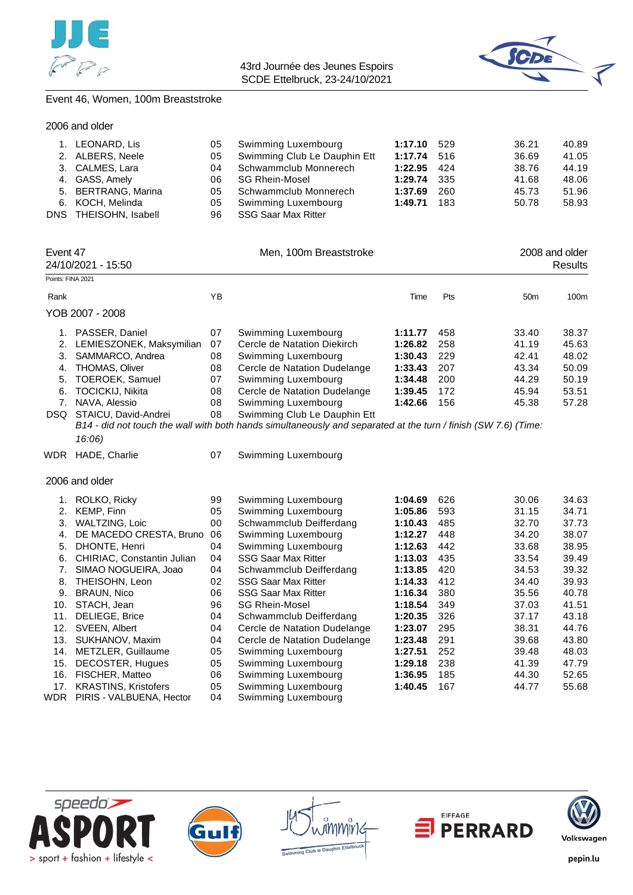



### Event 46, Women, 100m Breaststroke

| 1. LEONARD, Lis       | 05  | Swimming Luxembourg          | 1:17.10 529   |       | 36.21 | 40.89 |
|-----------------------|-----|------------------------------|---------------|-------|-------|-------|
| 2. ALBERS, Neele      | 05  | Swimming Club Le Dauphin Ett | 1:17.74 516   |       | 36.69 | 41.05 |
| 3. CALMES, Lara       | 04  | Schwammclub Monnerech        | $1:22.95$ 424 |       | 38.76 | 44.19 |
| 4. GASS, Amely        | 06  | SG Rhein-Mosel               | 1:29.74 335   |       | 41.68 | 48.06 |
| 5. BERTRANG, Marina   | 05. | Schwammclub Monnerech        | 1:37.69       | -260  | 45.73 | 51.96 |
| 6. KOCH, Melinda      | 05  | Swimming Luxembourg          | 1:49.71       | - 183 | 50.78 | 58.93 |
| DNS THEISOHN, Isabell | 96  | SSG Saar Max Ritter          |               |       |       |       |

|                   | Event 47<br>24/10/2021 - 15:50 |    | Men, 100m Breaststroke                                                                                                                         |         |     |                 | 2008 and older<br>Results |  |  |
|-------------------|--------------------------------|----|------------------------------------------------------------------------------------------------------------------------------------------------|---------|-----|-----------------|---------------------------|--|--|
| Points: FINA 2021 |                                |    |                                                                                                                                                |         |     |                 |                           |  |  |
| Rank              |                                | ΥB |                                                                                                                                                | Time    | Pts | 50 <sub>m</sub> | 100m                      |  |  |
|                   | YOB 2007 - 2008                |    |                                                                                                                                                |         |     |                 |                           |  |  |
|                   | PASSER, Daniel                 | 07 | Swimming Luxembourg                                                                                                                            | 1:11.77 | 458 | 33.40           | 38.37                     |  |  |
| 2.                | LEMIESZONEK, Maksymilian       | 07 | Cercle de Natation Diekirch                                                                                                                    | 1:26.82 | 258 | 41.19           | 45.63                     |  |  |
| З.                | SAMMARCO, Andrea               | 08 | Swimming Luxembourg                                                                                                                            | 1:30.43 | 229 | 42.41           | 48.02                     |  |  |
| 4.                | THOMAS, Oliver                 | 08 | Cercle de Natation Dudelange                                                                                                                   | 1:33.43 | 207 | 43.34           | 50.09                     |  |  |
|                   | 5. TOEROEK, Samuel             | 07 | Swimming Luxembourg                                                                                                                            | 1:34.48 | 200 | 44.29           | 50.19                     |  |  |
| 6.                | <b>TOCICKIJ, Nikita</b>        | 08 | Cercle de Natation Dudelange                                                                                                                   | 1:39.45 | 172 | 45.94           | 53.51                     |  |  |
|                   | NAVA, Alessio                  | 08 | Swimming Luxembourg                                                                                                                            | 1:42.66 | 156 | 45.38           | 57.28                     |  |  |
| DSQ.              | STAICU, David-Andrei           | 08 | Swimming Club Le Dauphin Ett<br>$R14$ , did not touch the wall with both bands simultaneously and senarated at the turn (finish (SMIZE) (Time: |         |     |                 |                           |  |  |

*B14 - did not touch the wall with both hands simultaneously and separated at the turn / finish (SW 7.6) (Time: 16:06)*

WDR HADE, Charlie 07 Swimming Luxembourg

2006 and older

|            | ROLKO, Ricky                                            | 99       | Swimming Luxembourg                        | 1:04.69 | 626 | 30.06 | 34.63 |
|------------|---------------------------------------------------------|----------|--------------------------------------------|---------|-----|-------|-------|
| 2.         | KEMP. Finn                                              | 05       | Swimming Luxembourg                        | 1:05.86 | 593 | 31.15 | 34.71 |
| 3.         | <b>WALTZING, Loic</b>                                   | 00       | Schwammclub Deifferdang                    | 1:10.43 | 485 | 32.70 | 37.73 |
| 4.         | DE MACEDO CRESTA, Bruno                                 | 06       | Swimming Luxembourg                        | 1:12.27 | 448 | 34.20 | 38.07 |
| 5.         | DHONTE, Henri                                           | 04       | Swimming Luxembourg                        | 1:12.63 | 442 | 33.68 | 38.95 |
| 6.         | <b>CHIRIAC, Constantin Julian</b>                       | 04       | <b>SSG Saar Max Ritter</b>                 | 1:13.03 | 435 | 33.54 | 39.49 |
| 7.         | SIMAO NOGUEIRA, Joao                                    | 04       | Schwammclub Deifferdang                    | 1:13.85 | 420 | 34.53 | 39.32 |
| 8.         | THEISOHN, Leon                                          | 02       | <b>SSG Saar Max Ritter</b>                 | 1:14.33 | 412 | 34.40 | 39.93 |
| 9.         | <b>BRAUN, Nico</b>                                      | 06       | <b>SSG Saar Max Ritter</b>                 | 1:16.34 | 380 | 35.56 | 40.78 |
| 10.        | STACH, Jean                                             | 96       | <b>SG Rhein-Mosel</b>                      | 1:18.54 | 349 | 37.03 | 41.51 |
| 11.        | <b>DELIEGE, Brice</b>                                   | 04       | Schwammclub Deifferdang                    | 1:20.35 | 326 | 37.17 | 43.18 |
| 12.        | SVEEN, Albert                                           | 04       | Cercle de Natation Dudelange               | 1:23.07 | 295 | 38.31 | 44.76 |
| 13.        | SUKHANOV, Maxim                                         | 04       | Cercle de Natation Dudelange               | 1:23.48 | 291 | 39.68 | 43.80 |
| 14.        | METZLER, Guillaume                                      | 05       | Swimming Luxembourg                        | 1:27.51 | 252 | 39.48 | 48.03 |
| 15.        | DECOSTER, Hugues                                        | 05       | Swimming Luxembourg                        | 1:29.18 | 238 | 41.39 | 47.79 |
| 16.        | FISCHER, Matteo                                         | 06       | Swimming Luxembourg                        | 1:36.95 | 185 | 44.30 | 52.65 |
| 17.<br>WDR | <b>KRASTINS, Kristofers</b><br>PIRIS - VALBUENA, Hector | 05<br>04 | Swimming Luxembourg<br>Swimming Luxembourg | 1:40.45 | 167 | 44.77 | 55.68 |
|            |                                                         |          |                                            |         |     |       |       |









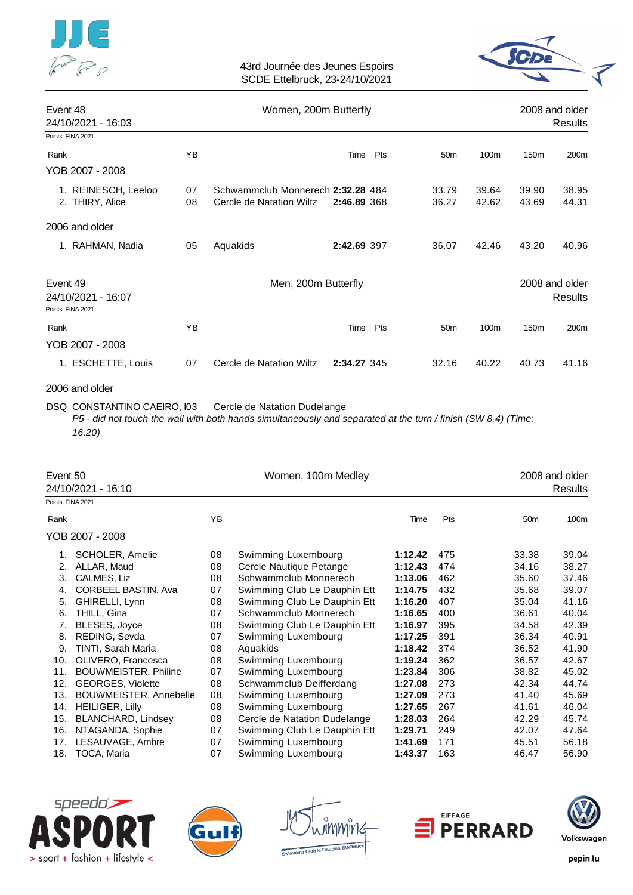



| Event 48<br>24/10/2021 - 16:03                      |          | 2008 and older<br>Results                                     |             |                 |                |                  |                           |
|-----------------------------------------------------|----------|---------------------------------------------------------------|-------------|-----------------|----------------|------------------|---------------------------|
| Points: FINA 2021                                   |          |                                                               |             |                 |                |                  |                           |
| Rank                                                | ΥB       |                                                               | Pts<br>Time | 50 <sub>m</sub> | 100m           | 150 <sub>m</sub> | 200 <sub>m</sub>          |
| YOB 2007 - 2008                                     |          |                                                               |             |                 |                |                  |                           |
| 1. REINESCH, Leeloo<br>2. THIRY, Alice              | 07<br>08 | Schwammclub Monnerech 2:32.28 484<br>Cercle de Natation Wiltz | 2:46.89 368 | 33.79<br>36.27  | 39.64<br>42.62 | 39.90<br>43.69   | 38.95<br>44.31            |
| 2006 and older                                      |          |                                                               |             |                 |                |                  |                           |
| 1. RAHMAN, Nadia                                    | 05       | Aquakids                                                      | 2:42.69 397 | 36.07           | 42.46          | 43.20            | 40.96                     |
| Event 49<br>24/10/2021 - 16:07<br>Points: FINA 2021 |          | Men, 200m Butterfly                                           |             |                 |                |                  | 2008 and older<br>Results |
| Rank<br>YOB 2007 - 2008                             | ΥB       |                                                               | Pts<br>Time | 50 <sub>m</sub> | 100m           | 150 <sub>m</sub> | 200 <sub>m</sub>          |
| 1. ESCHETTE, Louis                                  | 07       | Cercle de Natation Wiltz                                      | 2:34.27 345 | 32.16           | 40.22          | 40.73            | 41.16                     |

# 2006 and older

DSQ CONSTANTINO CAEIRO, 103 Cercle de Natation Dudelange

*P5 - did not touch the wall with both hands simultaneously and separated at the turn / finish (SW 8.4) (Time: 16:20)*

| Event 50          | 24/10/2021 - 16:10        |    | Women, 100m Medley           |         | 2008 and older<br>Results |                 |       |
|-------------------|---------------------------|----|------------------------------|---------|---------------------------|-----------------|-------|
| Points: FINA 2021 |                           |    |                              |         |                           |                 |       |
| Rank              |                           | YB |                              | Time    | Pts                       | 50 <sub>m</sub> | 100m  |
|                   | YOB 2007 - 2008           |    |                              |         |                           |                 |       |
|                   | SCHOLER, Amelie           | 08 | Swimming Luxembourg          | 1:12.42 | 475                       | 33.38           | 39.04 |
| 2.                | ALLAR, Maud               | 08 | Cercle Nautique Petange      | 1:12.43 | 474                       | 34.16           | 38.27 |
| 3.                | CALMES, Liz               | 08 | Schwammclub Monnerech        | 1:13.06 | 462                       | 35.60           | 37.46 |
| 4.                | CORBEEL BASTIN, Ava       | 07 | Swimming Club Le Dauphin Ett | 1:14.75 | 432                       | 35.68           | 39.07 |
| 5.                | GHIRELLI, Lynn            | 08 | Swimming Club Le Dauphin Ett | 1:16.20 | 407                       | 35.04           | 41.16 |
| 6.                | THILL, Gina               | 07 | Schwammclub Monnerech        | 1:16.65 | 400                       | 36.61           | 40.04 |
| 7.                | BLESES, Joyce             | 08 | Swimming Club Le Dauphin Ett | 1:16.97 | 395                       | 34.58           | 42.39 |
| 8.                | REDING, Sevda             | 07 | Swimming Luxembourg          | 1:17.25 | 391                       | 36.34           | 40.91 |
| 9.                | TINTI, Sarah Maria        | 08 | Aquakids                     | 1:18.42 | 374                       | 36.52           | 41.90 |
| 10.               | OLIVERO, Francesca        | 08 | Swimming Luxembourg          | 1:19.24 | 362                       | 36.57           | 42.67 |
| 11.               | BOUWMEISTER, Philine      | 07 | Swimming Luxembourg          | 1:23.84 | 306                       | 38.82           | 45.02 |
| 12.               | <b>GEORGES, Violette</b>  | 08 | Schwammclub Deifferdang      | 1:27.08 | 273                       | 42.34           | 44.74 |
| 13.               | BOUWMEISTER, Annebelle    | 08 | Swimming Luxembourg          | 1:27.09 | 273                       | 41.40           | 45.69 |
| 14.               | <b>HEILIGER, Lilly</b>    | 08 | Swimming Luxembourg          | 1:27.65 | 267                       | 41.61           | 46.04 |
| 15.               | <b>BLANCHARD, Lindsey</b> | 08 | Cercle de Natation Dudelange | 1:28.03 | 264                       | 42.29           | 45.74 |
| 16.               | NTAGANDA, Sophie          | 07 | Swimming Club Le Dauphin Ett | 1:29.71 | 249                       | 42.07           | 47.64 |
| 17.               | LESAUVAGE, Ambre          | 07 | Swimming Luxembourg          | 1:41.69 | 171                       | 45.51           | 56.18 |
| 18.               | TOCA, Maria               | 07 | Swimming Luxembourg          | 1:43.37 | 163                       | 46.47           | 56.90 |





mmmir



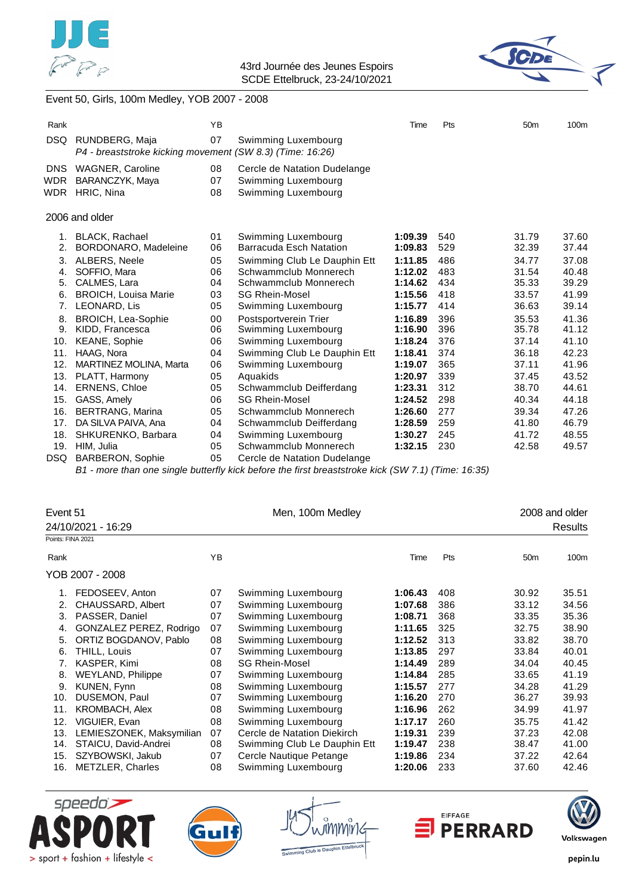



# Event 50, Girls, 100m Medley, YOB 2007 - 2008

| Rank                     |                                                                             | YB             |                                                                            | Time               | Pts        | 50 <sub>m</sub> | 100 <sub>m</sub> |
|--------------------------|-----------------------------------------------------------------------------|----------------|----------------------------------------------------------------------------|--------------------|------------|-----------------|------------------|
| DSQ                      | RUNDBERG, Maja<br>P4 - breaststroke kicking movement (SW 8.3) (Time: 16:26) | 07             | Swimming Luxembourg                                                        |                    |            |                 |                  |
| <b>DNS</b><br>WDR<br>WDR | <b>WAGNER, Caroline</b><br>BARANCZYK, Maya<br>HRIC, Nina                    | 08<br>07<br>08 | Cercle de Natation Dudelange<br>Swimming Luxembourg<br>Swimming Luxembourg |                    |            |                 |                  |
|                          | 2006 and older                                                              |                |                                                                            |                    |            |                 |                  |
| 1.<br>2.                 | <b>BLACK, Rachael</b><br>BORDONARO, Madeleine                               | 01<br>06       | Swimming Luxembourg<br>Barracuda Esch Natation                             | 1:09.39<br>1:09.83 | 540<br>529 | 31.79<br>32.39  | 37.60<br>37.44   |
| 3.<br>4.                 | ALBERS, Neele<br>SOFFIO, Mara                                               | 05<br>06       | Swimming Club Le Dauphin Ett<br>Schwammclub Monnerech                      | 1:11.85<br>1:12.02 | 486<br>483 | 34.77<br>31.54  | 37.08<br>40.48   |
| 5.<br>6.                 | CALMES, Lara<br><b>BROICH, Louisa Marie</b>                                 | 04<br>03       | Schwammclub Monnerech<br><b>SG Rhein-Mosel</b>                             | 1:14.62<br>1:15.56 | 434<br>418 | 35.33<br>33.57  | 39.29<br>41.99   |
| 7.                       | LEONARD, Lis                                                                | 05             | Swimming Luxembourg                                                        | 1:15.77            | 414        | 36.63           | 39.14            |
| 8.<br>9.                 | BROICH, Lea-Sophie<br>KIDD, Francesca                                       | 00<br>06       | Postsportverein Trier<br>Swimming Luxembourg                               | 1:16.89<br>1:16.90 | 396<br>396 | 35.53<br>35.78  | 41.36<br>41.12   |
| 10.                      | <b>KEANE, Sophie</b>                                                        | 06             | Swimming Luxembourg                                                        | 1:18.24            | 376        | 37.14           | 41.10            |
| 11.<br>12.               | HAAG, Nora<br><b>MARTINEZ MOLINA, Marta</b>                                 | 04<br>06       | Swimming Club Le Dauphin Ett<br>Swimming Luxembourg                        | 1:18.41<br>1:19.07 | 374<br>365 | 36.18<br>37.11  | 42.23<br>41.96   |
| 13.                      | PLATT, Harmony                                                              | 05             | Aquakids                                                                   | 1:20.97            | 339        | 37.45           | 43.52            |
| 14.                      | <b>ERNENS, Chloe</b>                                                        | 05             | Schwammclub Deifferdang                                                    | 1:23.31            | 312        | 38.70           | 44.61            |
| 15.                      | GASS, Amely                                                                 | 06             | <b>SG Rhein-Mosel</b>                                                      | 1:24.52            | 298        | 40.34           | 44.18            |
| 16.                      | <b>BERTRANG, Marina</b>                                                     | 05             | Schwammclub Monnerech                                                      | 1:26.60            | 277        | 39.34           | 47.26            |
| 17.                      | DA SILVA PAIVA, Ana                                                         | 04             | Schwammclub Deifferdang                                                    | 1:28.59            | 259        | 41.80           | 46.79            |
| 18.                      | SHKURENKO, Barbara                                                          | 04             | Swimming Luxembourg<br>Schwammclub Monnerech                               | 1:30.27            | 245        | 41.72           | 48.55            |
| 19.<br>DSQ               | HIM, Julia<br><b>BARBERON, Sophie</b>                                       | 05<br>05       | Cercle de Natation Dudelange                                               | 1:32.15            | 230        | 42.58           | 49.57            |

*B1 - more than one single butterfly kick before the first breaststroke kick (SW 7.1) (Time: 16:35)*

| Event 51<br>24/10/2021 - 16:29 |                          | Men, 100m Medley | 2008 and older               |         |     |                 |         |
|--------------------------------|--------------------------|------------------|------------------------------|---------|-----|-----------------|---------|
| Points: FINA 2021              |                          |                  |                              |         |     |                 | Results |
|                                |                          |                  |                              |         |     |                 |         |
| Rank                           |                          | YB               |                              | Time    | Pts | 50 <sub>m</sub> | 100m    |
|                                | YOB 2007 - 2008          |                  |                              |         |     |                 |         |
| 1.                             | FEDOSEEV, Anton          | 07               | Swimming Luxembourg          | 1:06.43 | 408 | 30.92           | 35.51   |
| 2.                             | CHAUSSARD, Albert        | 07               | Swimming Luxembourg          | 1:07.68 | 386 | 33.12           | 34.56   |
| 3.                             | PASSER, Daniel           | 07               | Swimming Luxembourg          | 1:08.71 | 368 | 33.35           | 35.36   |
| 4.                             | GONZALEZ PEREZ, Rodrigo  | 07               | Swimming Luxembourg          | 1:11.65 | 325 | 32.75           | 38.90   |
| 5.                             | ORTIZ BOGDANOV, Pablo    | 08               | Swimming Luxembourg          | 1:12.52 | 313 | 33.82           | 38.70   |
| 6.                             | THILL, Louis             | 07               | Swimming Luxembourg          | 1:13.85 | 297 | 33.84           | 40.01   |
| 7.                             | KASPER, Kimi             | 08               | <b>SG Rhein-Mosel</b>        | 1:14.49 | 289 | 34.04           | 40.45   |
| 8.                             | <b>WEYLAND, Philippe</b> | 07               | Swimming Luxembourg          | 1:14.84 | 285 | 33.65           | 41.19   |
| 9.                             | KUNEN, Fynn              | 08               | Swimming Luxembourg          | 1:15.57 | 277 | 34.28           | 41.29   |
| 10.                            | DUSEMON, Paul            | 07               | Swimming Luxembourg          | 1:16.20 | 270 | 36.27           | 39.93   |
| 11.                            | <b>KROMBACH, Alex</b>    | 08               | Swimming Luxembourg          | 1:16.96 | 262 | 34.99           | 41.97   |
| 12.                            | VIGUIER, Evan            | 08               | Swimming Luxembourg          | 1:17.17 | 260 | 35.75           | 41.42   |
| 13.                            | LEMIESZONEK, Maksymilian | 07               | Cercle de Natation Diekirch  | 1:19.31 | 239 | 37.23           | 42.08   |
| 14.                            | STAICU, David-Andrei     | 08               | Swimming Club Le Dauphin Ett | 1:19.47 | 238 | 38.47           | 41.00   |
| 15.                            | SZYBOWSKI, Jakub         | 07               | Cercle Nautique Petange      | 1:19.86 | 234 | 37.22           | 42.64   |
| 16.                            | <b>METZLER, Charles</b>  | 08               | Swimming Luxembourg          | 1:20.06 | 233 | 37.60           | 42.46   |





ททพัทเ



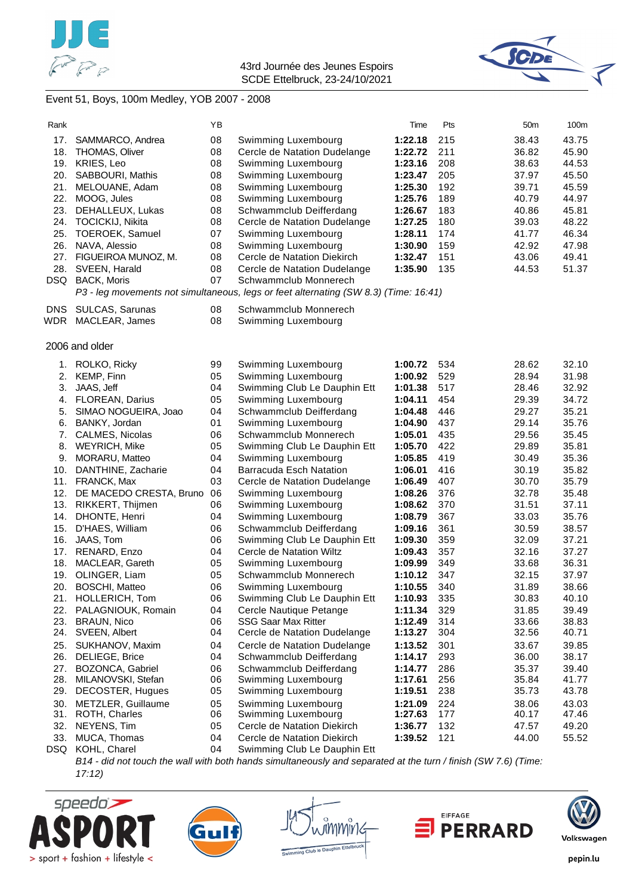



# Event 51, Boys, 100m Medley, YOB 2007 - 2008

| Rank       |                                    | ΥB       |                                                                                      | Time               | Pts        | 50m            | 100m           |
|------------|------------------------------------|----------|--------------------------------------------------------------------------------------|--------------------|------------|----------------|----------------|
| 17.        | SAMMARCO, Andrea                   | 08       | Swimming Luxembourg                                                                  | 1:22.18            | 215        | 38.43          | 43.75          |
|            | 18. THOMAS, Oliver                 | 08       | Cercle de Natation Dudelange                                                         | 1:22.72            | 211        | 36.82          | 45.90          |
| 19.        | KRIES, Leo                         | 08       | Swimming Luxembourg                                                                  | 1:23.16            | 208        | 38.63          | 44.53          |
| 20.        | SABBOURI, Mathis                   | 08       | Swimming Luxembourg                                                                  | 1:23.47            | 205        | 37.97          | 45.50          |
| 21.        | MELOUANE, Adam                     | 08       | Swimming Luxembourg                                                                  | 1:25.30            | 192        | 39.71          | 45.59          |
| 22.        | MOOG, Jules                        | 08       | Swimming Luxembourg                                                                  | 1:25.76            | 189        | 40.79          | 44.97          |
| 23.        | DEHALLEUX, Lukas                   | 08       | Schwammclub Deifferdang                                                              | 1:26.67            | 183        | 40.86          | 45.81          |
|            | 24. TOCICKIJ, Nikita               | 08       | Cercle de Natation Dudelange                                                         | 1:27.25            | 180        | 39.03          | 48.22          |
| 25.        | TOEROEK, Samuel                    | 07       | Swimming Luxembourg                                                                  | 1:28.11            | 174        | 41.77          | 46.34          |
| 26.        | NAVA, Alessio                      | 08       | Swimming Luxembourg                                                                  | 1:30.90            | 159        | 42.92          | 47.98          |
|            | 27. FIGUEIROA MUNOZ, M.            | 08       | Cercle de Natation Diekirch                                                          | 1:32.47            | 151        | 43.06          | 49.41          |
| 28.        | SVEEN, Harald                      | 08       | Cercle de Natation Dudelange                                                         | 1:35.90            | 135        | 44.53          | 51.37          |
|            | DSQ BACK, Moris                    | 07       | Schwammclub Monnerech                                                                |                    |            |                |                |
|            |                                    |          | P3 - leg movements not simultaneous, legs or feet alternating (SW 8.3) (Time: 16:41) |                    |            |                |                |
| DNS.       | <b>SULCAS, Sarunas</b>             | 08       | Schwammclub Monnerech                                                                |                    |            |                |                |
| WDR        | MACLEAR, James                     | 08       | Swimming Luxembourg                                                                  |                    |            |                |                |
|            | 2006 and older                     |          |                                                                                      |                    |            |                |                |
|            |                                    |          |                                                                                      |                    |            |                |                |
| 1.         | ROLKO, Ricky                       | 99       | Swimming Luxembourg                                                                  | 1:00.72            | 534        | 28.62          | 32.10          |
| 2.         | KEMP, Finn                         | 05       | Swimming Luxembourg                                                                  | 1:00.92            | 529<br>517 | 28.94          | 31.98          |
| 3.         | JAAS, Jeff<br>FLOREAN, Darius      | 04<br>05 | Swimming Club Le Dauphin Ett<br>Swimming Luxembourg                                  | 1:01.38<br>1:04.11 | 454        | 28.46<br>29.39 | 32.92<br>34.72 |
| 4.<br>5.   | SIMAO NOGUEIRA, Joao               | 04       | Schwammclub Deifferdang                                                              | 1:04.48            | 446        | 29.27          | 35.21          |
| 6.         | BANKY, Jordan                      | 01       | Swimming Luxembourg                                                                  | 1:04.90            | 437        | 29.14          | 35.76          |
|            | 7. CALMES, Nicolas                 | 06       | Schwammclub Monnerech                                                                | 1:05.01            | 435        | 29.56          | 35.45          |
| 8.         | <b>WEYRICH, Mike</b>               | 05       | Swimming Club Le Dauphin Ett                                                         | 1:05.70            | 422        | 29.89          | 35.81          |
| 9.         | MORARU, Matteo                     | 04       | Swimming Luxembourg                                                                  | 1:05.85            | 419        | 30.49          | 35.36          |
| 10.        | DANTHINE, Zacharie                 | 04       | <b>Barracuda Esch Natation</b>                                                       | 1:06.01            | 416        | 30.19          | 35.82          |
|            | 11. FRANCK, Max                    | 03       | Cercle de Natation Dudelange                                                         | 1:06.49            | 407        | 30.70          | 35.79          |
| 12.        | DE MACEDO CRESTA, Bruno            | 06       | Swimming Luxembourg                                                                  | 1:08.26            | 376        | 32.78          | 35.48          |
| 13.        | RIKKERT, Thijmen                   | 06       | Swimming Luxembourg                                                                  | 1:08.62            | 370        | 31.51          | 37.11          |
| 14.        | DHONTE, Henri                      | 04       | Swimming Luxembourg                                                                  | 1:08.79            | 367        | 33.03          | 35.76          |
| 15.        | D'HAES, William                    | 06       | Schwammclub Deifferdang                                                              | 1:09.16            | 361        | 30.59          | 38.57          |
| 16.        | JAAS, Tom                          | 06       | Swimming Club Le Dauphin Ett                                                         | 1:09.30            | 359        | 32.09          | 37.21          |
| 17.        | RENARD, Enzo                       | 04       | Cercle de Natation Wiltz                                                             | 1:09.43            | 357        | 32.16          | 37.27          |
| 18.        | MACLEAR, Gareth                    | 05       | Swimming Luxembourg                                                                  | 1:09.99            | 349        | 33.68          | 36.31          |
| 19.        | OLINGER, Liam                      | 05       | Schwammclub Monnerech                                                                | 1:10.12            | 347        | 32.15          | 37.97          |
| 20.        | <b>BOSCHI, Matteo</b>              | 06       | Swimming Luxembourg                                                                  | 1:10.55            | 340        | 31.89          | 38.66          |
| 21.        | HOLLERICH, Tom                     | 06       | Swimming Club Le Dauphin Ett                                                         | 1:10.93            | 335        | 30.83          | 40.10          |
| 22.        | PALAGNIOUK, Romain                 | 04       | Cercle Nautique Petange                                                              | 1:11.34            | 329        | 31.85          | 39.49          |
| 23.        | <b>BRAUN, Nico</b>                 | 06       | <b>SSG Saar Max Ritter</b>                                                           | 1:12.49            | 314        | 33.66          | 38.83          |
| 24.        | SVEEN, Albert                      | 04       | Cercle de Natation Dudelange                                                         | 1:13.27            | 304        | 32.56          | 40.71          |
| 25.        | SUKHANOV, Maxim                    | 04       | Cercle de Natation Dudelange                                                         | 1:13.52            | 301        | 33.67          | 39.85          |
| 26.<br>27. | DELIEGE, Brice<br>BOZONCA, Gabriel | 04<br>06 | Schwammclub Deifferdang<br>Schwammclub Deifferdang                                   | 1:14.17            | 293<br>286 | 36.00          | 38.17<br>39.40 |
| 28.        | MILANOVSKI, Stefan                 | 06       | Swimming Luxembourg                                                                  | 1:14.77<br>1:17.61 | 256        | 35.37<br>35.84 | 41.77          |
| 29.        | DECOSTER, Hugues                   | 05       | Swimming Luxembourg                                                                  | 1:19.51            | 238        | 35.73          | 43.78          |
| 30.        | METZLER, Guillaume                 | 05       | Swimming Luxembourg                                                                  | 1:21.09            | 224        | 38.06          | 43.03          |
| 31.        | ROTH, Charles                      | 06       | Swimming Luxembourg                                                                  | 1:27.63            | 177        | 40.17          | 47.46          |
| 32.        | NEYENS, Tim                        | 05       | Cercle de Natation Diekirch                                                          | 1:36.77            | 132        | 47.57          | 49.20          |
| 33.        | MUCA, Thomas                       | 04       | Cercle de Natation Diekirch                                                          | 1:39.52            | 121        | 44.00          | 55.52          |
| DSQ        | KOHL, Charel                       | 04       | Swimming Club Le Dauphin Ett                                                         |                    |            |                |                |
|            |                                    |          |                                                                                      |                    |            |                |                |

*B14 - did not touch the wall with both hands simultaneously and separated at the turn / finish (SW 7.6) (Time: 17:12)*









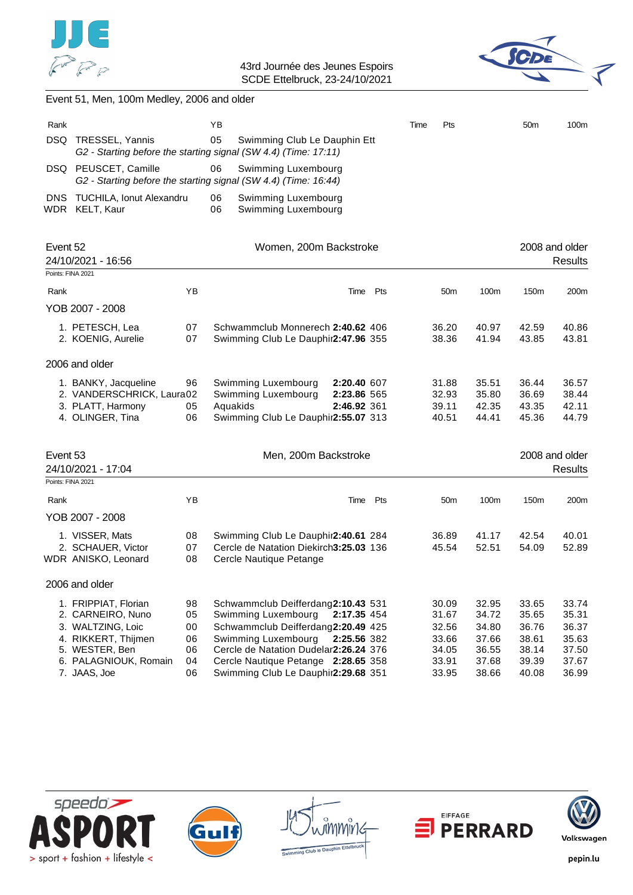



# Event 51, Men, 100m Medley, 2006 and older

| Rank |                                                                                                                | ΥB       |                                            | Time | Pts | 50 <sub>m</sub> | 100m |
|------|----------------------------------------------------------------------------------------------------------------|----------|--------------------------------------------|------|-----|-----------------|------|
| DSQ. | TRESSEL, Yannis<br>G2 - Starting before the starting signal (SW 4.4) (Time: 17:11)                             | 05       | Swimming Club Le Dauphin Ett               |      |     |                 |      |
|      | DSQ PEUSCET, Camille 66 Swimming Luxembourg<br>G2 - Starting before the starting signal (SW 4.4) (Time: 16:44) |          |                                            |      |     |                 |      |
|      | DNS TUCHILA, Ionut Alexandru<br>WDR KELT, Kaur                                                                 | 06<br>06 | Swimming Luxembourg<br>Swimming Luxembourg |      |     |                 |      |

| Event 52<br>24/10/2021 - 16:56                                         |          | Women, 200m Backstroke                                                   |                                           |     | 2008 and older          |                         | <b>Results</b>          |                                  |
|------------------------------------------------------------------------|----------|--------------------------------------------------------------------------|-------------------------------------------|-----|-------------------------|-------------------------|-------------------------|----------------------------------|
| Points: FINA 2021                                                      |          |                                                                          |                                           |     |                         |                         |                         |                                  |
| Rank                                                                   | ΥB       |                                                                          | Time                                      | Pts | 50 <sub>m</sub>         | 100m                    | 150 <sub>m</sub>        | 200 <sub>m</sub>                 |
| YOB 2007 - 2008                                                        |          |                                                                          |                                           |     |                         |                         |                         |                                  |
| 1. PETESCH, Lea<br>2. KOENIG, Aurelie                                  | 07<br>07 | Schwammclub Monnerech 2:40.62 406<br>Swimming Club Le Dauphir2:47.96 355 |                                           |     | 36.20<br>38.36          | 40.97<br>41.94          | 42.59<br>43.85          | 40.86<br>43.81                   |
| 2006 and older                                                         |          |                                                                          |                                           |     |                         |                         |                         |                                  |
| 1. BANKY, Jacqueline<br>2. VANDERSCHRICK, Laura02<br>3. PLATT, Harmony | 96<br>05 | Swimming Luxembourg<br>Swimming Luxembourg<br>Aquakids                   | 2:20.40 607<br>2:23.86 565<br>2:46.92 361 |     | 31.88<br>32.93<br>39.11 | 35.51<br>35.80<br>42.35 | 36.44<br>36.69<br>43.35 | 36.57<br>38.44<br>42.11          |
| 4. OLINGER, Tina                                                       | 06       | Swimming Club Le Dauphir2:55.07 313                                      |                                           |     | 40.51                   | 44.41                   | 45.36                   | 44.79                            |
| Event 53<br>24/10/2021 - 17:04                                         |          | Men, 200m Backstroke                                                     |                                           |     |                         |                         |                         | 2008 and older<br><b>Results</b> |
| Points: FINA 2021<br>Rank                                              | ΥB       |                                                                          | Time                                      | Pts | 50 <sub>m</sub>         | 100m                    | 150m                    | 200m                             |

| YOB 2007 - 2008                                           |                |                                                                                                            |                |                |                |                |
|-----------------------------------------------------------|----------------|------------------------------------------------------------------------------------------------------------|----------------|----------------|----------------|----------------|
| VISSER, Mats<br>2. SCHAUER, Victor<br>WDR ANISKO, Leonard | 08<br>07<br>08 | Swimming Club Le Dauphir 2:40.61 284<br>Cercle de Natation Diekirch 3:25.03 136<br>Cercle Nautique Petange | 36.89<br>45.54 | 41.17<br>52.51 | 42.54<br>54.09 | 40.01<br>52.89 |
| 2006 and older                                            |                |                                                                                                            |                |                |                |                |
| 1. FRIPPIAT, Florian                                      | 98             | Schwammclub Deifferdang2:10.43 531                                                                         | 30.09          | 32.95          | 33.65          | 33.74          |

| 1. 1 INII 1 IA 1. 1 IVIII. |     | <b>30 CHINGHIFFIOLD DEFINITIONS.IV.TU OUT</b> | ov.oo | <u>uz.Ju</u> | uu.uu | <u>JJ.IT</u> |
|----------------------------|-----|-----------------------------------------------|-------|--------------|-------|--------------|
| 2. CARNEIRO, Nuno          | 05. | Swimming Luxembourg 2:17.35 454               | 31.67 | 34.72        | 35.65 | 35.31        |
| 3. WALTZING, Loic          | 00. | Schwammclub Deifferdang2:20.49 425            | 32.56 | 34.80        | 36.76 | 36.37        |
| 4. RIKKERT, Thiimen        | 06. | Swimming Luxembourg 2:25.56 382               | 33.66 | 37.66        | 38.61 | 35.63        |
| 5. WESTER, Ben             |     | Cercle de Natation Dudelar2:26.24 376         | 34.05 | 36.55        | 38.14 | 37.50        |
| 6. PALAGNIOUK, Romain      | 04  | Cercle Nautique Petange 2:28.65 358           | 33.91 | 37.68        | 39.39 | 37.67        |
| 7. JAAS, Joe               | 06. | Swimming Club Le Dauphir2:29.68 351           | 33.95 | 38.66        | 40.08 | 36.99        |
|                            |     |                                               |       |              |       |              |









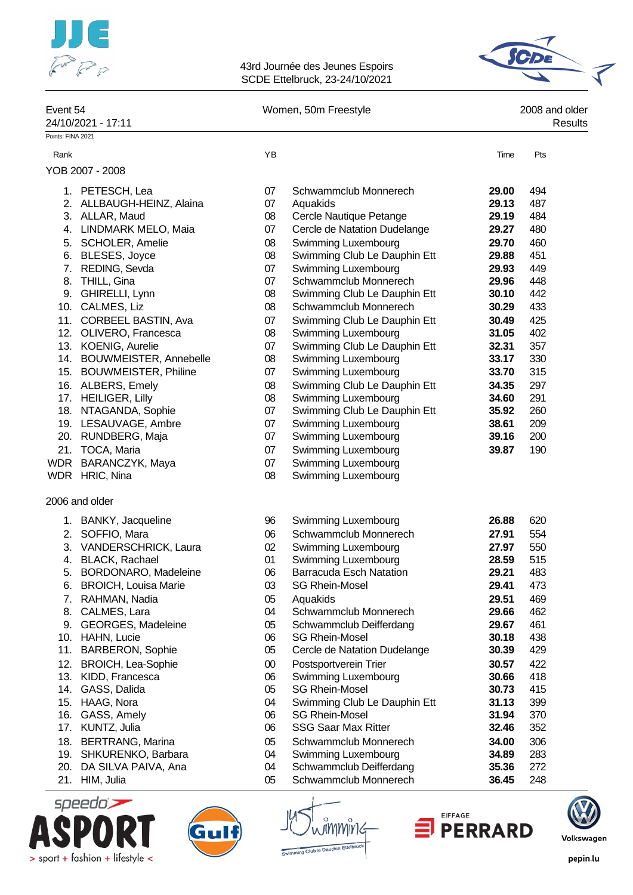



| Event 54          | 24/10/2021 - 17:11          |        | Women, 50m Freestyle           |       | 2008 and older<br>Results |
|-------------------|-----------------------------|--------|--------------------------------|-------|---------------------------|
| Points: FINA 2021 |                             |        |                                |       |                           |
| Rank              |                             | YB     |                                | Time  | Pts                       |
|                   | YOB 2007 - 2008             |        |                                |       |                           |
|                   | 1. PETESCH, Lea             | 07     | Schwammclub Monnerech          | 29.00 | 494                       |
|                   | 2. ALLBAUGH-HEINZ, Alaina   | 07     | Aquakids                       | 29.13 | 487                       |
|                   | 3. ALLAR, Maud              | 08     | Cercle Nautique Petange        | 29.19 | 484                       |
|                   | 4. LINDMARK MELO, Maia      | 07     | Cercle de Natation Dudelange   | 29.27 | 480                       |
|                   | 5. SCHOLER, Amelie          | 08     | Swimming Luxembourg            | 29.70 | 460                       |
|                   | 6. BLESES, Joyce            | 08     | Swimming Club Le Dauphin Ett   | 29.88 | 451                       |
|                   | 7. REDING, Sevda            | 07     | Swimming Luxembourg            | 29.93 | 449                       |
|                   | 8. THILL, Gina              | 07     | Schwammclub Monnerech          | 29.96 | 448                       |
|                   | 9. GHIRELLI, Lynn           | 08     | Swimming Club Le Dauphin Ett   | 30.10 | 442                       |
|                   | 10. CALMES, Liz             | 08     | Schwammclub Monnerech          | 30.29 | 433                       |
| 11.               | CORBEEL BASTIN, Ava         | 07     | Swimming Club Le Dauphin Ett   | 30.49 | 425                       |
|                   | 12. OLIVERO, Francesca      | 08     | Swimming Luxembourg            | 31.05 | 402                       |
|                   | 13. KOENIG, Aurelie         | 07     | Swimming Club Le Dauphin Ett   | 32.31 | 357                       |
|                   | 14. BOUWMEISTER, Annebelle  | 08     | Swimming Luxembourg            | 33.17 | 330                       |
|                   | 15. BOUWMEISTER, Philine    | 07     | Swimming Luxembourg            | 33.70 | 315                       |
|                   | 16. ALBERS, Emely           | 08     | Swimming Club Le Dauphin Ett   | 34.35 | 297                       |
|                   | 17. HEILIGER, Lilly         | 08     | Swimming Luxembourg            | 34.60 | 291                       |
|                   | 18. NTAGANDA, Sophie        | 07     | Swimming Club Le Dauphin Ett   | 35.92 | 260                       |
|                   | 19. LESAUVAGE, Ambre        | 07     | Swimming Luxembourg            | 38.61 | 209                       |
|                   | 20. RUNDBERG, Maja          | 07     | Swimming Luxembourg            | 39.16 | 200                       |
|                   | 21. TOCA, Maria             | 07     | Swimming Luxembourg            | 39.87 | 190                       |
|                   | WDR BARANCZYK, Maya         | 07     | Swimming Luxembourg            |       |                           |
|                   | WDR HRIC, Nina              | 08     | Swimming Luxembourg            |       |                           |
|                   | 2006 and older              |        |                                |       |                           |
|                   | 1. BANKY, Jacqueline        | 96     | Swimming Luxembourg            | 26.88 | 620                       |
|                   | 2. SOFFIO, Mara             | 06     | Schwammclub Monnerech          | 27.91 | 554                       |
|                   | 3. VANDERSCHRICK, Laura     | 02     | Swimming Luxembourg            | 27.97 | 550                       |
| 4.                | BLACK, Rachael              | 01     | Swimming Luxembourg            | 28.59 | 515                       |
| 5.                | BORDONARO, Madeleine        | 06     | <b>Barracuda Esch Natation</b> | 29.21 | 483                       |
| 6.                | <b>BROICH, Louisa Marie</b> | 03     | <b>SG Rhein-Mosel</b>          | 29.41 | 473                       |
| 7.                | RAHMAN, Nadia               | 05     | Aquakids                       | 29.51 | 469                       |
| 8.                | CALMES, Lara                | 04     | Schwammclub Monnerech          | 29.66 | 462                       |
|                   | 9. GEORGES, Madeleine       | 05     | Schwammclub Deifferdang        | 29.67 | 461                       |
|                   | 10. HAHN, Lucie             | 06     | <b>SG Rhein-Mosel</b>          | 30.18 | 438                       |
| 11.               | <b>BARBERON, Sophie</b>     | 05     | Cercle de Natation Dudelange   | 30.39 | 429                       |
| 12.               | <b>BROICH, Lea-Sophie</b>   | $00\,$ | Postsportverein Trier          | 30.57 | 422                       |
|                   | 13. KIDD, Francesca         | 06     | Swimming Luxembourg            | 30.66 | 418                       |
|                   | 14. GASS, Dalida            | 05     | <b>SG Rhein-Mosel</b>          | 30.73 | 415                       |
|                   | 15. HAAG, Nora              | 04     | Swimming Club Le Dauphin Ett   | 31.13 | 399                       |
| 16.               | GASS, Amely                 | 06     | <b>SG Rhein-Mosel</b>          | 31.94 | 370                       |
| 17.               | KUNTZ, Julia                | 06     | <b>SSG Saar Max Ritter</b>     | 32.46 | 352                       |
| 18.               | <b>BERTRANG, Marina</b>     | 05     | Schwammclub Monnerech          | 34.00 | 306                       |

- 19. SHKURENKO, Barbara 04 Swimming Luxembourg **34.89** 283
- 20. DA SILVA PAIVA, Ana 04 Schwammclub Deifferdang **35.36** 272
- 21. HIM, Julia 05 Schwammclub Monnerech **36.45** 248









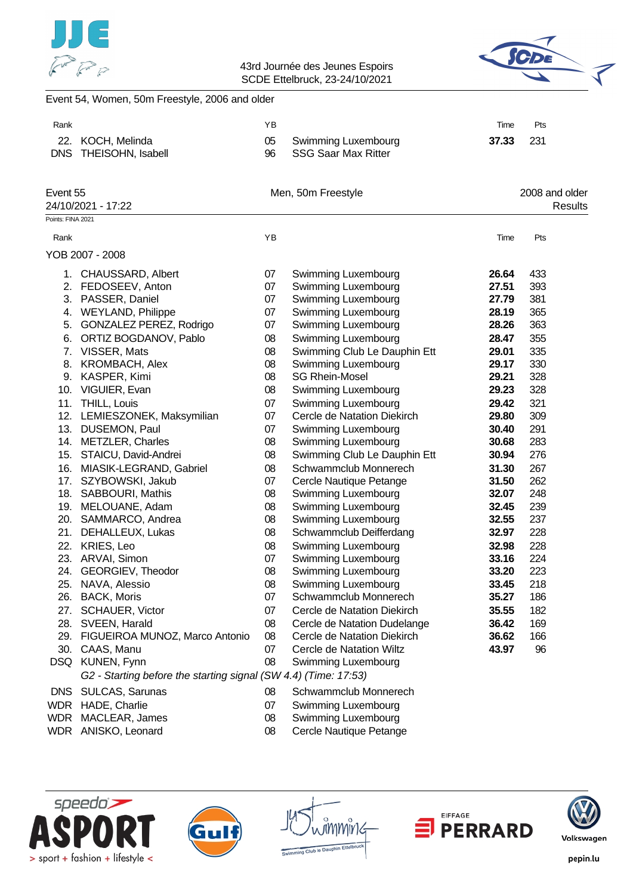



### Event 54, Women, 50m Freestyle, 2006 and older

| Rank              |                                                                 | ΥB       |                                                   | Time  | Pts                       |
|-------------------|-----------------------------------------------------------------|----------|---------------------------------------------------|-------|---------------------------|
| 22.<br><b>DNS</b> | KOCH, Melinda<br>THEISOHN, Isabell                              | 05<br>96 | Swimming Luxembourg<br><b>SSG Saar Max Ritter</b> | 37.33 | 231                       |
|                   |                                                                 |          |                                                   |       |                           |
| Event 55          | 24/10/2021 - 17:22                                              |          | Men, 50m Freestyle                                |       | 2008 and older<br>Results |
| Points: FINA 2021 |                                                                 |          |                                                   |       |                           |
| Rank              |                                                                 | YB       |                                                   | Time  | Pts                       |
|                   | YOB 2007 - 2008                                                 |          |                                                   |       |                           |
|                   | 1. CHAUSSARD, Albert                                            | 07       | Swimming Luxembourg                               | 26.64 | 433                       |
|                   | 2. FEDOSEEV, Anton                                              | 07       | Swimming Luxembourg                               | 27.51 | 393                       |
|                   | 3. PASSER, Daniel                                               | 07       | Swimming Luxembourg                               | 27.79 | 381                       |
|                   | 4. WEYLAND, Philippe                                            | 07       | Swimming Luxembourg                               | 28.19 | 365                       |
| 5.                | GONZALEZ PEREZ, Rodrigo                                         | 07       | Swimming Luxembourg                               | 28.26 | 363                       |
|                   | 6. ORTIZ BOGDANOV, Pablo                                        | 08       | Swimming Luxembourg                               | 28.47 | 355                       |
|                   | 7. VISSER, Mats                                                 | 08       | Swimming Club Le Dauphin Ett                      | 29.01 | 335                       |
|                   | 8. KROMBACH, Alex                                               | 08       | Swimming Luxembourg                               | 29.17 | 330                       |
|                   | 9. KASPER, Kimi                                                 | 08       | <b>SG Rhein-Mosel</b>                             | 29.21 | 328                       |
|                   | 10. VIGUIER, Evan                                               | 08       | Swimming Luxembourg                               | 29.23 | 328                       |
| 11.               | THILL, Louis                                                    | 07       | Swimming Luxembourg                               | 29.42 | 321                       |
|                   | 12. LEMIESZONEK, Maksymilian                                    | 07       | Cercle de Natation Diekirch                       | 29.80 | 309                       |
|                   | 13. DUSEMON, Paul                                               | 07       | Swimming Luxembourg                               | 30.40 | 291                       |
|                   | 14. METZLER, Charles                                            | 08       | Swimming Luxembourg                               | 30.68 | 283                       |
|                   | 15. STAICU, David-Andrei                                        | 08       | Swimming Club Le Dauphin Ett                      | 30.94 | 276                       |
|                   | 16. MIASIK-LEGRAND, Gabriel                                     | 08       | Schwammclub Monnerech                             | 31.30 | 267                       |
| 17.               | SZYBOWSKI, Jakub                                                | 07       | Cercle Nautique Petange                           | 31.50 | 262                       |
|                   | 18. SABBOURI, Mathis                                            | 08       | Swimming Luxembourg                               | 32.07 | 248                       |
|                   | 19. MELOUANE, Adam                                              | 08       | Swimming Luxembourg                               | 32.45 | 239                       |
|                   | 20. SAMMARCO, Andrea                                            | 08       | Swimming Luxembourg                               | 32.55 | 237                       |
| 21.               | DEHALLEUX, Lukas                                                | 08       | Schwammclub Deifferdang                           | 32.97 | 228                       |
|                   | 22. KRIES, Leo                                                  | 08       | Swimming Luxembourg                               | 32.98 | 228                       |
|                   | 23. ARVAI, Simon                                                | 07       | Swimming Luxembourg                               | 33.16 | 224                       |
|                   | 24. GEORGIEV, Theodor                                           | 08       | Swimming Luxembourg                               | 33.20 | 223                       |
|                   | 25. NAVA, Alessio                                               | 08       | Swimming Luxembourg                               | 33.45 | 218                       |
|                   | 26. BACK, Moris                                                 | 07       | Schwammclub Monnerech                             | 35.27 | 186                       |
| 27.               | SCHAUER, Victor                                                 | 07       | Cercle de Natation Diekirch                       | 35.55 | 182                       |
|                   | 28. SVEEN, Harald                                               | 08       | Cercle de Natation Dudelange                      | 36.42 | 169                       |
|                   | 29. FIGUEIROA MUNOZ, Marco Antonio                              | 08       | Cercle de Natation Diekirch                       | 36.62 | 166                       |
|                   | 30. CAAS, Manu                                                  | 07       | Cercle de Natation Wiltz                          | 43.97 | 96                        |
|                   | DSQ KUNEN, Fynn                                                 | 08       | Swimming Luxembourg                               |       |                           |
|                   | G2 - Starting before the starting signal (SW 4.4) (Time: 17:53) |          |                                                   |       |                           |
|                   | DNS SULCAS, Sarunas                                             | 08       | Schwammclub Monnerech                             |       |                           |
|                   | WDR HADE, Charlie                                               | 07       | Swimming Luxembourg                               |       |                           |
|                   | MDR MACLEAR James                                               | ∩R.      | Swimming Luvembourg                               |       |                           |

- 
- WDR MACLEAR, James 08 Swimming Luxembourg WDR ANISKO, Leonard 08 Cercle Nautique Petange









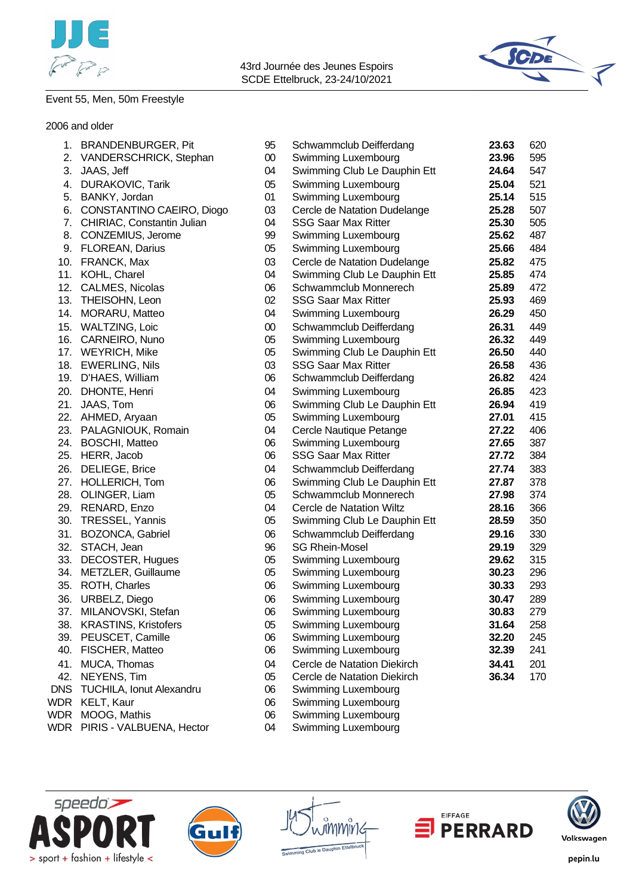



Event 55, Men, 50m Freestyle

#### 2006 and older

| 1.         | <b>BRANDENBURGER, Pit</b>     | 95     | Schwammclub Deifferdang      | 23.63 | 620 |
|------------|-------------------------------|--------|------------------------------|-------|-----|
|            | 2. VANDERSCHRICK, Stephan     | 00     | Swimming Luxembourg          | 23.96 | 595 |
| 3.         | JAAS, Jeff                    | 04     | Swimming Club Le Dauphin Ett | 24.64 | 547 |
| 4.         | <b>DURAKOVIC, Tarik</b>       | 05     | Swimming Luxembourg          | 25.04 | 521 |
|            | 5. BANKY, Jordan              | 01     | Swimming Luxembourg          | 25.14 | 515 |
|            | 6. CONSTANTINO CAEIRO, Diogo  | 03     | Cercle de Natation Dudelange | 25.28 | 507 |
|            | 7. CHIRIAC, Constantin Julian | 04     | <b>SSG Saar Max Ritter</b>   | 25.30 | 505 |
|            | 8. CONZEMIUS, Jerome          | 99     | Swimming Luxembourg          | 25.62 | 487 |
|            | 9. FLOREAN, Darius            | 05     | Swimming Luxembourg          | 25.66 | 484 |
|            | 10. FRANCK, Max               | 03     | Cercle de Natation Dudelange | 25.82 | 475 |
| 11.        | KOHL, Charel                  | 04     | Swimming Club Le Dauphin Ett | 25.85 | 474 |
|            | 12. CALMES, Nicolas           | 06     | Schwammclub Monnerech        | 25.89 | 472 |
|            | 13. THEISOHN, Leon            | 02     | <b>SSG Saar Max Ritter</b>   | 25.93 | 469 |
|            | 14. MORARU, Matteo            | 04     | Swimming Luxembourg          | 26.29 | 450 |
| 15.        | <b>WALTZING, Loic</b>         | $00\,$ | Schwammclub Deifferdang      | 26.31 | 449 |
| 16.        | CARNEIRO, Nuno                | 05     | Swimming Luxembourg          | 26.32 | 449 |
|            | 17. WEYRICH, Mike             | 05     | Swimming Club Le Dauphin Ett | 26.50 | 440 |
|            | 18. EWERLING, Nils            | 03     | <b>SSG Saar Max Ritter</b>   | 26.58 | 436 |
|            | 19. D'HAES, William           | 06     | Schwammclub Deifferdang      | 26.82 | 424 |
|            | 20. DHONTE, Henri             | 04     | Swimming Luxembourg          | 26.85 | 423 |
| 21.        | JAAS, Tom                     | 06     | Swimming Club Le Dauphin Ett | 26.94 | 419 |
|            | 22. AHMED, Aryaan             | 05     | Swimming Luxembourg          | 27.01 | 415 |
|            | 23. PALAGNIOUK, Romain        | 04     | Cercle Nautique Petange      | 27.22 | 406 |
|            | 24. BOSCHI, Matteo            | 06     | Swimming Luxembourg          | 27.65 | 387 |
|            | 25. HERR, Jacob               | 06     | <b>SSG Saar Max Ritter</b>   | 27.72 | 384 |
|            | 26. DELIEGE, Brice            | 04     | Schwammclub Deifferdang      | 27.74 | 383 |
| 27.        | HOLLERICH, Tom                | 06     | Swimming Club Le Dauphin Ett | 27.87 | 378 |
|            | 28. OLINGER, Liam             | 05     | Schwammclub Monnerech        | 27.98 | 374 |
|            | 29. RENARD, Enzo              | 04     | Cercle de Natation Wiltz     | 28.16 | 366 |
|            | 30. TRESSEL, Yannis           | 05     | Swimming Club Le Dauphin Ett | 28.59 | 350 |
|            | 31. BOZONCA, Gabriel          | 06     | Schwammclub Deifferdang      | 29.16 | 330 |
|            | 32. STACH, Jean               | 96     | <b>SG Rhein-Mosel</b>        | 29.19 | 329 |
|            | 33. DECOSTER, Hugues          | 05     | Swimming Luxembourg          | 29.62 | 315 |
|            | 34. METZLER, Guillaume        | 05     | Swimming Luxembourg          | 30.23 | 296 |
|            | 35. ROTH, Charles             | 06     | Swimming Luxembourg          | 30.33 | 293 |
|            | 36. URBELZ, Diego             | 06     | Swimming Luxembourg          | 30.47 | 289 |
| 37.        | MILANOVSKI, Stefan            | 06     | Swimming Luxembourg          | 30.83 | 279 |
|            | 38. KRASTINS, Kristofers      | 05     | Swimming Luxembourg          | 31.64 | 258 |
| 39.        | PEUSCET, Camille              | 06     | Swimming Luxembourg          | 32.20 | 245 |
| 40.        | FISCHER, Matteo               | 06     | Swimming Luxembourg          | 32.39 | 241 |
| 41.        | MUCA, Thomas                  | 04     | Cercle de Natation Diekirch  | 34.41 | 201 |
| 42.        | NEYENS, Tim                   | 05     | Cercle de Natation Diekirch  | 36.34 | 170 |
| <b>DNS</b> | TUCHILA, Ionut Alexandru      | 06     | Swimming Luxembourg          |       |     |
| <b>WDR</b> | KELT, Kaur                    | 06     | Swimming Luxembourg          |       |     |
| <b>WDR</b> | MOOG, Mathis                  | 06     | Swimming Luxembourg          |       |     |
| WDR        | PIRIS - VALBUENA, Hector      | 04     | Swimming Luxembourg          |       |     |